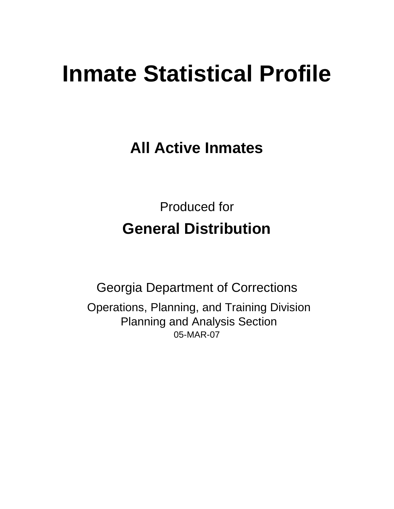# **Inmate Statistical Profile**

**All Active Inmates**

Produced for **General Distribution**

05-MAR-07 Georgia Department of Corrections Operations, Planning, and Training Division Planning and Analysis Section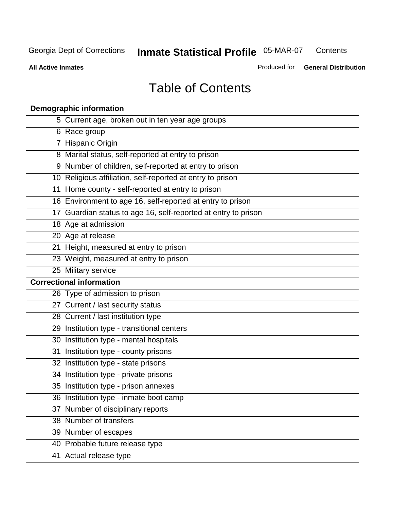**Contents** 

**All Active Inmates**

Produced for **General Distribution**

# Table of Contents

| <b>Demographic information</b>                                 |
|----------------------------------------------------------------|
| 5 Current age, broken out in ten year age groups               |
| 6 Race group                                                   |
| 7 Hispanic Origin                                              |
| 8 Marital status, self-reported at entry to prison             |
| 9 Number of children, self-reported at entry to prison         |
| 10 Religious affiliation, self-reported at entry to prison     |
| 11 Home county - self-reported at entry to prison              |
| 16 Environment to age 16, self-reported at entry to prison     |
| 17 Guardian status to age 16, self-reported at entry to prison |
| 18 Age at admission                                            |
| 20 Age at release                                              |
| 21 Height, measured at entry to prison                         |
| 23 Weight, measured at entry to prison                         |
| 25 Military service                                            |
| <b>Correctional information</b>                                |
| 26 Type of admission to prison                                 |
| 27 Current / last security status                              |
| 28 Current / last institution type                             |
| 29 Institution type - transitional centers                     |
| 30 Institution type - mental hospitals                         |
| 31 Institution type - county prisons                           |
| 32 Institution type - state prisons                            |
| 34 Institution type - private prisons                          |
| 35 Institution type - prison annexes                           |
| 36 Institution type - inmate boot camp                         |
| 37 Number of disciplinary reports                              |
| 38 Number of transfers                                         |
| 39 Number of escapes                                           |
| 40 Probable future release type                                |
| 41 Actual release type                                         |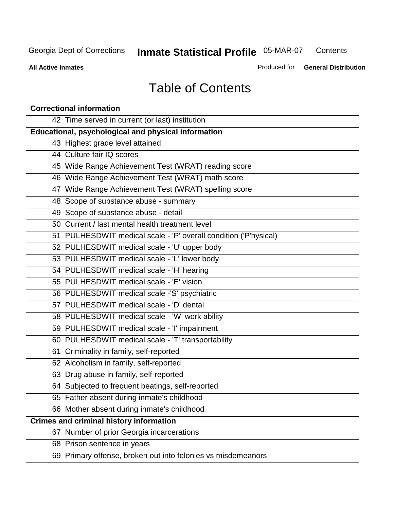**Contents** 

**All Active Inmates**

Produced for **General Distribution**

# Table of Contents

| <b>Correctional information</b>                                  |
|------------------------------------------------------------------|
| 42 Time served in current (or last) institution                  |
| Educational, psychological and physical information              |
| 43 Highest grade level attained                                  |
| 44 Culture fair IQ scores                                        |
| 45 Wide Range Achievement Test (WRAT) reading score              |
| 46 Wide Range Achievement Test (WRAT) math score                 |
| 47 Wide Range Achievement Test (WRAT) spelling score             |
| 48 Scope of substance abuse - summary                            |
| 49 Scope of substance abuse - detail                             |
| 50 Current / last mental health treatment level                  |
| 51 PULHESDWIT medical scale - 'P' overall condition ('P'hysical) |
| 52 PULHESDWIT medical scale - 'U' upper body                     |
| 53 PULHESDWIT medical scale - 'L' lower body                     |
| 54 PULHESDWIT medical scale - 'H' hearing                        |
| 55 PULHESDWIT medical scale - 'E' vision                         |
| 56 PULHESDWIT medical scale -'S' psychiatric                     |
| 57 PULHESDWIT medical scale - 'D' dental                         |
| 58 PULHESDWIT medical scale - 'W' work ability                   |
| 59 PULHESDWIT medical scale - 'I' impairment                     |
| 60 PULHESDWIT medical scale - 'T' transportability               |
| 61 Criminality in family, self-reported                          |
| 62 Alcoholism in family, self-reported                           |
| 63 Drug abuse in family, self-reported                           |
| 64 Subjected to frequent beatings, self-reported                 |
| 65 Father absent during inmate's childhood                       |
| 66 Mother absent during inmate's childhood                       |
| <b>Crimes and criminal history information</b>                   |
| 67 Number of prior Georgia incarcerations                        |
| 68 Prison sentence in years                                      |
| 69 Primary offense, broken out into felonies vs misdemeanors     |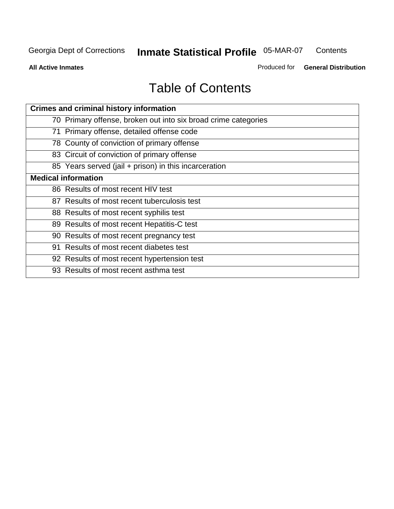**Contents** 

**All Active Inmates**

Produced for **General Distribution**

# Table of Contents

| <b>Crimes and criminal history information</b>                 |
|----------------------------------------------------------------|
| 70 Primary offense, broken out into six broad crime categories |
| 71 Primary offense, detailed offense code                      |
| 78 County of conviction of primary offense                     |
| 83 Circuit of conviction of primary offense                    |
| 85 Years served (jail + prison) in this incarceration          |
| <b>Medical information</b>                                     |
| 86 Results of most recent HIV test                             |
| 87 Results of most recent tuberculosis test                    |
| 88 Results of most recent syphilis test                        |
| 89 Results of most recent Hepatitis-C test                     |
| 90 Results of most recent pregnancy test                       |
| 91 Results of most recent diabetes test                        |
| 92 Results of most recent hypertension test                    |
| 93 Results of most recent asthma test                          |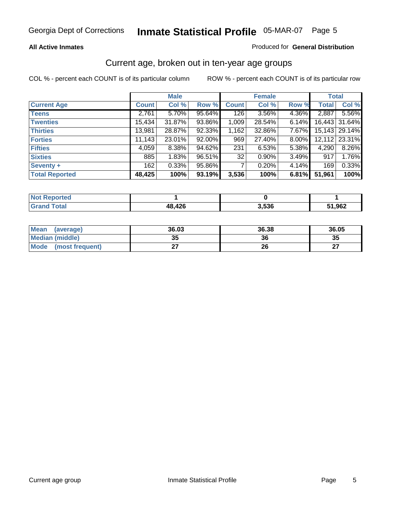#### **All Active Inmates**

#### Produced for **General Distribution**

### Current age, broken out in ten-year age groups

|                       |              | <b>Male</b> |        |              | <b>Female</b> |       |              | <b>Total</b>  |
|-----------------------|--------------|-------------|--------|--------------|---------------|-------|--------------|---------------|
| <b>Current Age</b>    | <b>Count</b> | Col %       | Row %  | <b>Count</b> | Col %         | Row % | <b>Total</b> | Col %         |
| <b>Teens</b>          | 2,761        | 5.70%       | 95.64% | 126          | 3.56%         | 4.36% | 2,887        | 5.56%         |
| <b>Twenties</b>       | 15,434       | 31.87%      | 93.86% | 1,009        | 28.54%        | 6.14% |              | 16,443 31.64% |
| <b>Thirties</b>       | 13,981       | 28.87%      | 92.33% | 1,162        | 32.86%        | 7.67% |              | 15,143 29.14% |
| <b>Forties</b>        | 11,143       | 23.01%      | 92.00% | 969          | 27.40%        | 8.00% | 12,112       | 23.31%        |
| <b>Fifties</b>        | 4,059        | $8.38\%$    | 94.62% | 231          | 6.53%         | 5.38% | 4,290        | 8.26%         |
| <b>Sixties</b>        | 885          | 1.83%       | 96.51% | 32           | $0.90\%$      | 3.49% | 917          | 1.76%         |
| Seventy +             | 162          | 0.33%       | 95.86% |              | 0.20%         | 4.14% | 169          | 0.33%         |
| <b>Total Reported</b> | 48,425       | 100%        | 93.19% | 3,536        | 100%          | 6.81% | 51,961       | 100%          |

| orted<br>' NOT L |        |       |      |
|------------------|--------|-------|------|
| .Gr              | 48,426 | 3,536 | ,962 |

| <b>Mean</b><br>(average) | 36.03     | 36.38 | 36.05     |
|--------------------------|-----------|-------|-----------|
| Median (middle)          | 25<br>JJ. | 36    | 35        |
| Mode<br>(most frequent)  |           | 26    | ^7<br>. . |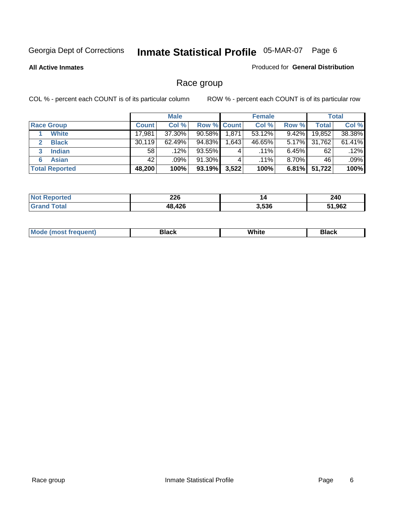**All Active Inmates**

#### Produced for **General Distribution**

### Race group

|                       |              | <b>Male</b> |             |          | <b>Female</b> |          |        | <b>Total</b> |
|-----------------------|--------------|-------------|-------------|----------|---------------|----------|--------|--------------|
| <b>Race Group</b>     | <b>Count</b> | Col %       | Row % Count |          | Col %         | Row %    | Total  | Col %        |
| <b>White</b>          | 17,981       | 37.30%      | $90.58\%$   | 1,871    | 53.12%        | 9.42%    | 19,852 | 38.38%       |
| <b>Black</b>          | 30,119       | 62.49%      | 94.83%      | ا 643. ا | 46.65%        | $5.17\%$ | 31,762 | 61.41%       |
| <b>Indian</b><br>3    | 58           | $.12\%$     | 93.55%      | 4        | $.11\%$       | $6.45\%$ | 62     | .12%         |
| <b>Asian</b>          | 42           | .09%        | 91.30%      |          | $.11\%$       | $8.70\%$ | 46     | .09%         |
| <b>Total Reported</b> | 48,200       | 100%        | 93.19%      | 3,522    | 100%          | $6.81\%$ | 51,722 | 100%         |

| 226       | 14    | 240   |
|-----------|-------|-------|
| 12c<br>٨s | 3,536 | 1,962 |

|  | $Mc$ | Black | White<br>$ -$ | 21904<br>DIACK |
|--|------|-------|---------------|----------------|
|--|------|-------|---------------|----------------|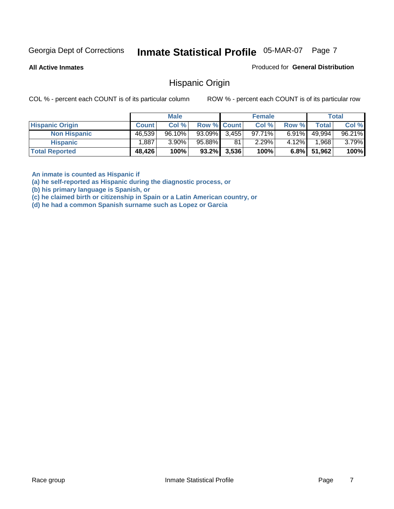**All Active Inmates**

Produced for **General Distribution**

Hispanic Origin

COL % - percent each COUNT is of its particular column ROW % - percent each COUNT is of its particular row

|                        |              | <b>Male</b> |                    |                | <b>Female</b> |          |        | Total  |
|------------------------|--------------|-------------|--------------------|----------------|---------------|----------|--------|--------|
| <b>Hispanic Origin</b> | <b>Count</b> | Col %       | <b>Row % Count</b> |                | Col %         | Row %    | Total  | Col %  |
| <b>Non Hispanic</b>    | 46,539       | 96.10%      | $93.09\%$ 3,455    |                | 97.71%        | $6.91\%$ | 49.994 | 96.21% |
| <b>Hispanic</b>        | .887         | $3.90\%$    | 95.88%             | 81             | 2.29%         | 4.12%    | 1,968  | 3.79%  |
| <b>Total Reported</b>  | 48,426       | 100%        |                    | $93.2\%$ 3,536 | 100%          | $6.8\%$  | 51,962 | 100%   |

**An inmate is counted as Hispanic if** 

**(a) he self-reported as Hispanic during the diagnostic process, or** 

**(b) his primary language is Spanish, or** 

**(c) he claimed birth or citizenship in Spain or a Latin American country, or** 

**(d) he had a common Spanish surname such as Lopez or Garcia**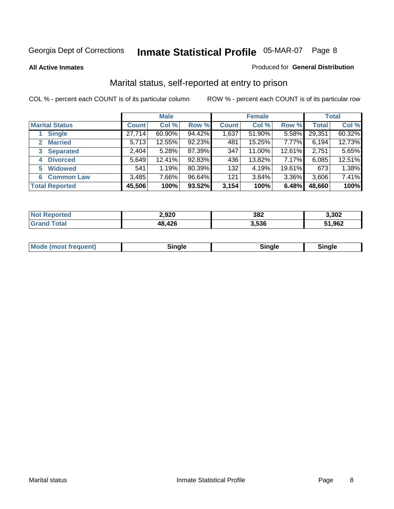#### **All Active Inmates**

#### Produced for **General Distribution**

### Marital status, self-reported at entry to prison

|                                |              | <b>Male</b> |        |              | <b>Female</b> |          |              | <b>Total</b> |
|--------------------------------|--------------|-------------|--------|--------------|---------------|----------|--------------|--------------|
| <b>Marital Status</b>          | <b>Count</b> | Col %       | Row %  | <b>Count</b> | Col %         | Row %    | <b>Total</b> | Col %        |
| <b>Single</b>                  | 27,714       | 60.90%      | 94.42% | 1,637        | 51.90%        | $5.58\%$ | 29,351       | 60.32%       |
| <b>Married</b><br>$\mathbf{2}$ | 5,713        | 12.55%      | 92.23% | 481          | 15.25%        | 7.77%    | 6,194        | 12.73%       |
| <b>Separated</b><br>3          | 2,404        | 5.28%       | 87.39% | 347          | 11.00%        | 12.61%   | 2,751        | 5.65%        |
| <b>Divorced</b><br>4           | 5,649        | 12.41%      | 92.83% | 436          | 13.82%        | 7.17%    | 6,085        | 12.51%       |
| <b>Widowed</b><br>5            | 541          | 1.19%       | 80.39% | 132          | 4.19%         | 19.61%   | 673          | 1.38%        |
| <b>Common Law</b><br>6         | 3,485        | 7.66%       | 96.64% | 121          | 3.84%         | 3.36%    | 3,606        | 7.41%        |
| <b>Total Reported</b>          | 45,506       | 100%        | 93.52% | 3,154        | 100%          | 6.48%    | 48,660       | 100%         |

| 2,920 | 382   | 3,302 |
|-------|-------|-------|
| 12c   | 3.536 | 1,962 |

| Mode (most frequent)<br>sinale:<br>11 | Sinale |
|---------------------------------------|--------|
|---------------------------------------|--------|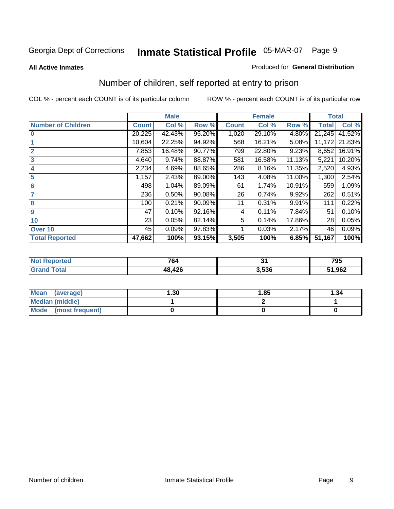#### **All Active Inmates**

#### Produced for **General Distribution**

### Number of children, self reported at entry to prison

|                           |              | <b>Male</b> |        |              | <b>Female</b> |        | <b>Total</b> |        |
|---------------------------|--------------|-------------|--------|--------------|---------------|--------|--------------|--------|
| <b>Number of Children</b> | <b>Count</b> | Col %       | Row %  | <b>Count</b> | Col %         | Row %  | <b>Total</b> | Col %  |
| $\bf{0}$                  | 20,225       | 42.43%      | 95.20% | 1,020        | 29.10%        | 4.80%  | 21,245       | 41.52% |
|                           | 10,604       | 22.25%      | 94.92% | 568          | 16.21%        | 5.08%  | 11,172       | 21.83% |
| $\overline{2}$            | 7,853        | 16.48%      | 90.77% | 799          | 22.80%        | 9.23%  | 8,652        | 16.91% |
| 3                         | 4,640        | 9.74%       | 88.87% | 581          | 16.58%        | 11.13% | 5,221        | 10.20% |
| 4                         | 2,234        | 4.69%       | 88.65% | 286          | 8.16%         | 11.35% | 2,520        | 4.93%  |
| 5                         | 1,157        | 2.43%       | 89.00% | 143          | 4.08%         | 11.00% | 1,300        | 2.54%  |
| $6\phantom{a}$            | 498          | 1.04%       | 89.09% | 61           | 1.74%         | 10.91% | 559          | 1.09%  |
| 7                         | 236          | 0.50%       | 90.08% | 26           | 0.74%         | 9.92%  | 262          | 0.51%  |
| 8                         | 100          | 0.21%       | 90.09% | 11           | 0.31%         | 9.91%  | 111          | 0.22%  |
| 9                         | 47           | 0.10%       | 92.16% | 4            | 0.11%         | 7.84%  | 51           | 0.10%  |
| 10                        | 23           | 0.05%       | 82.14% | 5            | 0.14%         | 17.86% | 28           | 0.05%  |
| Over 10                   | 45           | 0.09%       | 97.83% |              | 0.03%         | 2.17%  | 46           | 0.09%  |
| <b>Total Reported</b>     | 47,662       | 100%        | 93.15% | 3,505        | 100%          | 6.85%  | 51,167       | 100%   |

| . | 701<br>' 04<br>_____ | $\bullet$ .<br>$ -$ | 795  |
|---|----------------------|---------------------|------|
|   | AQC<br>.             | 3.536               | ,962 |

| <b>Mean</b><br>(average) | 1.30 | 1.85 | ∣.34 |
|--------------------------|------|------|------|
| <b>Median (middle)</b>   |      |      |      |
| Mode<br>(most frequent)  |      |      |      |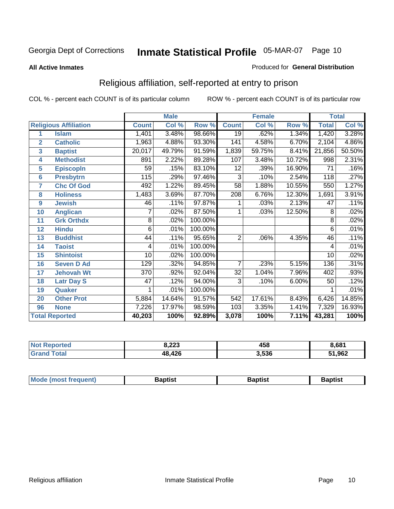#### **All Active Inmates**

#### Produced for **General Distribution**

### Religious affiliation, self-reported at entry to prison

|                  |                              |                 | <b>Male</b> |         |                 | <b>Female</b>             |        | <b>Total</b>        |        |
|------------------|------------------------------|-----------------|-------------|---------|-----------------|---------------------------|--------|---------------------|--------|
|                  | <b>Religious Affiliation</b> | <b>Count</b>    | Col %       | Row %   | <b>Count</b>    | $\overline{\text{Col}}$ % | Row %  | <b>Total</b>        | Col %  |
| 1                | <b>Islam</b>                 | 1,401           | 3.48%       | 98.66%  | $\overline{19}$ | .62%                      | 1.34%  | 1,420               | 3.28%  |
| $\overline{2}$   | <b>Catholic</b>              | 1,963           | 4.88%       | 93.30%  | 141             | 4.58%                     | 6.70%  | 2,104               | 4.86%  |
| 3                | <b>Baptist</b>               | 20,017          | 49.79%      | 91.59%  | 1,839           | 59.75%                    | 8.41%  | $\overline{2}1,856$ | 50.50% |
| 4                | <b>Methodist</b>             | 891             | 2.22%       | 89.28%  | 107             | 3.48%                     | 10.72% | 998                 | 2.31%  |
| 5                | <b>EpiscopIn</b>             | 59              | .15%        | 83.10%  | 12              | .39%                      | 16.90% | 71                  | .16%   |
| 6                | <b>Presbytrn</b>             | 115             | .29%        | 97.46%  | 3               | .10%                      | 2.54%  | 118                 | .27%   |
| 7                | <b>Chc Of God</b>            | 492             | 1.22%       | 89.45%  | $\overline{58}$ | 1.88%                     | 10.55% | 550                 | 1.27%  |
| 8                | <b>Holiness</b>              | 1,483           | 3.69%       | 87.70%  | 208             | 6.76%                     | 12.30% | 1,691               | 3.91%  |
| $\boldsymbol{9}$ | <b>Jewish</b>                | 46              | .11%        | 97.87%  | 1               | .03%                      | 2.13%  | 47                  | .11%   |
| 10               | <b>Anglican</b>              | 7               | .02%        | 87.50%  | 1               | .03%                      | 12.50% | 8                   | .02%   |
| 11               | <b>Grk Orthdx</b>            | 8               | .02%        | 100.00% |                 |                           |        | 8                   | .02%   |
| 12               | <b>Hindu</b>                 | 6               | .01%        | 100.00% |                 |                           |        | 6                   | .01%   |
| 13               | <b>Buddhist</b>              | 44              | .11%        | 95.65%  | $\overline{2}$  | .06%                      | 4.35%  | 46                  | .11%   |
| 14               | <b>Taoist</b>                | 4               | .01%        | 100.00% |                 |                           |        | 4                   | .01%   |
| 15               | <b>Shintoist</b>             | $\overline{10}$ | .02%        | 100.00% |                 |                           |        | $\overline{10}$     | .02%   |
| 16               | <b>Seven D Ad</b>            | 129             | .32%        | 94.85%  | 7               | .23%                      | 5.15%  | 136                 | .31%   |
| 17               | <b>Jehovah Wt</b>            | 370             | .92%        | 92.04%  | 32              | 1.04%                     | 7.96%  | 402                 | .93%   |
| 18               | <b>Latr Day S</b>            | 47              | .12%        | 94.00%  | 3               | .10%                      | 6.00%  | 50                  | .12%   |
| 19               | Quaker                       |                 | .01%        | 100.00% |                 |                           |        |                     | .01%   |
| 20               | <b>Other Prot</b>            | 5,884           | 14.64%      | 91.57%  | 542             | 17.61%                    | 8.43%  | 6,426               | 14.85% |
| 96               | <b>None</b>                  | 7,226           | 17.97%      | 98.59%  | 103             | 3.35%                     | 1.41%  | 7,329               | 16.93% |
|                  | <b>Total Reported</b>        | 40,203          | 100%        | 92.89%  | 3,078           | 100%                      | 7.11%  | 43,281              | 100%   |

| <b>Not</b><br><b>oorted</b> | 0.22<br>د ے.ه | 458   | 8,681  |
|-----------------------------|---------------|-------|--------|
| Γotal                       | 48,426        | 3,536 | 51,962 |

| <b>Mode</b><br>3aptist<br>3aptist<br>frequent)<br>Baptist<br><i><b>IMOST</b></i> |
|----------------------------------------------------------------------------------|
|----------------------------------------------------------------------------------|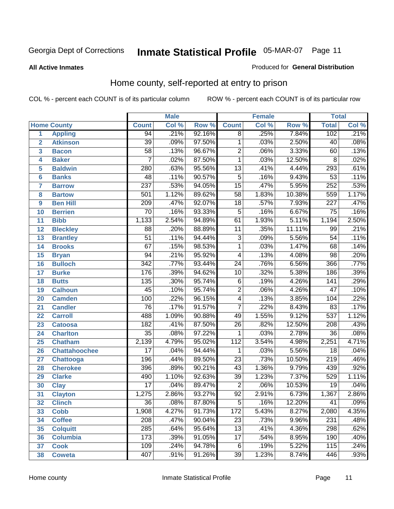#### **All Active Inmates**

#### Produced for **General Distribution**

### Home county, self-reported at entry to prison

|                 |                      |                  | <b>Male</b> |        |                  | <b>Female</b> |        | <b>Total</b>     |         |
|-----------------|----------------------|------------------|-------------|--------|------------------|---------------|--------|------------------|---------|
|                 | <b>Home County</b>   | <b>Count</b>     | Col %       | Row %  | <b>Count</b>     | Col %         | Row %  | <b>Total</b>     | Col %   |
| 1               | <b>Appling</b>       | $\overline{94}$  | .21%        | 92.16% | $\overline{8}$   | .25%          | 7.84%  | 102              | .21%    |
| $\overline{2}$  | <b>Atkinson</b>      | $\overline{39}$  | .09%        | 97.50% | $\mathbf{1}$     | .03%          | 2.50%  | $\overline{40}$  | .08%    |
| 3               | <b>Bacon</b>         | $\overline{58}$  | .13%        | 96.67% | $\overline{2}$   | .06%          | 3.33%  | 60               | .13%    |
| 4               | <b>Baker</b>         | $\overline{7}$   | .02%        | 87.50% | $\mathbf 1$      | .03%          | 12.50% | 8                | .02%    |
| 5               | <b>Baldwin</b>       | 280              | .63%        | 95.56% | $\overline{13}$  | .41%          | 4.44%  | 293              | .61%    |
| $6\phantom{1}6$ | <b>Banks</b>         | 48               | .11%        | 90.57% | $\overline{5}$   | .16%          | 9.43%  | $\overline{53}$  | .11%    |
| $\overline{7}$  | <b>Barrow</b>        | $\overline{237}$ | .53%        | 94.05% | $\overline{15}$  | .47%          | 5.95%  | 252              | .53%    |
| 8               | <b>Bartow</b>        | 501              | 1.12%       | 89.62% | $\overline{58}$  | 1.83%         | 10.38% | 559              | 1.17%   |
| 9               | <b>Ben Hill</b>      | 209              | .47%        | 92.07% | $\overline{18}$  | .57%          | 7.93%  | $\overline{227}$ | .47%    |
| 10              | <b>Berrien</b>       | $\overline{70}$  | .16%        | 93.33% | 5                | .16%          | 6.67%  | $\overline{75}$  | .16%    |
| 11              | <b>Bibb</b>          | 1,133            | 2.54%       | 94.89% | 61               | 1.93%         | 5.11%  | 1,194            | 2.50%   |
| 12              | <b>Bleckley</b>      | $\overline{88}$  | .20%        | 88.89% | 11               | .35%          | 11.11% | 99               | .21%    |
| 13              | <b>Brantley</b>      | $\overline{51}$  | .11%        | 94.44% | $\overline{3}$   | .09%          | 5.56%  | $\overline{54}$  | .11%    |
| 14              | <b>Brooks</b>        | $\overline{67}$  | .15%        | 98.53% | $\overline{1}$   | .03%          | 1.47%  | 68               | .14%    |
| 15              | <b>Bryan</b>         | $\overline{94}$  | .21%        | 95.92% | $\overline{4}$   | .13%          | 4.08%  | $\overline{98}$  | .20%    |
| 16              | <b>Bulloch</b>       | $\overline{342}$ | .77%        | 93.44% | $\overline{24}$  | .76%          | 6.56%  | 366              | .77%    |
| 17              | <b>Burke</b>         | 176              | .39%        | 94.62% | $\overline{10}$  | .32%          | 5.38%  | 186              | .39%    |
| 18              | <b>Butts</b>         | 135              | .30%        | 95.74% | $\overline{6}$   | .19%          | 4.26%  | $\overline{141}$ | .29%    |
| 19              | <b>Calhoun</b>       | $\overline{45}$  | .10%        | 95.74% | $\overline{2}$   | .06%          | 4.26%  | $\overline{47}$  | .10%    |
| 20              | <b>Camden</b>        | 100              | .22%        | 96.15% | $\overline{4}$   | .13%          | 3.85%  | 104              | .22%    |
| 21              | <b>Candler</b>       | $\overline{76}$  | .17%        | 91.57% | $\overline{7}$   | .22%          | 8.43%  | 83               | .17%    |
| 22              | <b>Carroll</b>       | 488              | 1.09%       | 90.88% | 49               | 1.55%         | 9.12%  | $\overline{537}$ | 1.12%   |
| 23              | <b>Catoosa</b>       | 182              | .41%        | 87.50% | $\overline{26}$  | .82%          | 12.50% | $\overline{208}$ | .43%    |
| 24              | <b>Charlton</b>      | $\overline{35}$  | .08%        | 97.22% | 1                | .03%          | 2.78%  | 36               | .08%    |
| 25              | <b>Chatham</b>       | 2,139            | 4.79%       | 95.02% | $\overline{112}$ | 3.54%         | 4.98%  | 2,251            | 4.71%   |
| 26              | <b>Chattahoochee</b> | $\overline{17}$  | .04%        | 94.44% | 1                | .03%          | 5.56%  | 18               | .04%    |
| 27              | <b>Chattooga</b>     | 196              | .44%        | 89.50% | $\overline{23}$  | .73%          | 10.50% | $\overline{219}$ | .46%    |
| 28              | <b>Cherokee</b>      | 396              | .89%        | 90.21% | 43               | 1.36%         | 9.79%  | 439              | .92%    |
| 29              | <b>Clarke</b>        | 490              | 1.10%       | 92.63% | $\overline{39}$  | 1.23%         | 7.37%  | 529              | 1.11%   |
| 30              | <b>Clay</b>          | $\overline{17}$  | .04%        | 89.47% | $\overline{2}$   | .06%          | 10.53% | $\overline{19}$  | .04%    |
| $\overline{31}$ | <b>Clayton</b>       | 1,275            | 2.86%       | 93.27% | $\overline{92}$  | 2.91%         | 6.73%  | 1,367            | 2.86%   |
| 32              | <b>Clinch</b>        | 36               | .08%        | 87.80% | 5                | .16%          | 12.20% | 41               | $.09\%$ |
| 33              | <b>Cobb</b>          | 1,908            | 4.27%       | 91.73% | 172              | 5.43%         | 8.27%  | 2,080            | 4.35%   |
| 34              | <b>Coffee</b>        | 208              | .47%        | 90.04% | $\overline{23}$  | .73%          | 9.96%  | 231              | .48%    |
| 35              | <b>Colquitt</b>      | 285              | .64%        | 95.64% | $\overline{13}$  | .41%          | 4.36%  | 298              | .62%    |
| 36              | <b>Columbia</b>      | $\overline{173}$ | .39%        | 91.05% | 17               | .54%          | 8.95%  | 190              | .40%    |
| 37              | <b>Cook</b>          | 109              | .24%        | 94.78% | $\,6$            | .19%          | 5.22%  | 115              | .24%    |
| 38              | <b>Coweta</b>        | 407              | .91%        | 91.26% | $\overline{39}$  | 1.23%         | 8.74%  | 446              | .93%    |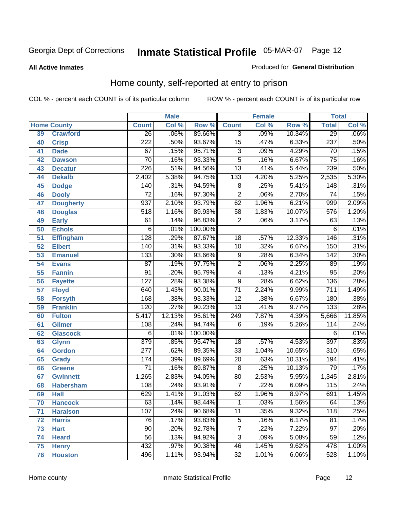#### **All Active Inmates**

#### Produced for **General Distribution**

### Home county, self-reported at entry to prison

|                 |                    | <b>Male</b><br><b>Female</b> |        |                  | <b>Total</b>    |       |        |                  |        |
|-----------------|--------------------|------------------------------|--------|------------------|-----------------|-------|--------|------------------|--------|
|                 | <b>Home County</b> | <b>Count</b>                 | Col %  | Row <sup>%</sup> | <b>Count</b>    | Col % | Row %  | <b>Total</b>     | Col %  |
| 39              | <b>Crawford</b>    | $\overline{26}$              | .06%   | 89.66%           | $\overline{3}$  | .09%  | 10.34% | 29               | .06%   |
| 40              | <b>Crisp</b>       | $\overline{222}$             | .50%   | 93.67%           | $\overline{15}$ | .47%  | 6.33%  | 237              | .50%   |
| 41              | <b>Dade</b>        | 67                           | .15%   | 95.71%           | $\overline{3}$  | .09%  | 4.29%  | 70               | .15%   |
| 42              | <b>Dawson</b>      | $\overline{70}$              | .16%   | 93.33%           | $\overline{5}$  | .16%  | 6.67%  | $\overline{75}$  | .16%   |
| 43              | <b>Decatur</b>     | $\overline{226}$             | .51%   | 94.56%           | $\overline{13}$ | .41%  | 5.44%  | 239              | .50%   |
| 44              | <b>Dekalb</b>      | 2,402                        | 5.38%  | 94.75%           | 133             | 4.20% | 5.25%  | 2,535            | 5.30%  |
| 45              | <b>Dodge</b>       | 140                          | .31%   | 94.59%           | $\overline{8}$  | .25%  | 5.41%  | 148              | .31%   |
| 46              | <b>Dooly</b>       | $\overline{72}$              | .16%   | 97.30%           | $\overline{2}$  | .06%  | 2.70%  | $\overline{74}$  | .15%   |
| 47              | <b>Dougherty</b>   | $\overline{937}$             | 2.10%  | 93.79%           | 62              | 1.96% | 6.21%  | 999              | 2.09%  |
| 48              | <b>Douglas</b>     | $\overline{518}$             | 1.16%  | 89.93%           | $\overline{58}$ | 1.83% | 10.07% | 576              | 1.20%  |
| 49              | <b>Early</b>       | 61                           | .14%   | 96.83%           | $\overline{2}$  | .06%  | 3.17%  | 63               | .13%   |
| 50              | <b>Echols</b>      | $\overline{6}$               | .01%   | 100.00%          |                 |       |        | 6                | .01%   |
| $\overline{51}$ | Effingham          | 128                          | .29%   | 87.67%           | 18              | .57%  | 12.33% | 146              | .31%   |
| 52              | <b>Elbert</b>      | 140                          | .31%   | 93.33%           | $\overline{10}$ | .32%  | 6.67%  | 150              | .31%   |
| 53              | <b>Emanuel</b>     | 133                          | .30%   | 93.66%           | $\overline{9}$  | .28%  | 6.34%  | 142              | .30%   |
| 54              | <b>Evans</b>       | $\overline{87}$              | .19%   | 97.75%           | $\overline{2}$  | .06%  | 2.25%  | 89               | .19%   |
| 55              | <b>Fannin</b>      | $\overline{91}$              | .20%   | 95.79%           | $\overline{4}$  | .13%  | 4.21%  | $\overline{95}$  | .20%   |
| 56              | <b>Fayette</b>     | $\overline{127}$             | .28%   | 93.38%           | $\overline{9}$  | .28%  | 6.62%  | 136              | .28%   |
| 57              | <b>Floyd</b>       | 640                          | 1.43%  | 90.01%           | $\overline{71}$ | 2.24% | 9.99%  | $\overline{711}$ | 1.49%  |
| 58              | <b>Forsyth</b>     | 168                          | .38%   | 93.33%           | $\overline{12}$ | .38%  | 6.67%  | 180              | .38%   |
| 59              | <b>Franklin</b>    | 120                          | .27%   | 90.23%           | $\overline{13}$ | .41%  | 9.77%  | $\overline{133}$ | .28%   |
| 60              | <b>Fulton</b>      | 5,417                        | 12.13% | 95.61%           | 249             | 7.87% | 4.39%  | 5,666            | 11.85% |
| 61              | Gilmer             | $\overline{108}$             | .24%   | 94.74%           | 6               | .19%  | 5.26%  | 114              | .24%   |
| 62              | <b>Glascock</b>    | $\overline{6}$               | .01%   | 100.00%          |                 |       |        | $\overline{6}$   | .01%   |
| 63              | <b>Glynn</b>       | $\overline{379}$             | .85%   | 95.47%           | 18              | .57%  | 4.53%  | 397              | .83%   |
| 64              | <b>Gordon</b>      | $\overline{277}$             | .62%   | 89.35%           | $\overline{33}$ | 1.04% | 10.65% | $\overline{310}$ | .65%   |
| 65              | <b>Grady</b>       | 174                          | .39%   | 89.69%           | $\overline{20}$ | .63%  | 10.31% | 194              | .41%   |
| 66              | <b>Greene</b>      | $\overline{71}$              | .16%   | 89.87%           | $\overline{8}$  | .25%  | 10.13% | 79               | .17%   |
| 67              | <b>Gwinnett</b>    | 1,265                        | 2.83%  | 94.05%           | 80              | 2.53% | 5.95%  | 1,345            | 2.81%  |
| 68              | <b>Habersham</b>   | 108                          | .24%   | 93.91%           | $\overline{7}$  | .22%  | 6.09%  | 115              | .24%   |
| 69              | <b>Hall</b>        | 629                          | 1.41%  | 91.03%           | 62              | 1.96% | 8.97%  | 691              | 1.45%  |
| 70              | <b>Hancock</b>     | 63                           | .14%   | 98.44%           | 1               | .03%  | 1.56%  | 64               | .13%   |
| 71              | <b>Haralson</b>    | 107                          | .24%   | 90.68%           | $\overline{11}$ | .35%  | 9.32%  | 118              | .25%   |
| 72              | <b>Harris</b>      | $\overline{76}$              | .17%   | 93.83%           | $\overline{5}$  | .16%  | 6.17%  | 81               | .17%   |
| 73              | <b>Hart</b>        | $\overline{90}$              | .20%   | 92.78%           | $\overline{7}$  | .22%  | 7.22%  | $\overline{97}$  | .20%   |
| 74              | <b>Heard</b>       | $\overline{56}$              | .13%   | 94.92%           | $\overline{3}$  | .09%  | 5.08%  | 59               | .12%   |
| 75              | <b>Henry</b>       | 432                          | .97%   | 90.38%           | 46              | 1.45% | 9.62%  | 478              | 1.00%  |
| 76              | <b>Houston</b>     | 496                          | 1.11%  | 93.94%           | $\overline{32}$ | 1.01% | 6.06%  | 528              | 1.10%  |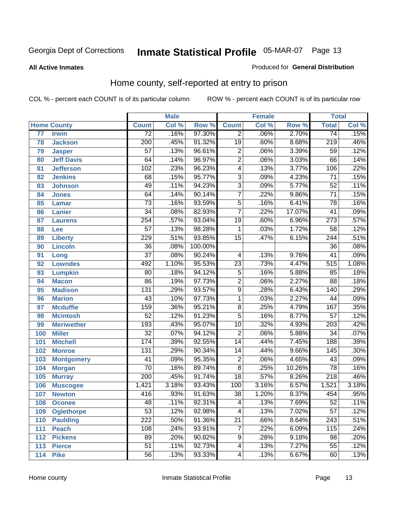#### **All Active Inmates**

#### Produced for **General Distribution**

### Home county, self-reported at entry to prison

|     |                    |                  | <b>Male</b> |         |                 | <b>Female</b> |        | <b>Total</b>     |       |
|-----|--------------------|------------------|-------------|---------|-----------------|---------------|--------|------------------|-------|
|     | <b>Home County</b> | <b>Count</b>     | Col %       | Row %   | <b>Count</b>    | Col %         | Row %  | <b>Total</b>     | Col % |
| 77  | <b>Irwin</b>       | $\overline{72}$  | .16%        | 97.30%  | $\overline{2}$  | .06%          | 2.70%  | $\overline{74}$  | .15%  |
| 78  | <b>Jackson</b>     | $\overline{200}$ | .45%        | 91.32%  | $\overline{19}$ | .60%          | 8.68%  | 219              | .46%  |
| 79  | <b>Jasper</b>      | $\overline{57}$  | .13%        | 96.61%  | $\overline{2}$  | .06%          | 3.39%  | $\overline{59}$  | .12%  |
| 80  | <b>Jeff Davis</b>  | 64               | .14%        | 96.97%  | $\overline{2}$  | .06%          | 3.03%  | 66               | .14%  |
| 81  | <b>Jefferson</b>   | 102              | .23%        | 96.23%  | $\overline{4}$  | .13%          | 3.77%  | 106              | .22%  |
| 82  | <b>Jenkins</b>     | 68               | .15%        | 95.77%  | $\overline{3}$  | .09%          | 4.23%  | $\overline{71}$  | .15%  |
| 83  | <b>Johnson</b>     | 49               | .11%        | 94.23%  | $\overline{3}$  | .09%          | 5.77%  | $\overline{52}$  | .11%  |
| 84  | <b>Jones</b>       | 64               | .14%        | 90.14%  | $\overline{7}$  | .22%          | 9.86%  | $\overline{71}$  | .15%  |
| 85  | <b>Lamar</b>       | $\overline{73}$  | .16%        | 93.59%  | $\overline{5}$  | .16%          | 6.41%  | $\overline{78}$  | .16%  |
| 86  | <b>Lanier</b>      | $\overline{34}$  | .08%        | 82.93%  | $\overline{7}$  | .22%          | 17.07% | 41               | .09%  |
| 87  | <b>Laurens</b>     | 254              | .57%        | 93.04%  | $\overline{19}$ | .60%          | 6.96%  | $\overline{273}$ | .57%  |
| 88  | Lee                | $\overline{57}$  | .13%        | 98.28%  | 1               | .03%          | 1.72%  | 58               | .12%  |
| 89  | <b>Liberty</b>     | $\overline{229}$ | .51%        | 93.85%  | $\overline{15}$ | .47%          | 6.15%  | 244              | .51%  |
| 90  | <b>Lincoln</b>     | $\overline{36}$  | .08%        | 100.00% |                 |               |        | 36               | .08%  |
| 91  | Long               | $\overline{37}$  | .08%        | 90.24%  | 4               | .13%          | 9.76%  | $\overline{41}$  | .09%  |
| 92  | <b>Lowndes</b>     | 492              | 1.10%       | 95.53%  | $\overline{23}$ | .73%          | 4.47%  | 515              | 1.08% |
| 93  | <b>Lumpkin</b>     | $\overline{80}$  | .18%        | 94.12%  | $\overline{5}$  | .16%          | 5.88%  | $\overline{85}$  | .18%  |
| 94  | <b>Macon</b>       | 86               | .19%        | 97.73%  | $\overline{2}$  | .06%          | 2.27%  | 88               | .18%  |
| 95  | <b>Madison</b>     | $\overline{131}$ | .29%        | 93.57%  | $\overline{9}$  | .28%          | 6.43%  | 140              | .29%  |
| 96  | <b>Marion</b>      | $\overline{43}$  | .10%        | 97.73%  | 1               | .03%          | 2.27%  | 44               | .09%  |
| 97  | <b>Mcduffie</b>    | 159              | .36%        | 95.21%  | $\overline{8}$  | .25%          | 4.79%  | 167              | .35%  |
| 98  | <b>Mcintosh</b>    | $\overline{52}$  | .12%        | 91.23%  | $\overline{5}$  | .16%          | 8.77%  | $\overline{57}$  | .12%  |
| 99  | <b>Meriwether</b>  | 193              | .43%        | 95.07%  | $\overline{10}$ | .32%          | 4.93%  | $\overline{203}$ | .42%  |
| 100 | <b>Miller</b>      | $\overline{32}$  | .07%        | 94.12%  | $\overline{2}$  | .06%          | 5.88%  | $\overline{34}$  | .07%  |
| 101 | <b>Mitchell</b>    | 174              | .39%        | 92.55%  | $\overline{14}$ | .44%          | 7.45%  | 188              | .39%  |
| 102 | <b>Monroe</b>      | 131              | .29%        | 90.34%  | $\overline{14}$ | .44%          | 9.66%  | 145              | .30%  |
| 103 | <b>Montgomery</b>  | $\overline{41}$  | .09%        | 95.35%  | $\overline{2}$  | .06%          | 4.65%  | $\overline{43}$  | .09%  |
| 104 | <b>Morgan</b>      | $\overline{70}$  | .16%        | 89.74%  | $\overline{8}$  | .25%          | 10.26% | 78               | .16%  |
| 105 | <b>Murray</b>      | $\overline{200}$ | .45%        | 91.74%  | $\overline{18}$ | .57%          | 8.26%  | $\overline{218}$ | .46%  |
| 106 | <b>Muscogee</b>    | 1,421            | 3.18%       | 93.43%  | 100             | 3.16%         | 6.57%  | 1,521            | 3.18% |
| 107 | <b>Newton</b>      | 416              | .93%        | 91.63%  | $\overline{38}$ | 1.20%         | 8.37%  | 454              | .95%  |
| 108 | <b>Oconee</b>      | 48               | .11%        | 92.31%  | 4               | .13%          | 7.69%  | 52               | .11%  |
| 109 | <b>Oglethorpe</b>  | $\overline{53}$  | .12%        | 92.98%  | 4               | .13%          | 7.02%  | $\overline{57}$  | .12%  |
| 110 | <b>Paulding</b>    | $\overline{222}$ | .50%        | 91.36%  | $\overline{21}$ | .66%          | 8.64%  | 243              | .51%  |
| 111 | <b>Peach</b>       | 108              | .24%        | 93.91%  | $\overline{7}$  | .22%          | 6.09%  | 115              | .24%  |
| 112 | <b>Pickens</b>     | 89               | .20%        | 90.82%  | 9               | .28%          | 9.18%  | 98               | .20%  |
| 113 | <b>Pierce</b>      | $\overline{51}$  | .11%        | 92.73%  | 4               | .13%          | 7.27%  | 55               | .12%  |
| 114 | <b>Pike</b>        | 56               | .13%        | 93.33%  | 4               | .13%          | 6.67%  | 60               | .13%  |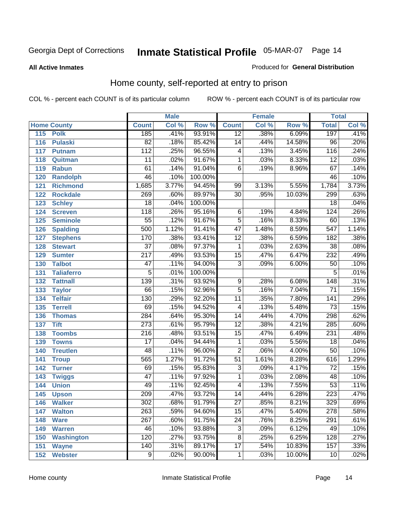#### **All Active Inmates**

#### Produced for **General Distribution**

### Home county, self-reported at entry to prison

|     |                    |                  | <b>Male</b> |         |                         | <b>Female</b> |        | <b>Total</b>     |       |
|-----|--------------------|------------------|-------------|---------|-------------------------|---------------|--------|------------------|-------|
|     | <b>Home County</b> | <b>Count</b>     | Col %       | Row %   | <b>Count</b>            | Col %         | Row %  | <b>Total</b>     | Col % |
| 115 | <b>Polk</b>        | 185              | .41%        | 93.91%  | $\overline{12}$         | .38%          | 6.09%  | 197              | .41%  |
| 116 | <b>Pulaski</b>     | $\overline{82}$  | .18%        | 85.42%  | $\overline{14}$         | .44%          | 14.58% | $\overline{96}$  | .20%  |
| 117 | <b>Putnam</b>      | 112              | .25%        | 96.55%  | 4                       | .13%          | 3.45%  | 116              | .24%  |
| 118 | Quitman            | $\overline{11}$  | .02%        | 91.67%  | 1                       | .03%          | 8.33%  | $\overline{12}$  | .03%  |
| 119 | <b>Rabun</b>       | 61               | .14%        | 91.04%  | $\overline{6}$          | .19%          | 8.96%  | 67               | .14%  |
| 120 | Randolph           | 46               | .10%        | 100.00% |                         |               |        | 46               | .10%  |
| 121 | <b>Richmond</b>    | 1,685            | 3.77%       | 94.45%  | 99                      | 3.13%         | 5.55%  | 1,784            | 3.73% |
| 122 | <b>Rockdale</b>    | 269              | .60%        | 89.97%  | $\overline{30}$         | .95%          | 10.03% | 299              | .63%  |
| 123 | <b>Schley</b>      | $\overline{18}$  | .04%        | 100.00% |                         |               |        | $\overline{18}$  | .04%  |
| 124 | <b>Screven</b>     | $\overline{118}$ | .26%        | 95.16%  | 6                       | .19%          | 4.84%  | 124              | .26%  |
| 125 | <b>Seminole</b>    | $\overline{55}$  | .12%        | 91.67%  | $\overline{5}$          | .16%          | 8.33%  | 60               | .13%  |
| 126 | <b>Spalding</b>    | 500              | 1.12%       | 91.41%  | $\overline{47}$         | 1.48%         | 8.59%  | $\overline{547}$ | 1.14% |
| 127 | <b>Stephens</b>    | 170              | .38%        | 93.41%  | $\overline{12}$         | .38%          | 6.59%  | 182              | .38%  |
| 128 | <b>Stewart</b>     | $\overline{37}$  | .08%        | 97.37%  | 1                       | .03%          | 2.63%  | $\overline{38}$  | .08%  |
| 129 | <b>Sumter</b>      | $\overline{217}$ | .49%        | 93.53%  | $\overline{15}$         | .47%          | 6.47%  | 232              | .49%  |
| 130 | <b>Talbot</b>      | $\overline{47}$  | .11%        | 94.00%  | $\overline{3}$          | .09%          | 6.00%  | $\overline{50}$  | .10%  |
| 131 | <b>Taliaferro</b>  | $\overline{5}$   | .01%        | 100.00% |                         |               |        | 5                | .01%  |
| 132 | <b>Tattnall</b>    | 139              | .31%        | 93.92%  | 9                       | .28%          | 6.08%  | 148              | .31%  |
| 133 | <b>Taylor</b>      | 66               | .15%        | 92.96%  | $\overline{5}$          | .16%          | 7.04%  | $\overline{71}$  | .15%  |
| 134 | <b>Telfair</b>     | 130              | .29%        | 92.20%  | $\overline{11}$         | .35%          | 7.80%  | 141              | .29%  |
| 135 | <b>Terrell</b>     | 69               | .15%        | 94.52%  | $\overline{\mathbf{4}}$ | .13%          | 5.48%  | $\overline{73}$  | .15%  |
| 136 | <b>Thomas</b>      | 284              | .64%        | 95.30%  | $\overline{14}$         | .44%          | 4.70%  | 298              | .62%  |
| 137 | <b>Tift</b>        | $\overline{273}$ | .61%        | 95.79%  | $\overline{12}$         | .38%          | 4.21%  | 285              | .60%  |
| 138 | <b>Toombs</b>      | $\overline{216}$ | .48%        | 93.51%  | $\overline{15}$         | .47%          | 6.49%  | 231              | .48%  |
| 139 | <b>Towns</b>       | $\overline{17}$  | .04%        | 94.44%  | $\mathbf{1}$            | .03%          | 5.56%  | $\overline{18}$  | .04%  |
| 140 | <b>Treutlen</b>    | 48               | .11%        | 96.00%  | $\overline{2}$          | .06%          | 4.00%  | $\overline{50}$  | .10%  |
| 141 | <b>Troup</b>       | 565              | 1.27%       | 91.72%  | $\overline{51}$         | 1.61%         | 8.28%  | 616              | 1.29% |
| 142 | <b>Turner</b>      | 69               | .15%        | 95.83%  | $\overline{3}$          | .09%          | 4.17%  | $\overline{72}$  | .15%  |
| 143 | <b>Twiggs</b>      | $\overline{47}$  | .11%        | 97.92%  | 1                       | .03%          | 2.08%  | 48               | .10%  |
| 144 | <b>Union</b>       | 49               | .11%        | 92.45%  | $\overline{4}$          | .13%          | 7.55%  | $\overline{53}$  | .11%  |
| 145 | <b>Upson</b>       | $\overline{209}$ | .47%        | 93.72%  | $\overline{14}$         | .44%          | 6.28%  | 223              | .47%  |
| 146 | <b>Walker</b>      | 302              | .68%        | 91.79%  | 27                      | .85%          | 8.21%  | 329              | .69%  |
| 147 | <b>Walton</b>      | 263              | .59%        | 94.60%  | $\overline{15}$         | .47%          | 5.40%  | 278              | .58%  |
| 148 | <b>Ware</b>        | $\overline{267}$ | .60%        | 91.75%  | $\overline{24}$         | .76%          | 8.25%  | 291              | .61%  |
| 149 | <b>Warren</b>      | 46               | .10%        | 93.88%  | $\overline{3}$          | .09%          | 6.12%  | 49               | .10%  |
| 150 | <b>Washington</b>  | 120              | .27%        | 93.75%  | $\overline{8}$          | .25%          | 6.25%  | 128              | .27%  |
| 151 | <b>Wayne</b>       | 140              | .31%        | 89.17%  | $\overline{17}$         | .54%          | 10.83% | 157              | .33%  |
| 152 | <b>Webster</b>     | $\overline{9}$   | .02%        | 90.00%  | 1                       | .03%          | 10.00% | 10               | .02%  |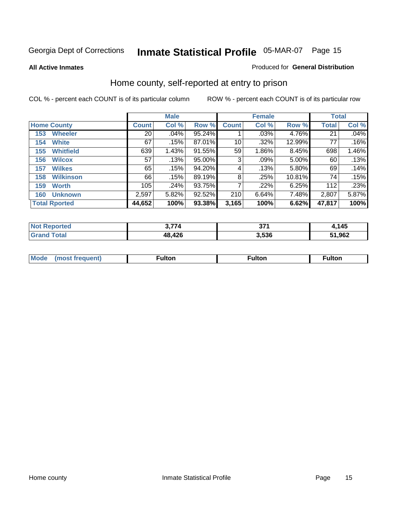#### **All Active Inmates**

#### Produced for **General Distribution**

### Home county, self-reported at entry to prison

|                         |                 | <b>Male</b> |        |              | <b>Female</b> |        |              | <b>Total</b> |  |
|-------------------------|-----------------|-------------|--------|--------------|---------------|--------|--------------|--------------|--|
| <b>Home County</b>      | <b>Count</b>    | Col %       | Row %  | <b>Count</b> | Col %         | Row %  | <b>Total</b> | Col %        |  |
| <b>Wheeler</b><br>153   | $\overline{20}$ | .04%        | 95.24% |              | .03%          | 4.76%  | 21           | .04%         |  |
| <b>White</b><br>154     | 67              | .15%        | 87.01% | 10           | .32%          | 12.99% | 77           | .16%         |  |
| <b>Whitfield</b><br>155 | 639             | 1.43%       | 91.55% | 59           | 1.86%         | 8.45%  | 698          | 1.46%        |  |
| <b>Wilcox</b><br>156    | 57              | .13%        | 95.00% | 3            | .09%          | 5.00%  | 60           | .13%         |  |
| <b>Wilkes</b><br>157    | 65              | .15%        | 94.20% | 4            | .13%          | 5.80%  | 69           | .14%         |  |
| <b>Wilkinson</b><br>158 | 66              | .15%        | 89.19% | 8            | .25%          | 10.81% | 74           | .15%         |  |
| <b>Worth</b><br>159     | 105             | .24%        | 93.75% |              | .22%          | 6.25%  | 112          | .23%         |  |
| <b>Unknown</b><br>160   | 2,597           | 5.82%       | 92.52% | 210          | 6.64%         | 7.48%  | 2,807        | 5.87%        |  |
| <b>Total Rported</b>    | 44,652          | 100%        | 93.38% | 3,165        | 100%          | 6.62%  | 47,817       | 100%         |  |

| rted<br><b>Not</b> | $\rightarrow$ | ヘライ  | 145    |
|--------------------|---------------|------|--------|
| <b>cotal</b>       | ,426<br>18    | .536 | 51,962 |

| <b>Mode</b> | ---<br>.tor | <b>ulton</b> | . |
|-------------|-------------|--------------|---|
|             |             |              |   |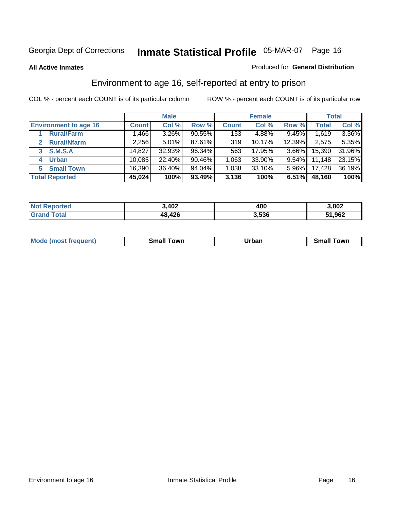#### **All Active Inmates**

#### Produced for **General Distribution**

### Environment to age 16, self-reported at entry to prison

|                              |              | <b>Male</b> |           |              | <b>Female</b> |          |              | <b>Total</b> |
|------------------------------|--------------|-------------|-----------|--------------|---------------|----------|--------------|--------------|
| <b>Environment to age 16</b> | <b>Count</b> | Col %       | Row %     | <b>Count</b> | Col %         | Row %    | <b>Total</b> | Col %        |
| <b>Rural/Farm</b>            | 1.466        | 3.26%       | $90.55\%$ | 153          | 4.88%         | 9.45%    | 1,619        | $3.36\%$     |
| <b>Rural/Nfarm</b>           | 2,256        | 5.01%       | 87.61%    | 319          | 10.17%        | 12.39%   | 2,575        | 5.35%        |
| <b>S.M.S.A</b><br>3          | 14.827       | 32.93%      | 96.34%    | 563          | 17.95%        | $3.66\%$ | 15,390       | 31.96%       |
| <b>Urban</b><br>4            | 10,085       | 22.40%      | 90.46%    | 1,063        | 33.90%        | $9.54\%$ | 11,148       | 23.15%       |
| <b>Small Town</b><br>5.      | 16,390       | 36.40%      | 94.04%    | 1,038        | $33.10\%$     | $5.96\%$ | 17,428       | 36.19%       |
| <b>Total Reported</b>        | 45,024       | 100%        | 93.49%    | 3,136        | 100%          | 6.51%    | 48,160       | 100%         |

| <b>Not</b><br>Reported | 3,402       | 400   | 3,802  |
|------------------------|-------------|-------|--------|
| Total                  | ,426<br>48, | 3,536 | 51,962 |

| Mo<br>. . | . owr | <u>'''' ''</u><br>roa<br>_____ | .0W <sub>r</sub> |
|-----------|-------|--------------------------------|------------------|
|           |       |                                |                  |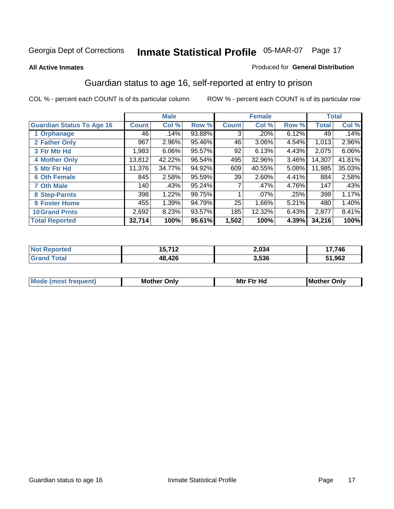#### **All Active Inmates**

#### Produced for **General Distribution**

### Guardian status to age 16, self-reported at entry to prison

|                                  |              | <b>Male</b> |        |              | <b>Female</b> |          |              | <b>Total</b> |
|----------------------------------|--------------|-------------|--------|--------------|---------------|----------|--------------|--------------|
| <b>Guardian Status To Age 16</b> | <b>Count</b> | Col %       | Row %  | <b>Count</b> | Col %         | Row %    | <b>Total</b> | Col %        |
| 1 Orphanage                      | 46           | .14%        | 93.88% | 3            | .20%          | 6.12%    | 49           | .14%         |
| 2 Father Only                    | 967          | 2.96%       | 95.46% | 46           | 3.06%         | 4.54%    | 1,013        | 2.96%        |
| 3 Ftr Mtr Hd                     | 1,983        | 6.06%       | 95.57% | 92           | 6.13%         | 4.43%    | 2,075        | 6.06%        |
| <b>4 Mother Only</b>             | 13,812       | 42.22%      | 96.54% | 495          | 32.96%        | $3.46\%$ | 14,307       | 41.81%       |
| 5 Mtr Ftr Hd                     | 11,376       | 34.77%      | 94.92% | 609          | 40.55%        | 5.08%    | 11,985       | 35.03%       |
| <b>6 Oth Female</b>              | 845          | 2.58%       | 95.59% | 39           | 2.60%         | 4.41%    | 884          | 2.58%        |
| <b>7 Oth Male</b>                | 140          | .43%        | 95.24% |              | .47%          | 4.76%    | 147          | .43%         |
| 8 Step-Parnts                    | 398          | 1.22%       | 99.75% |              | $.07\%$       | .25%     | 399          | 1.17%        |
| <b>9 Foster Home</b>             | 455          | 1.39%       | 94.79% | 25           | 1.66%         | 5.21%    | 480          | 1.40%        |
| <b>10 Grand Prnts</b>            | 2,692        | 8.23%       | 93.57% | 185          | 12.32%        | 6.43%    | 2,877        | 8.41%        |
| <b>Total Reported</b>            | 32,714       | 100%        | 95.61% | 1,502        | 100%          | 4.39%    | 34,216       | 100%         |

| <b>Not Reported</b> | E 749<br>15,712 | 2,034 | 17,746 |
|---------------------|-----------------|-------|--------|
| <b>Grand Total</b>  | 48,426          | 3,536 | 51,962 |

| <b>Mou</b> | Mother<br>Onlv | Hд<br>Mtr Ftr | Only<br>lMoth |
|------------|----------------|---------------|---------------|
|            |                |               |               |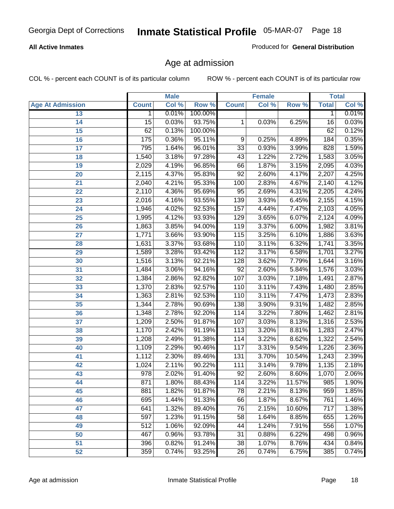#### **All Active Inmates**

Produced for **General Distribution**

### Age at admission

|                         | <b>Male</b>  |       | <b>Female</b> |                 |       | <b>Total</b> |              |       |
|-------------------------|--------------|-------|---------------|-----------------|-------|--------------|--------------|-------|
| <b>Age At Admission</b> | <b>Count</b> | Col % | Row %         | <b>Count</b>    | Col % | Row %        | <b>Total</b> | Col % |
| 13                      | $\mathbf 1$  | 0.01% | 100.00%       |                 |       |              | 1            | 0.01% |
| 14                      | 15           | 0.03% | 93.75%        | 1               | 0.03% | 6.25%        | 16           | 0.03% |
| 15                      | 62           | 0.13% | 100.00%       |                 |       |              | 62           | 0.12% |
| 16                      | 175          | 0.36% | 95.11%        | 9               | 0.25% | 4.89%        | 184          | 0.35% |
| $\overline{17}$         | 795          | 1.64% | 96.01%        | $\overline{33}$ | 0.93% | 3.99%        | 828          | 1.59% |
| 18                      | 1,540        | 3.18% | 97.28%        | 43              | 1.22% | 2.72%        | 1,583        | 3.05% |
| 19                      | 2,029        | 4.19% | 96.85%        | 66              | 1.87% | 3.15%        | 2,095        | 4.03% |
| 20                      | 2,115        | 4.37% | 95.83%        | $\overline{92}$ | 2.60% | 4.17%        | 2,207        | 4.25% |
| 21                      | 2,040        | 4.21% | 95.33%        | 100             | 2.83% | 4.67%        | 2,140        | 4.12% |
| 22                      | 2,110        | 4.36% | 95.69%        | 95              | 2.69% | 4.31%        | 2,205        | 4.24% |
| 23                      | 2,016        | 4.16% | 93.55%        | 139             | 3.93% | 6.45%        | 2,155        | 4.15% |
| 24                      | 1,946        | 4.02% | 92.53%        | 157             | 4.44% | 7.47%        | 2,103        | 4.05% |
| $\overline{25}$         | 1,995        | 4.12% | 93.93%        | 129             | 3.65% | 6.07%        | 2,124        | 4.09% |
| 26                      | 1,863        | 3.85% | 94.00%        | 119             | 3.37% | 6.00%        | 1,982        | 3.81% |
| 27                      | 1,771        | 3.66% | 93.90%        | 115             | 3.25% | 6.10%        | 1,886        | 3.63% |
| 28                      | 1,631        | 3.37% | 93.68%        | 110             | 3.11% | 6.32%        | 1,741        | 3.35% |
| 29                      | 1,589        | 3.28% | 93.42%        | 112             | 3.17% | 6.58%        | 1,701        | 3.27% |
| 30                      | 1,516        | 3.13% | 92.21%        | 128             | 3.62% | 7.79%        | 1,644        | 3.16% |
| 31                      | 1,484        | 3.06% | 94.16%        | $\overline{92}$ | 2.60% | 5.84%        | 1,576        | 3.03% |
| 32                      | 1,384        | 2.86% | 92.82%        | 107             | 3.03% | 7.18%        | 1,491        | 2.87% |
| 33                      | 1,370        | 2.83% | 92.57%        | 110             | 3.11% | 7.43%        | 1,480        | 2.85% |
| 34                      | 1,363        | 2.81% | 92.53%        | 110             | 3.11% | 7.47%        | 1,473        | 2.83% |
| 35                      | 1,344        | 2.78% | 90.69%        | 138             | 3.90% | 9.31%        | 1,482        | 2.85% |
| 36                      | 1,348        | 2.78% | 92.20%        | 114             | 3.22% | 7.80%        | 1,462        | 2.81% |
| 37                      | 1,209        | 2.50% | 91.87%        | 107             | 3.03% | 8.13%        | 1,316        | 2.53% |
| 38                      | 1,170        | 2.42% | 91.19%        | 113             | 3.20% | 8.81%        | 1,283        | 2.47% |
| 39                      | 1,208        | 2.49% | 91.38%        | 114             | 3.22% | 8.62%        | 1,322        | 2.54% |
| 40                      | 1,109        | 2.29% | 90.46%        | 117             | 3.31% | 9.54%        | 1,226        | 2.36% |
| 41                      | 1,112        | 2.30% | 89.46%        | 131             | 3.70% | 10.54%       | 1,243        | 2.39% |
| 42                      | 1,024        | 2.11% | 90.22%        | 111             | 3.14% | 9.78%        | 1,135        | 2.18% |
| 43                      | 978          | 2.02% | 91.40%        | 92              | 2.60% | 8.60%        | 1,070        | 2.06% |
| 44                      | 871          | 1.80% | 88.43%        | 114             | 3.22% | 11.57%       | 985          | 1.90% |
| 45                      | 881          | 1.82% | 91.87%        | $\overline{78}$ | 2.21% | 8.13%        | 959          | 1.85% |
| 46                      | 695          | 1.44% | 91.33%        | 66              | 1.87% | 8.67%        | 761          | 1.46% |
| 47                      | 641          | 1.32% | 89.40%        | 76              | 2.15% | 10.60%       | 717          | 1.38% |
| 48                      | 597          | 1.23% | 91.15%        | 58              | 1.64% | 8.85%        | 655          | 1.26% |
| 49                      | 512          | 1.06% | 92.09%        | 44              | 1.24% | 7.91%        | 556          | 1.07% |
| 50                      | 467          | 0.96% | 93.78%        | 31              | 0.88% | 6.22%        | 498          | 0.96% |
| 51                      | 396          | 0.82% | 91.24%        | $\overline{38}$ | 1.07% | 8.76%        | 434          | 0.84% |
| 52                      | 359          | 0.74% | 93.25%        | 26              | 0.74% | 6.75%        | 385          | 0.74% |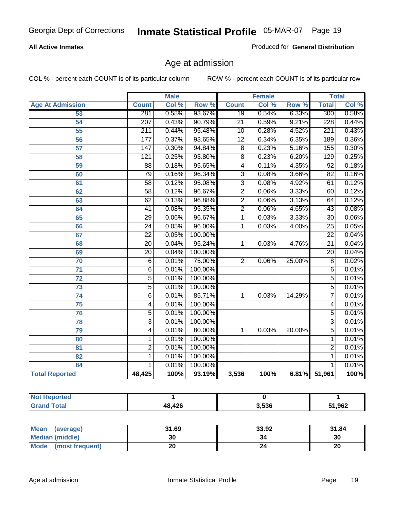#### **All Active Inmates**

Produced for **General Distribution**

### Age at admission

|                         |                  | <b>Male</b> |         |                 | <b>Female</b> |        |                 | <b>Total</b> |
|-------------------------|------------------|-------------|---------|-----------------|---------------|--------|-----------------|--------------|
| <b>Age At Admission</b> | <b>Count</b>     | Col %       | Row %   | <b>Count</b>    | Col %         | Row %  | <b>Total</b>    | Col %        |
| 53                      | 281              | 0.58%       | 93.67%  | $\overline{19}$ | 0.54%         | 6.33%  | 300             | 0.58%        |
| 54                      | $\overline{207}$ | 0.43%       | 90.79%  | $\overline{21}$ | 0.59%         | 9.21%  | 228             | 0.44%        |
| $\overline{55}$         | $\overline{211}$ | 0.44%       | 95.48%  | 10              | 0.28%         | 4.52%  | 221             | 0.43%        |
| $\overline{56}$         | 177              | 0.37%       | 93.65%  | $\overline{12}$ | 0.34%         | 6.35%  | 189             | 0.36%        |
| $\overline{57}$         | $\overline{147}$ | 0.30%       | 94.84%  | $\overline{8}$  | 0.23%         | 5.16%  | 155             | 0.30%        |
| 58                      | $\overline{121}$ | 0.25%       | 93.80%  | $\overline{8}$  | 0.23%         | 6.20%  | 129             | 0.25%        |
| 59                      | $\overline{88}$  | 0.18%       | 95.65%  | 4               | 0.11%         | 4.35%  | 92              | 0.18%        |
| 60                      | 79               | 0.16%       | 96.34%  | $\overline{3}$  | 0.08%         | 3.66%  | $\overline{82}$ | 0.16%        |
| 61                      | 58               | 0.12%       | 95.08%  | $\overline{3}$  | 0.08%         | 4.92%  | 61              | 0.12%        |
| 62                      | $\overline{58}$  | 0.12%       | 96.67%  | $\overline{2}$  | 0.06%         | 3.33%  | 60              | 0.12%        |
| 63                      | 62               | 0.13%       | 96.88%  | $\overline{2}$  | 0.06%         | 3.13%  | 64              | 0.12%        |
| 64                      | $\overline{41}$  | 0.08%       | 95.35%  | $\overline{2}$  | 0.06%         | 4.65%  | $\overline{43}$ | 0.08%        |
| 65                      | $\overline{29}$  | 0.06%       | 96.67%  | 1               | 0.03%         | 3.33%  | $\overline{30}$ | 0.06%        |
| 66                      | $\overline{24}$  | 0.05%       | 96.00%  | 1               | 0.03%         | 4.00%  | $\overline{25}$ | 0.05%        |
| 67                      | $\overline{22}$  | 0.05%       | 100.00% |                 |               |        | $\overline{22}$ | 0.04%        |
| 68                      | $\overline{20}$  | 0.04%       | 95.24%  | 1               | 0.03%         | 4.76%  | $\overline{21}$ | 0.04%        |
| 69                      | $\overline{20}$  | 0.04%       | 100.00% |                 |               |        | $\overline{20}$ | 0.04%        |
| 70                      | $\overline{6}$   | 0.01%       | 75.00%  | $\overline{2}$  | 0.06%         | 25.00% | $\overline{8}$  | 0.02%        |
| 71                      | $\overline{6}$   | 0.01%       | 100.00% |                 |               |        | 6               | 0.01%        |
| $\overline{72}$         | $\overline{5}$   | 0.01%       | 100.00% |                 |               |        | $\overline{5}$  | 0.01%        |
| $\overline{73}$         | $\overline{5}$   | 0.01%       | 100.00% |                 |               |        | $\overline{5}$  | 0.01%        |
| $\overline{74}$         | $\overline{6}$   | 0.01%       | 85.71%  | 1               | 0.03%         | 14.29% | 7               | 0.01%        |
| $\overline{75}$         | 4                | 0.01%       | 100.00% |                 |               |        | 4               | 0.01%        |
| 76                      | $\overline{5}$   | 0.01%       | 100.00% |                 |               |        | $\overline{5}$  | 0.01%        |
| 78                      | $\overline{3}$   | 0.01%       | 100.00% |                 |               |        | $\overline{3}$  | 0.01%        |
| 79                      | $\overline{4}$   | 0.01%       | 80.00%  | $\overline{1}$  | 0.03%         | 20.00% | $\overline{5}$  | 0.01%        |
| 80                      | 1                | 0.01%       | 100.00% |                 |               |        | 1               | 0.01%        |
| $\overline{81}$         | $\overline{2}$   | 0.01%       | 100.00% |                 |               |        | $\overline{2}$  | 0.01%        |
| 82                      | $\mathbf{1}$     | 0.01%       | 100.00% |                 |               |        | 1               | 0.01%        |
| 84                      | 1                | 0.01%       | 100.00% |                 |               |        | 1               | 0.01%        |
| <b>Total Reported</b>   | 48,425           | 100%        | 93.19%  | 3,536           | 100%          |        | 6.81% 51,961    | 100%         |

| <b>Not Reported</b> |        |       |        |
|---------------------|--------|-------|--------|
| <b>Grand Total</b>  | 48,426 | 3.536 | 51,962 |

| Mean<br>(average)              | 31.69 | 33.92 | 31.84 |
|--------------------------------|-------|-------|-------|
| <b>Median (middle)</b>         | 30    | 34    | 30    |
| <b>Mode</b><br>(most frequent) |       |       | 20    |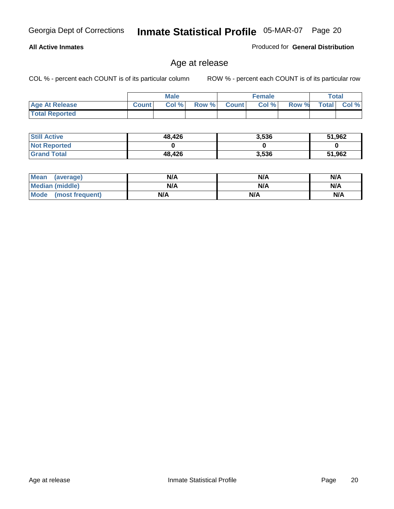#### **All Active Inmates**

Produced for **General Distribution**

### Age at release

|                       |              | <b>Male</b> |       |              | <b>Female</b> |       |              | <b>Total</b> |
|-----------------------|--------------|-------------|-------|--------------|---------------|-------|--------------|--------------|
| <b>Age At Release</b> | <b>Count</b> | Col%        | Row % | <b>Count</b> | Col %         | Row % | <b>Total</b> | $CoI \%$     |
| <b>Total Reported</b> |              |             |       |              |               |       |              |              |

| <b>Still Active</b> | 48,426 | 3,536 | 51,962 |
|---------------------|--------|-------|--------|
| <b>Not Reported</b> |        |       |        |
| <b>Grand Total</b>  | 48,426 | 3,536 | 51,962 |

| Mean (average)       | N/A | N/A | N/A |
|----------------------|-----|-----|-----|
| Median (middle)      | N/A | N/A | N/A |
| Mode (most frequent) | N/A | N/A | N/A |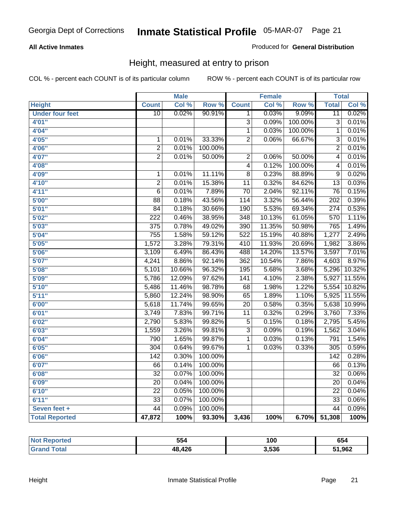#### **All Active Inmates**

Produced for **General Distribution**

### Height, measured at entry to prison

|                        |                  | <b>Male</b> |         |                  | <b>Female</b> |         | <b>Total</b>     |        |
|------------------------|------------------|-------------|---------|------------------|---------------|---------|------------------|--------|
| <b>Height</b>          | <b>Count</b>     | Col %       | Row %   | <b>Count</b>     | Col %         | Row %   | <b>Total</b>     | Col %  |
| <b>Under four feet</b> | $\overline{10}$  | 0.02%       | 90.91%  | 1                | 0.03%         | 9.09%   | $\overline{11}$  | 0.02%  |
| 4'01''                 |                  |             |         | $\overline{3}$   | 0.09%         | 100.00% | $\overline{3}$   | 0.01%  |
| 4'04''                 |                  |             |         | $\overline{1}$   | 0.03%         | 100.00% | $\mathbf 1$      | 0.01%  |
| 4'05"                  | $\mathbf{1}$     | 0.01%       | 33.33%  | $\overline{2}$   | 0.06%         | 66.67%  | $\overline{3}$   | 0.01%  |
| 4'06"                  | $\overline{2}$   | 0.01%       | 100.00% |                  |               |         | $\overline{2}$   | 0.01%  |
| 4'07"                  | $\overline{2}$   | 0.01%       | 50.00%  | $\overline{2}$   | 0.06%         | 50.00%  | $\overline{4}$   | 0.01%  |
| 4'08"                  |                  |             |         | $\overline{4}$   | 0.12%         | 100.00% | 4                | 0.01%  |
| 4'09"                  | 1                | 0.01%       | 11.11%  | $\overline{8}$   | 0.23%         | 88.89%  | $\overline{9}$   | 0.02%  |
| 4'10"                  | $\overline{2}$   | 0.01%       | 15.38%  | $\overline{11}$  | 0.32%         | 84.62%  | $\overline{13}$  | 0.03%  |
| 4'11''                 | $\overline{6}$   | 0.01%       | 7.89%   | $\overline{70}$  | 2.04%         | 92.11%  | $\overline{76}$  | 0.15%  |
| 5'00''                 | $\overline{88}$  | 0.18%       | 43.56%  | 114              | 3.32%         | 56.44%  | $\overline{202}$ | 0.39%  |
| 5'01''                 | $\overline{84}$  | 0.18%       | 30.66%  | 190              | 5.53%         | 69.34%  | $\overline{274}$ | 0.53%  |
| 5'02''                 | $\overline{222}$ | 0.46%       | 38.95%  | $\overline{348}$ | 10.13%        | 61.05%  | 570              | 1.11%  |
| 5'03''                 | $\overline{375}$ | 0.78%       | 49.02%  | 390              | 11.35%        | 50.98%  | 765              | 1.49%  |
| 5'04''                 | 755              | 1.58%       | 59.12%  | 522              | 15.19%        | 40.88%  | 1,277            | 2.49%  |
| 5'05''                 | 1,572            | 3.28%       | 79.31%  | 410              | 11.93%        | 20.69%  | 1,982            | 3.86%  |
| 5'06''                 | 3,109            | 6.49%       | 86.43%  | 488              | 14.20%        | 13.57%  | 3,597            | 7.01%  |
| 5'07''                 | 4,241            | 8.86%       | 92.14%  | 362              | 10.54%        | 7.86%   | 4,603            | 8.97%  |
| 5'08''                 | 5,101            | 10.66%      | 96.32%  | 195              | 5.68%         | 3.68%   | 5,296            | 10.32% |
| 5'09''                 | 5,786            | 12.09%      | 97.62%  | $\overline{141}$ | 4.10%         | 2.38%   | 5,927            | 11.55% |
| 5'10''                 | 5,486            | 11.46%      | 98.78%  | $\overline{68}$  | 1.98%         | 1.22%   | 5,554            | 10.82% |
| 5'11''                 | 5,860            | 12.24%      | 98.90%  | 65               | 1.89%         | 1.10%   | 5,925            | 11.55% |
| 6'00''                 | 5,618            | 11.74%      | 99.65%  | $\overline{20}$  | 0.58%         | 0.35%   | 5,638            | 10.99% |
| 6'01''                 | 3,749            | 7.83%       | 99.71%  | $\overline{11}$  | 0.32%         | 0.29%   | 3,760            | 7.33%  |
| 6'02''                 | 2,790            | 5.83%       | 99.82%  | $\overline{5}$   | 0.15%         | 0.18%   | 2,795            | 5.45%  |
| 6'03''                 | 1,559            | 3.26%       | 99.81%  | $\overline{3}$   | 0.09%         | 0.19%   | 1,562            | 3.04%  |
| 6'04''                 | 790              | 1.65%       | 99.87%  | $\overline{1}$   | 0.03%         | 0.13%   | 791              | 1.54%  |
| 6'05''                 | $\overline{304}$ | 0.64%       | 99.67%  | $\overline{1}$   | 0.03%         | 0.33%   | $\overline{305}$ | 0.59%  |
| 6'06''                 | $\overline{142}$ | 0.30%       | 100.00% |                  |               |         | 142              | 0.28%  |
| 6'07''                 | 66               | 0.14%       | 100.00% |                  |               |         | 66               | 0.13%  |
| 6'08''                 | $\overline{32}$  | 0.07%       | 100.00% |                  |               |         | $\overline{32}$  | 0.06%  |
| 6'09''                 | $\overline{20}$  | 0.04%       | 100.00% |                  |               |         | $\overline{20}$  | 0.04%  |
| 6'10''                 | $\overline{22}$  | 0.05%       | 100.00% |                  |               |         | $\overline{22}$  | 0.04%  |
| 6'11''                 | $\overline{33}$  | 0.07%       | 100.00% |                  |               |         | $\overline{33}$  | 0.06%  |
| Seven feet +           | $\overline{44}$  | 0.09%       | 100.00% |                  |               |         | $\overline{44}$  | 0.09%  |
| <b>Total Reported</b>  | 47,872           | 100%        | 93.30%  | 3,436            | 100%          | 6.70%   | 51,308           | 100%   |

| <b>Reported</b> | 554        | 100   | 654   |
|-----------------|------------|-------|-------|
| <b>otal</b>     | ,426<br>48 | 3.536 | 1,962 |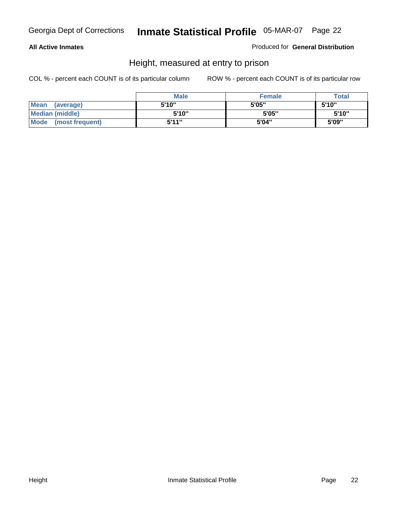#### **All Active Inmates**

Produced for **General Distribution**

### Height, measured at entry to prison

|                        | <b>Male</b> | <b>Female</b> | <b>Total</b> |
|------------------------|-------------|---------------|--------------|
| Mean (average)         | 5'10"       | 5'05"         | 5'10''       |
| <b>Median (middle)</b> | 5'10''      | 5'05"         | 5'10''       |
| Mode (most frequent)   | 5'11"       | 5'04"         | 5'09"        |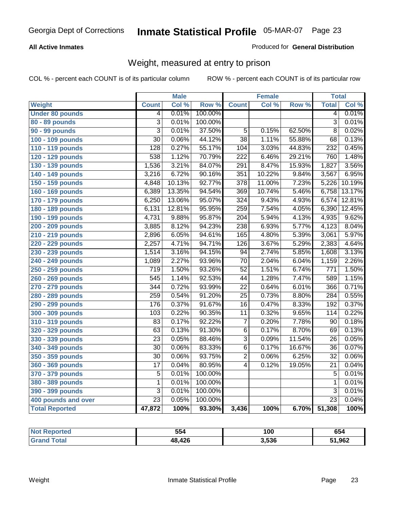#### **All Active Inmates**

#### Produced for **General Distribution**

### Weight, measured at entry to prison

|                        |                  | <b>Male</b> |                  |                  | <b>Female</b> |        | <b>Total</b>    |        |
|------------------------|------------------|-------------|------------------|------------------|---------------|--------|-----------------|--------|
| Weight                 | <b>Count</b>     | Col %       | Row <sup>%</sup> | <b>Count</b>     | Col %         | Row %  | <b>Total</b>    | Col %  |
| <b>Under 80 pounds</b> | 4                | 0.01%       | 100.00%          |                  |               |        | $\overline{4}$  | 0.01%  |
| 80 - 89 pounds         | $\overline{3}$   | 0.01%       | 100.00%          |                  |               |        | $\overline{3}$  | 0.01%  |
| 90 - 99 pounds         | $\overline{3}$   | 0.01%       | 37.50%           | $\overline{5}$   | 0.15%         | 62.50% | $\overline{8}$  | 0.02%  |
| 100 - 109 pounds       | $\overline{30}$  | 0.06%       | 44.12%           | $\overline{38}$  | 1.11%         | 55.88% | 68              | 0.13%  |
| 110 - 119 pounds       | 128              | 0.27%       | 55.17%           | 104              | 3.03%         | 44.83% | 232             | 0.45%  |
| 120 - 129 pounds       | $\overline{538}$ | 1.12%       | 70.79%           | $\overline{222}$ | 6.46%         | 29.21% | 760             | 1.48%  |
| 130 - 139 pounds       | 1,536            | 3.21%       | 84.07%           | 291              | 8.47%         | 15.93% | 1,827           | 3.56%  |
| 140 - 149 pounds       | 3,216            | 6.72%       | 90.16%           | 351              | 10.22%        | 9.84%  | 3,567           | 6.95%  |
| 150 - 159 pounds       | 4,848            | 10.13%      | 92.77%           | $\overline{378}$ | 11.00%        | 7.23%  | 5,226           | 10.19% |
| 160 - 169 pounds       | 6,389            | 13.35%      | 94.54%           | 369              | 10.74%        | 5.46%  | 6,758           | 13.17% |
| 170 - 179 pounds       | 6,250            | 13.06%      | 95.07%           | 324              | 9.43%         | 4.93%  | 6,574           | 12.81% |
| 180 - 189 pounds       | 6,131            | 12.81%      | 95.95%           | 259              | 7.54%         | 4.05%  | 6,390           | 12.45% |
| 190 - 199 pounds       | 4,731            | 9.88%       | 95.87%           | $\overline{204}$ | 5.94%         | 4.13%  | 4,935           | 9.62%  |
| 200 - 209 pounds       | 3,885            | 8.12%       | 94.23%           | 238              | 6.93%         | 5.77%  | 4,123           | 8.04%  |
| 210 - 219 pounds       | 2,896            | 6.05%       | 94.61%           | 165              | 4.80%         | 5.39%  | 3,061           | 5.97%  |
| 220 - 229 pounds       | 2,257            | 4.71%       | 94.71%           | 126              | 3.67%         | 5.29%  | 2,383           | 4.64%  |
| 230 - 239 pounds       | 1,514            | 3.16%       | 94.15%           | $\overline{94}$  | 2.74%         | 5.85%  | 1,608           | 3.13%  |
| 240 - 249 pounds       | 1,089            | 2.27%       | 93.96%           | $\overline{70}$  | 2.04%         | 6.04%  | 1,159           | 2.26%  |
| 250 - 259 pounds       | $\overline{719}$ | 1.50%       | 93.26%           | $\overline{52}$  | 1.51%         | 6.74%  | 771             | 1.50%  |
| 260 - 269 pounds       | $\overline{545}$ | 1.14%       | 92.53%           | $\overline{44}$  | 1.28%         | 7.47%  | 589             | 1.15%  |
| 270 - 279 pounds       | 344              | 0.72%       | 93.99%           | $\overline{22}$  | 0.64%         | 6.01%  | 366             | 0.71%  |
| 280 - 289 pounds       | 259              | 0.54%       | 91.20%           | $\overline{25}$  | 0.73%         | 8.80%  | 284             | 0.55%  |
| 290 - 299 pounds       | 176              | 0.37%       | 91.67%           | $\overline{16}$  | 0.47%         | 8.33%  | 192             | 0.37%  |
| 300 - 309 pounds       | 103              | 0.22%       | 90.35%           | 11               | 0.32%         | 9.65%  | 114             | 0.22%  |
| 310 - 319 pounds       | 83               | 0.17%       | 92.22%           | 7                | 0.20%         | 7.78%  | 90              | 0.18%  |
| 320 - 329 pounds       | 63               | 0.13%       | 91.30%           | $\overline{6}$   | 0.17%         | 8.70%  | 69              | 0.13%  |
| 330 - 339 pounds       | $\overline{23}$  | 0.05%       | 88.46%           | $\overline{3}$   | 0.09%         | 11.54% | $\overline{26}$ | 0.05%  |
| 340 - 349 pounds       | $\overline{30}$  | 0.06%       | 83.33%           | $\overline{6}$   | 0.17%         | 16.67% | $\overline{36}$ | 0.07%  |
| 350 - 359 pounds       | $\overline{30}$  | 0.06%       | 93.75%           | $\overline{2}$   | 0.06%         | 6.25%  | $\overline{32}$ | 0.06%  |
| 360 - 369 pounds       | $\overline{17}$  | 0.04%       | 80.95%           | 4                | 0.12%         | 19.05% | $\overline{21}$ | 0.04%  |
| 370 - 379 pounds       | 5                | 0.01%       | 100.00%          |                  |               |        | 5               | 0.01%  |
| 380 - 389 pounds       | 1                | 0.01%       | 100.00%          |                  |               |        | 1               | 0.01%  |
| 390 - 399 pounds       | 3                | 0.01%       | 100.00%          |                  |               |        | $\overline{3}$  | 0.01%  |
| 400 pounds and over    | $\overline{23}$  | 0.05%       | 100.00%          |                  |               |        | $\overline{23}$ | 0.04%  |
| <b>Total Reported</b>  | 47,872           | 100%        | 93.30%           | 3,436            | 100%          | 6.70%  | 51,308          | 100%   |

| Reported<br>' N∩t | 554    | 100   | 654    |
|-------------------|--------|-------|--------|
| `otal<br>' Gra    | 48,426 | 3,536 | 51,962 |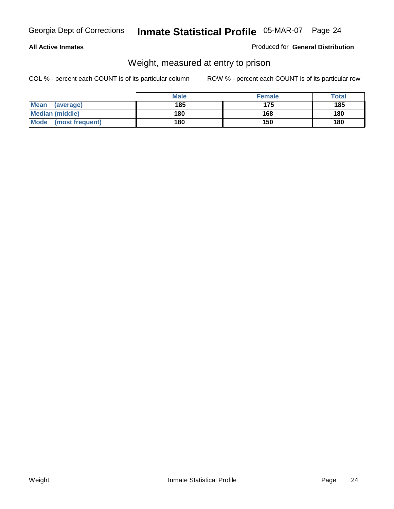#### **All Active Inmates**

#### Produced for **General Distribution**

### Weight, measured at entry to prison

|                                | <b>Male</b> | <b>Female</b> | Total |
|--------------------------------|-------------|---------------|-------|
| <b>Mean</b><br>(average)       | 185         | 175           | 185   |
| <b>Median (middle)</b>         | 180         | 168           | 180   |
| <b>Mode</b><br>(most frequent) | 180         | 150           | 180   |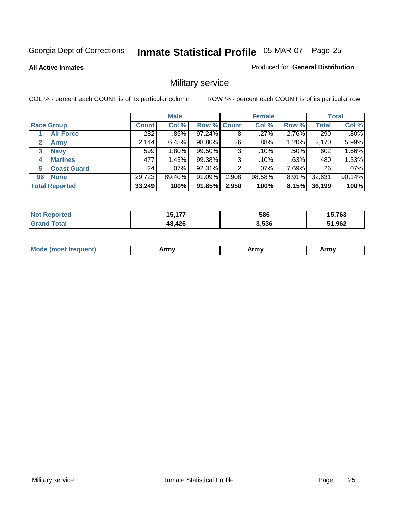#### **All Active Inmates**

#### Produced for **General Distribution**

### Military service

|                         |              | <b>Male</b> |             |       | <b>Female</b> |       |              | <b>Total</b> |
|-------------------------|--------------|-------------|-------------|-------|---------------|-------|--------------|--------------|
| <b>Race Group</b>       | <b>Count</b> | Col %       | Row % Count |       | Col %         | Row % | <b>Total</b> | Col %        |
| <b>Air Force</b>        | 282          | .85%        | 97.24%      | 8     | .27%          | 2.76% | 290          | .80%         |
| 2<br><b>Army</b>        | 2,144        | 6.45%       | 98.80%      | 26    | .88%          | 1.20% | 2,170        | 5.99%        |
| <b>Navy</b><br>3        | 599          | 1.80%       | 99.50%      | 3     | .10%          | .50%  | 602          | 1.66%        |
| <b>Marines</b><br>4     | 477          | 1.43%       | 99.38%      | 3     | .10%          | .63%  | 480          | 1.33%        |
| <b>Coast Guard</b><br>5 | 24           | $.07\%$     | 92.31%      | 2     | $.07\%$       | 7.69% | 26           | .07%         |
| <b>None</b><br>96       | 29,723       | 89.40%      | 91.09%      | 2,908 | 98.58%        | 8.91% | 32,631       | 90.14%       |
| <b>Total Reported</b>   | 33,249       | 100%        | 91.85%      | 2,950 | 100%          | 8.15% | 36,199       | 100%         |

| <b>Reported</b>              | $-477$ | 586   | 5,763  |
|------------------------------|--------|-------|--------|
| ' N∩t                        | 15.    |       | .      |
| <b>Total</b><br><b>Grand</b> | 48,426 | 3.536 | 51,962 |

|  | <b>Mou</b> | Army | Army | Army |
|--|------------|------|------|------|
|--|------------|------|------|------|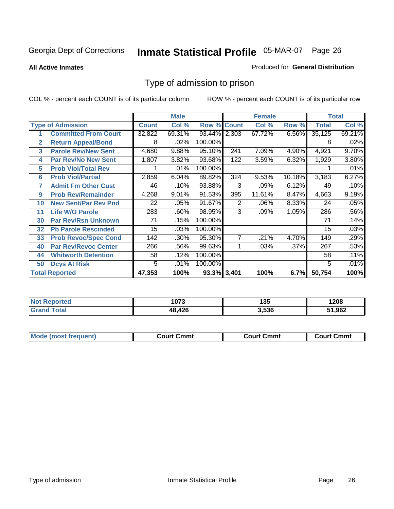#### **All Active Inmates**

#### Produced for **General Distribution**

### Type of admission to prison

|                |                             |              | <b>Male</b> |                    |     | <b>Female</b> |        |              | <b>Total</b> |
|----------------|-----------------------------|--------------|-------------|--------------------|-----|---------------|--------|--------------|--------------|
|                | <b>Type of Admission</b>    | <b>Count</b> | Col %       | <b>Row % Count</b> |     | Col %         | Row %  | <b>Total</b> | Col %        |
| 1              | <b>Committed From Court</b> | 32,822       | 69.31%      | 93.44% 2,303       |     | 67.72%        | 6.56%  | 35,125       | 69.21%       |
| $\overline{2}$ | <b>Return Appeal/Bond</b>   | 8            | .02%        | 100.00%            |     |               |        | 8            | .02%         |
| 3              | <b>Parole Rev/New Sent</b>  | 4,680        | 9.88%       | 95.10%             | 241 | 7.09%         | 4.90%  | 4,921        | 9.70%        |
| 4              | <b>Par Rev/No New Sent</b>  | 1,807        | 3.82%       | 93.68%             | 122 | 3.59%         | 6.32%  | 1,929        | 3.80%        |
| 5              | <b>Prob Viol/Total Rev</b>  |              | .01%        | 100.00%            |     |               |        |              | .01%         |
| 6              | <b>Prob Viol/Partial</b>    | 2,859        | 6.04%       | 89.82%             | 324 | 9.53%         | 10.18% | 3,183        | 6.27%        |
| 7              | <b>Admit Fm Other Cust</b>  | 46           | .10%        | 93.88%             | 3   | .09%          | 6.12%  | 49           | .10%         |
| 9              | <b>Prob Rev/Remainder</b>   | 4,268        | 9.01%       | 91.53%             | 395 | 11.61%        | 8.47%  | 4,663        | 9.19%        |
| 10             | <b>New Sent/Par Rev Pnd</b> | 22           | .05%        | 91.67%             | 2   | .06%          | 8.33%  | 24           | .05%         |
| 11             | <b>Life W/O Parole</b>      | 283          | .60%        | 98.95%             | 3   | .09%          | 1.05%  | 286          | .56%         |
| 30             | <b>Par Rev/Rsn Unknown</b>  | 71           | .15%        | 100.00%            |     |               |        | 71           | .14%         |
| 32             | <b>Pb Parole Rescinded</b>  | 15           | .03%        | 100.00%            |     |               |        | 15           | .03%         |
| 33             | <b>Prob Revoc/Spec Cond</b> | 142          | .30%        | 95.30%             | 7   | .21%          | 4.70%  | 149          | .29%         |
| 40             | <b>Par Rev/Revoc Center</b> | 266          | .56%        | 99.63%             |     | .03%          | .37%   | 267          | .53%         |
| 44             | <b>Whitworth Detention</b>  | 58           | .12%        | 100.00%            |     |               |        | 58           | .11%         |
| 50             | <b>Dcys At Risk</b>         | 5            | .01%        | 100.00%            |     |               |        | 5            | .01%         |
|                | <b>Total Reported</b>       | 47,353       | 100%        | 93.3% 3,401        |     | 100%          | 6.7%   | 50,754       | 100%         |

| Reported   | ית ו  | 1 2 5 | 1208   |
|------------|-------|-------|--------|
| <b>NOT</b> | נ וטו | טט ו  |        |
| . Gr       | .426  | 3.536 | 51,962 |

| Mo<br>Cmmt<br>Cmmt<br>Court Cmmt<br>:nurt<br>∵∩urt เ<br>most trea |  |  |
|-------------------------------------------------------------------|--|--|
|                                                                   |  |  |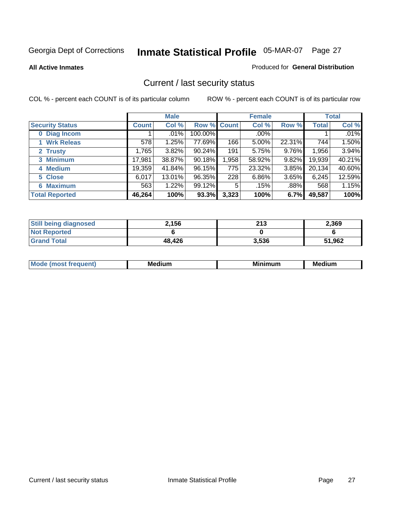**All Active Inmates**

#### Produced for **General Distribution**

### Current / last security status

|                        |              | <b>Male</b> |             |       | <b>Female</b> |          |              | <b>Total</b> |
|------------------------|--------------|-------------|-------------|-------|---------------|----------|--------------|--------------|
| <b>Security Status</b> | <b>Count</b> | Col %       | Row % Count |       | Col %         | Row %    | <b>Total</b> | Col %        |
| 0 Diag Incom           |              | $.01\%$     | 100.00%     |       | $.00\%$       |          |              | .01%         |
| 1 Wrk Releas           | 578          | 1.25%       | 77.69%      | 166   | 5.00%         | 22.31%   | 744          | 1.50%        |
| 2 Trusty               | ,765         | $3.82\%$    | 90.24%      | 191   | 5.75%         | $9.76\%$ | 1,956        | 3.94%        |
| 3 Minimum              | 17,981       | 38.87%      | 90.18%      | 1,958 | 58.92%        | 9.82%    | 19,939       | 40.21%       |
| 4 Medium               | 19,359       | 41.84%      | 96.15%      | 775   | 23.32%        | $3.85\%$ | 20,134       | 40.60%       |
| 5 Close                | 6,017        | $13.01\%$   | 96.35%      | 228   | 6.86%         | $3.65\%$ | 6,245        | 12.59%       |
| <b>6 Maximum</b>       | 563          | 1.22%       | 99.12%      | 5     | .15%          | .88%     | 568          | 1.15%        |
| <b>Total Reported</b>  | 46,264       | 100%        | 93.3%       | 3,323 | 100%          | 6.7%     | 49,587       | 100%         |

| <b>Still being diagnosed</b> | 2.156  | 213   | 2,369  |
|------------------------------|--------|-------|--------|
| <b>Not Reported</b>          |        |       |        |
| <b>Grand Total</b>           | 48,426 | 3,536 | 51,962 |

| $M_{\Omega}$<br>יחב | M۵<br>dium | <b>BAL.</b><br>num | Mer<br>dium |
|---------------------|------------|--------------------|-------------|
|                     |            |                    |             |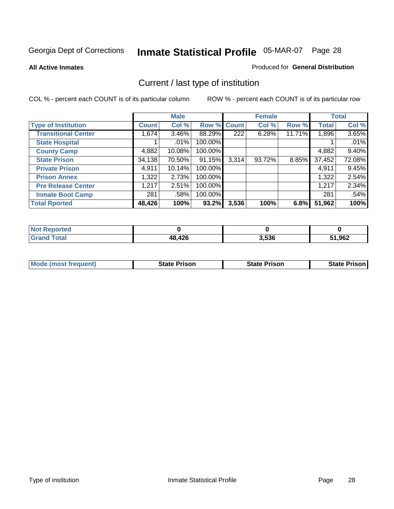**All Active Inmates**

#### Produced for **General Distribution**

### Current / last type of institution

|                            |              | <b>Male</b> |         |              | <b>Female</b> |        |              | <b>Total</b> |
|----------------------------|--------------|-------------|---------|--------------|---------------|--------|--------------|--------------|
| <b>Type of Institution</b> | <b>Count</b> | Col %       | Row %   | <b>Count</b> | Col %         | Row %  | <b>Total</b> | Col %        |
| <b>Transitional Center</b> | 1,674        | $3.46\%$    | 88.29%  | 222          | 6.28%         | 11.71% | 1,896        | 3.65%        |
| <b>State Hospital</b>      |              | .01%        | 100.00% |              |               |        |              | .01%         |
| <b>County Camp</b>         | 4,882        | 10.08%      | 100.00% |              |               |        | 4,882        | $9.40\%$     |
| <b>State Prison</b>        | 34,138       | 70.50%      | 91.15%  | 3,314        | 93.72%        | 8.85%  | 37,452       | 72.08%       |
| <b>Private Prison</b>      | 4,911        | 10.14%      | 100.00% |              |               |        | 4,911        | 9.45%        |
| <b>Prison Annex</b>        | 1,322        | 2.73%       | 100.00% |              |               |        | 1,322        | 2.54%        |
| <b>Pre Release Center</b>  | 1,217        | 2.51%       | 100.00% |              |               |        | 1,217        | 2.34%        |
| <b>Inmate Boot Camp</b>    | 281          | .58%        | 100.00% |              |               |        | 281          | .54%         |
| <b>Total Rported</b>       | 48,426       | 100%        | 93.2%   | 3,536        | 100%          | 6.8%   | 51,962       | 100%         |

| <b>Not</b><br>Reported |        |       |        |
|------------------------|--------|-------|--------|
| <b>Total</b>           | 48,426 | 3,536 | 51,962 |

| <b>Mode (most frequent)</b> | <b>State Prison</b> | <b>State Prison</b> | <b>State Prison I</b> |
|-----------------------------|---------------------|---------------------|-----------------------|
|                             |                     |                     |                       |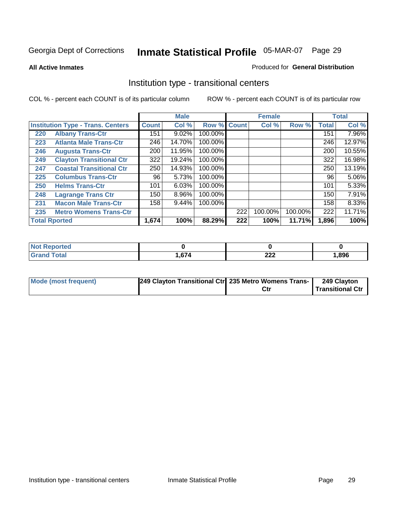**All Active Inmates**

#### Produced for **General Distribution**

### Institution type - transitional centers

|                                          |                                 |                  | <b>Male</b> |                    |     | <b>Female</b> |         |              | <b>Total</b> |
|------------------------------------------|---------------------------------|------------------|-------------|--------------------|-----|---------------|---------|--------------|--------------|
| <b>Institution Type - Trans. Centers</b> |                                 | <b>Count</b>     | Col %       | <b>Row % Count</b> |     | Col %         | Row %   | <b>Total</b> | Col %        |
| 220                                      | <b>Albany Trans-Ctr</b>         | 151              | 9.02%       | 100.00%            |     |               |         | 151          | 7.96%        |
| 223                                      | <b>Atlanta Male Trans-Ctr</b>   | 246              | 14.70%      | 100.00%            |     |               |         | 246          | 12.97%       |
| 246                                      | <b>Augusta Trans-Ctr</b>        | 200 <sub>1</sub> | 11.95%      | 100.00%            |     |               |         | 200          | 10.55%       |
| 249                                      | <b>Clayton Transitional Ctr</b> | 322              | 19.24%      | 100.00%            |     |               |         | 322          | 16.98%       |
| 247                                      | <b>Coastal Transitional Ctr</b> | 250              | 14.93%      | 100.00%            |     |               |         | 250          | 13.19%       |
| 225                                      | <b>Columbus Trans-Ctr</b>       | 96               | 5.73%       | 100.00%            |     |               |         | 96           | 5.06%        |
| 250                                      | <b>Helms Trans-Ctr</b>          | 101              | 6.03%       | 100.00%            |     |               |         | 101          | 5.33%        |
| 248                                      | <b>Lagrange Trans Ctr</b>       | 150              | 8.96%       | 100.00%            |     |               |         | 150          | 7.91%        |
| 231                                      | <b>Macon Male Trans-Ctr</b>     | 158              | 9.44%       | 100.00%            |     |               |         | 158          | 8.33%        |
| 235                                      | <b>Metro Womens Trans-Ctr</b>   |                  |             |                    | 222 | 100.00%       | 100.00% | 222          | 11.71%       |
|                                          | <b>Total Rported</b>            | 1,674            | 100%        | 88.29%             | 222 | 100%          | 11.71%  | 1,896        | 100%         |

| <b>Reported</b> |     |            |      |
|-----------------|-----|------------|------|
| ota.<br>_____   | 674 | nne<br>--- | .896 |

| <b>Mode (most frequent)</b> | 249 Clayton Transitional Ctr 235 Metro Womens Trans- | Ctr | 249 Clayton<br>Transitional Ctr |
|-----------------------------|------------------------------------------------------|-----|---------------------------------|
|                             |                                                      |     |                                 |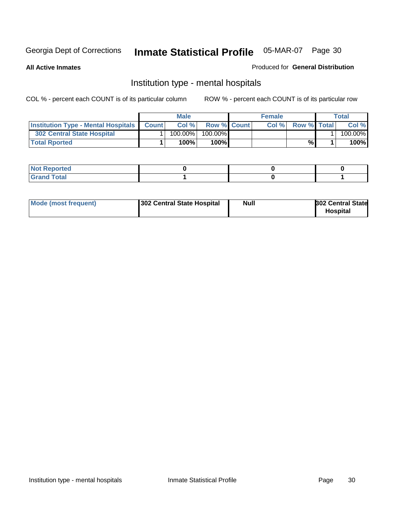**All Active Inmates**

#### Produced for **General Distribution**

### Institution type - mental hospitals

|                                                  | <b>Male</b> |                    | <b>Female</b> |                    | Total   |
|--------------------------------------------------|-------------|--------------------|---------------|--------------------|---------|
| <b>Institution Type - Mental Hospitals Count</b> | Col%        | <b>Row % Count</b> | Col%          | <b>Row % Total</b> | Col %   |
| <b>302 Central State Hospital</b>                | $100.00\%$  | 100.00%            |               |                    | 100.00% |
| <b>Total Rported</b>                             | 100%        | 100%               |               | %                  | 100%    |

| Not Reported |  |  |
|--------------|--|--|
| <b>otal</b>  |  |  |

| Mode (most frequent)<br>302 Central State Hospital | Null | <b>302 Central State</b><br><b>Hospital</b> |
|----------------------------------------------------|------|---------------------------------------------|
|----------------------------------------------------|------|---------------------------------------------|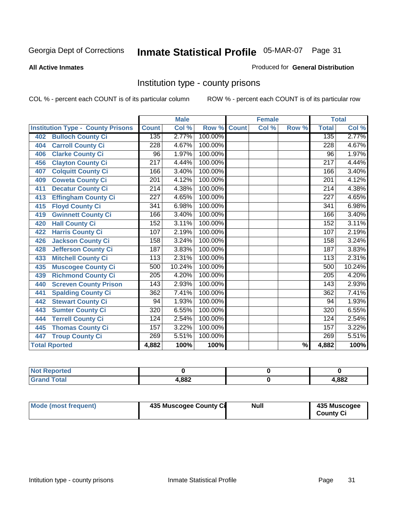#### **All Active Inmates**

#### Produced for **General Distribution**

### Institution type - county prisons

|                                          |                  | <b>Male</b> |         |              | <b>Female</b>             |                          |                  | <b>Total</b> |
|------------------------------------------|------------------|-------------|---------|--------------|---------------------------|--------------------------|------------------|--------------|
| <b>Institution Type - County Prisons</b> | <b>Count</b>     | Col %       | Row %   | <b>Count</b> | $\overline{\text{Col}}$ % | Row %                    | <b>Total</b>     | Col %        |
| <b>Bulloch County Ci</b><br>402          | 135              | 2.77%       | 100.00% |              |                           |                          | 135              | 2.77%        |
| <b>Carroll County Ci</b><br>404          | $\overline{228}$ | 4.67%       | 100.00% |              |                           |                          | $\overline{228}$ | 4.67%        |
| <b>Clarke County Ci</b><br>406           | 96               | 1.97%       | 100.00% |              |                           |                          | 96               | 1.97%        |
| <b>Clayton County Ci</b><br>456          | $\overline{217}$ | 4.44%       | 100.00% |              |                           |                          | $\overline{217}$ | 4.44%        |
| <b>Colquitt County Ci</b><br>407         | 166              | 3.40%       | 100.00% |              |                           |                          | 166              | 3.40%        |
| <b>Coweta County Ci</b><br>409           | $\overline{201}$ | 4.12%       | 100.00% |              |                           |                          | $\overline{201}$ | 4.12%        |
| <b>Decatur County Ci</b><br>411          | 214              | 4.38%       | 100.00% |              |                           |                          | 214              | 4.38%        |
| <b>Effingham County Ci</b><br>413        | 227              | 4.65%       | 100.00% |              |                           |                          | 227              | 4.65%        |
| <b>Floyd County Ci</b><br>415            | 341              | 6.98%       | 100.00% |              |                           |                          | 341              | 6.98%        |
| <b>Gwinnett County Ci</b><br>419         | 166              | 3.40%       | 100.00% |              |                           |                          | 166              | 3.40%        |
| <b>Hall County Ci</b><br>420             | 152              | 3.11%       | 100.00% |              |                           |                          | 152              | 3.11%        |
| <b>Harris County Ci</b><br>422           | 107              | 2.19%       | 100.00% |              |                           |                          | 107              | 2.19%        |
| <b>Jackson County Ci</b><br>426          | 158              | 3.24%       | 100.00% |              |                           |                          | 158              | 3.24%        |
| <b>Jefferson County Ci</b><br>428        | 187              | 3.83%       | 100.00% |              |                           |                          | 187              | 3.83%        |
| <b>Mitchell County Ci</b><br>433         | 113              | 2.31%       | 100.00% |              |                           |                          | 113              | 2.31%        |
| <b>Muscogee County Ci</b><br>435         | 500              | 10.24%      | 100.00% |              |                           |                          | 500              | 10.24%       |
| <b>Richmond County Ci</b><br>439         | 205              | 4.20%       | 100.00% |              |                           |                          | 205              | 4.20%        |
| <b>Screven County Prison</b><br>440      | 143              | 2.93%       | 100.00% |              |                           |                          | 143              | 2.93%        |
| <b>Spalding County Ci</b><br>441         | 362              | 7.41%       | 100.00% |              |                           |                          | 362              | 7.41%        |
| <b>Stewart County Ci</b><br>442          | 94               | 1.93%       | 100.00% |              |                           |                          | 94               | 1.93%        |
| <b>Sumter County Ci</b><br>443           | 320              | 6.55%       | 100.00% |              |                           |                          | $\overline{320}$ | 6.55%        |
| <b>Terrell County Ci</b><br>444          | 124              | 2.54%       | 100.00% |              |                           |                          | 124              | 2.54%        |
| <b>Thomas County Ci</b><br>445           | 157              | 3.22%       | 100.00% |              |                           |                          | 157              | 3.22%        |
| <b>Troup County Ci</b><br>447            | 269              | 5.51%       | 100.00% |              |                           |                          | 269              | 5.51%        |
| <b>Total Rported</b>                     | $\sqrt{4,882}$   | 100%        | 100%    |              |                           | $\overline{\frac{9}{6}}$ | 4,882            | 100%         |

| iteto.                      |       |      |
|-----------------------------|-------|------|
| $\sim$ $\sim$ $\sim$ $\sim$ | 1,882 | ,882 |

| Mode (most frequent) | 435 Muscogee County Ci | Null | 435 Muscogee     |
|----------------------|------------------------|------|------------------|
|                      |                        |      | <b>County Ci</b> |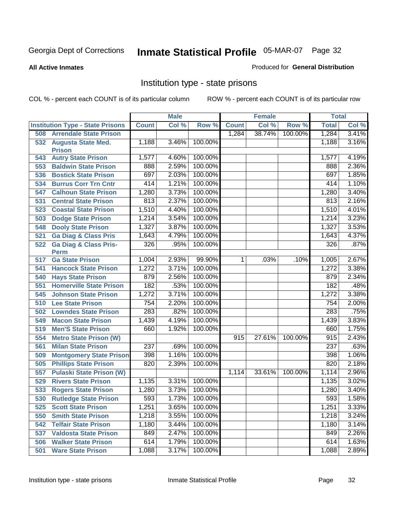**All Active Inmates**

#### Produced for **General Distribution**

### Institution type - state prisons

|     |                                         |                  | <b>Male</b> |         |                | <b>Female</b> |         | <b>Total</b> |       |
|-----|-----------------------------------------|------------------|-------------|---------|----------------|---------------|---------|--------------|-------|
|     | <b>Institution Type - State Prisons</b> | <b>Count</b>     | Col %       | Row %   | <b>Count</b>   | Col %         | Row %   | <b>Total</b> | Col % |
| 508 | <b>Arrendale State Prison</b>           |                  |             |         | 1,284          | 38.74%        | 100.00% | 1,284        | 3.41% |
|     | 532 Augusta State Med.<br><b>Prison</b> | 1,188            | 3.46%       | 100.00% |                |               |         | 1,188        | 3.16% |
| 543 | <b>Autry State Prison</b>               | 1,577            | 4.60%       | 100.00% |                |               |         | 1,577        | 4.19% |
| 553 | <b>Baldwin State Prison</b>             | 888              | 2.59%       | 100.00% |                |               |         | 888          | 2.36% |
| 536 | <b>Bostick State Prison</b>             | 697              | 2.03%       | 100.00% |                |               |         | 697          | 1.85% |
| 534 | <b>Burrus Corr Trn Cntr</b>             | 414              | 1.21%       | 100.00% |                |               |         | 414          | 1.10% |
| 547 | <b>Calhoun State Prison</b>             | 1,280            | 3.73%       | 100.00% |                |               |         | 1,280        | 3.40% |
| 531 | <b>Central State Prison</b>             | 813              | 2.37%       | 100.00% |                |               |         | 813          | 2.16% |
| 523 | <b>Coastal State Prison</b>             | 1,510            | 4.40%       | 100.00% |                |               |         | 1,510        | 4.01% |
| 503 | <b>Dodge State Prison</b>               | 1,214            | 3.54%       | 100.00% |                |               |         | 1,214        | 3.23% |
| 548 | <b>Dooly State Prison</b>               | 1,327            | 3.87%       | 100.00% |                |               |         | 1,327        | 3.53% |
| 521 | <b>Ga Diag &amp; Class Pris</b>         | 1,643            | 4.79%       | 100.00% |                |               |         | 1,643        | 4.37% |
| 522 | <b>Ga Diag &amp; Class Pris-</b>        | 326              | .95%        | 100.00% |                |               |         | 326          | .87%  |
| 517 | <b>Perm</b><br><b>Ga State Prison</b>   | 1,004            | 2.93%       | 99.90%  | 1 <sup>1</sup> | .03%          | .10%    | 1,005        | 2.67% |
| 541 | <b>Hancock State Prison</b>             | 1,272            | 3.71%       | 100.00% |                |               |         | 1,272        | 3.38% |
| 540 | <b>Hays State Prison</b>                | 879              | 2.56%       | 100.00% |                |               |         | 879          | 2.34% |
| 551 | <b>Homerville State Prison</b>          | 182              | .53%        | 100.00% |                |               |         | 182          | .48%  |
| 545 | <b>Johnson State Prison</b>             | 1,272            | 3.71%       | 100.00% |                |               |         | 1,272        | 3.38% |
| 510 | <b>Lee State Prison</b>                 | 754              | 2.20%       | 100.00% |                |               |         | 754          | 2.00% |
| 502 | <b>Lowndes State Prison</b>             | 283              | .82%        | 100.00% |                |               |         | 283          | .75%  |
| 549 | <b>Macon State Prison</b>               | 1,439            | 4.19%       | 100.00% |                |               |         | 1,439        | 3.83% |
| 519 | <b>Men'S State Prison</b>               | 660              | 1.92%       | 100.00% |                |               |         | 660          | 1.75% |
| 554 | <b>Metro State Prison (W)</b>           |                  |             |         | 915            | 27.61%        | 100.00% | 915          | 2.43% |
| 561 | <b>Milan State Prison</b>               | $\overline{237}$ | .69%        | 100.00% |                |               |         | 237          | .63%  |
| 509 | <b>Montgomery State Prison</b>          | 398              | 1.16%       | 100.00% |                |               |         | 398          | 1.06% |
| 505 | <b>Phillips State Prison</b>            | 820              | 2.39%       | 100.00% |                |               |         | 820          | 2.18% |
| 557 | <b>Pulaski State Prison (W)</b>         |                  |             |         | 1,114          | 33.61%        | 100.00% | 1,114        | 2.96% |
| 529 | <b>Rivers State Prison</b>              | 1,135            | 3.31%       | 100.00% |                |               |         | 1,135        | 3.02% |
| 533 | <b>Rogers State Prison</b>              | 1,280            | 3.73%       | 100.00% |                |               |         | 1,280        | 3.40% |
| 530 | <b>Rutledge State Prison</b>            | 593              | 1.73%       | 100.00% |                |               |         | 593          | 1.58% |
| 525 | <b>Scott State Prison</b>               | 1,251            | 3.65%       | 100.00% |                |               |         | 1,251        | 3.33% |
| 550 | <b>Smith State Prison</b>               | 1,218            | 3.55%       | 100.00% |                |               |         | 1,218        | 3.24% |
| 542 | <b>Telfair State Prison</b>             | 1,180            | 3.44%       | 100.00% |                |               |         | 1,180        | 3.14% |
| 537 | <b>Valdosta State Prison</b>            | 849              | 2.47%       | 100.00% |                |               |         | 849          | 2.26% |
| 506 | <b>Walker State Prison</b>              | 614              | 1.79%       | 100.00% |                |               |         | 614          | 1.63% |
| 501 | <b>Ware State Prison</b>                | 1,088            | 3.17%       | 100.00% |                |               |         | 1,088        | 2.89% |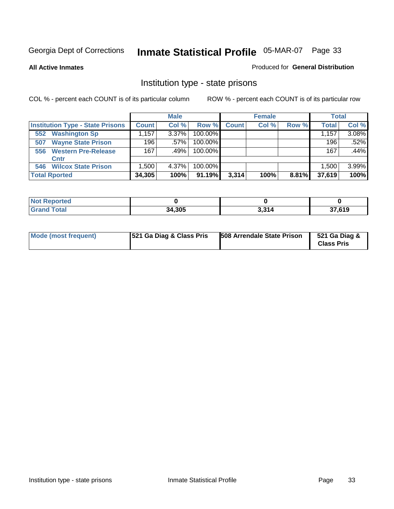**All Active Inmates**

#### Produced for **General Distribution**

### Institution type - state prisons

|                                         |              | <b>Male</b> |            |              | <b>Female</b> |       | <b>Total</b> |       |
|-----------------------------------------|--------------|-------------|------------|--------------|---------------|-------|--------------|-------|
| <b>Institution Type - State Prisons</b> | <b>Count</b> | Col %       | Row %      | <b>Count</b> | Col %         | Row % | <b>Total</b> | Col % |
| <b>Washington Sp</b><br>552             | .157         | $3.37\%$    | $100.00\%$ |              |               |       | 1,157        | 3.08% |
| <b>Wayne State Prison</b><br>507        | 196          | $.57\%$     | $100.00\%$ |              |               |       | 196          | .52%  |
| <b>Western Pre-Release</b><br>556       | 167          | .49%        | $100.00\%$ |              |               |       | 167          | .44%  |
| Cntr                                    |              |             |            |              |               |       |              |       |
| <b>Wilcox State Prison</b><br>546       | .500         | 4.37%       | $100.00\%$ |              |               |       | 1,500,       | 3.99% |
| <b>Total Rported</b>                    | 34,305       | 100%        | $91.19\%$  | 3,314        | 100%          | 8.81% | 37,619       | 100%  |

| $\sim$ | 34,305 | <b>2 24 A</b><br>14.5 | <b>27 CAN</b><br>טוס, |
|--------|--------|-----------------------|-----------------------|

| Mode (most frequent) | <b>521 Ga Diag &amp; Class Pris</b> | 508 Arrendale State Prison | 521 Ga Diag &<br><b>Class Pris</b> |
|----------------------|-------------------------------------|----------------------------|------------------------------------|
|----------------------|-------------------------------------|----------------------------|------------------------------------|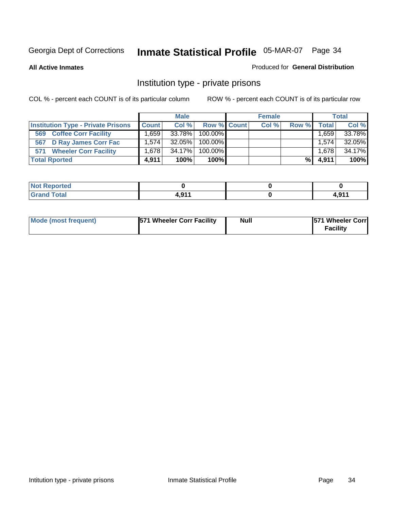#### **All Active Inmates**

#### Produced for **General Distribution**

### Institution type - private prisons

|                                           |              | <b>Male</b> |             | <b>Female</b> |       |              | <b>Total</b> |
|-------------------------------------------|--------------|-------------|-------------|---------------|-------|--------------|--------------|
| <b>Institution Type - Private Prisons</b> | <b>Count</b> | Col %       | Row % Count | Col %         | Row % | <b>Total</b> | Col %        |
| <b>Coffee Corr Facility</b><br>569        | .659         | 33.78%      | 100.00%     |               |       | . 659        | 33.78%       |
| 567 D Ray James Corr Fac                  | 1.5741       | $32.05\%$   | 100.00%     |               |       | 1.574        | 32.05%       |
| <b>Wheeler Corr Facility</b><br>571       | 1.678        | 34.17%      | 100.00%     |               |       | 1,678        | 34.17%       |
| <b>Total Rported</b>                      | 4.911        | 100%        | $100\%$     |               | %     | 4,911        | 100%         |

| Reported<br><b>NOT</b><br>$\sim$ |       |                                              |
|----------------------------------|-------|----------------------------------------------|
| <b>Total</b><br>------           | 044 ا | $\overline{A}$ $\overline{A}$ $\overline{A}$ |

| Mode (most frequent) | <b>571 Wheeler Corr Facility</b> | <b>Null</b> | <b>571 Wheeler Corr</b><br>Facility |
|----------------------|----------------------------------|-------------|-------------------------------------|
|----------------------|----------------------------------|-------------|-------------------------------------|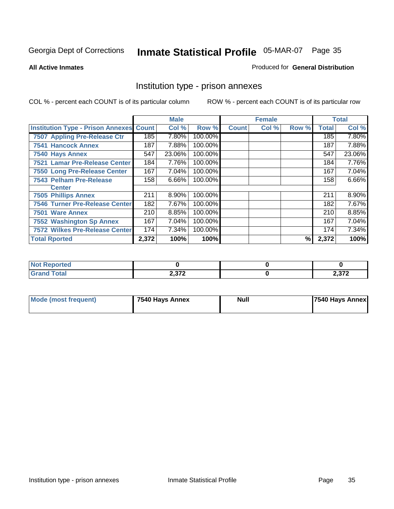#### **All Active Inmates**

#### Produced for **General Distribution**

### Institution type - prison annexes

|                                                |       | <b>Male</b> |         |              | <b>Female</b> |       |              | <b>Total</b> |
|------------------------------------------------|-------|-------------|---------|--------------|---------------|-------|--------------|--------------|
| <b>Institution Type - Prison Annexes Count</b> |       | Col %       | Row %   | <b>Count</b> | Col %         | Row % | <b>Total</b> | Col %        |
| 7507 Appling Pre-Release Ctr                   | 185   | 7.80%       | 100.00% |              |               |       | 185          | 7.80%        |
| <b>7541 Hancock Annex</b>                      | 187   | 7.88%       | 100.00% |              |               |       | 187          | 7.88%        |
| 7540 Hays Annex                                | 547   | 23.06%      | 100.00% |              |               |       | 547          | 23.06%       |
| 7521 Lamar Pre-Release Center                  | 184   | 7.76%       | 100.00% |              |               |       | 184          | 7.76%        |
| 7550 Long Pre-Release Center                   | 167   | 7.04%       | 100.00% |              |               |       | 167          | 7.04%        |
| <b>7543 Pelham Pre-Release</b>                 | 158   | 6.66%       | 100.00% |              |               |       | 158          | 6.66%        |
| <b>Center</b>                                  |       |             |         |              |               |       |              |              |
| <b>7505 Phillips Annex</b>                     | 211   | 8.90%       | 100.00% |              |               |       | 211          | 8.90%        |
| <b>7546 Turner Pre-Release Center</b>          | 182   | 7.67%       | 100.00% |              |               |       | 182          | 7.67%        |
| 7501 Ware Annex                                | 210   | 8.85%       | 100.00% |              |               |       | 210          | 8.85%        |
| <b>7552 Washington Sp Annex</b>                | 167   | 7.04%       | 100.00% |              |               |       | 167          | 7.04%        |
| <b>7572 Wilkes Pre-Release Center</b>          | 174   | 7.34%       | 100.00% |              |               |       | 174          | 7.34%        |
| <b>Total Rported</b>                           | 2,372 | 100%        | 100%    |              |               | %     | 2,372        | 100%         |

| $N$ nt<br>Reported |              |        |
|--------------------|--------------|--------|
| <b>Total</b>       | <b>CCC C</b> | רמ ר   |
| <b>Grand</b>       | 2.JI 4       | 2,31 Z |

| <b>Mode (most frequent)</b> | 7540 Hays Annex | <b>Null</b> | 7540 Hays Annex |
|-----------------------------|-----------------|-------------|-----------------|
|-----------------------------|-----------------|-------------|-----------------|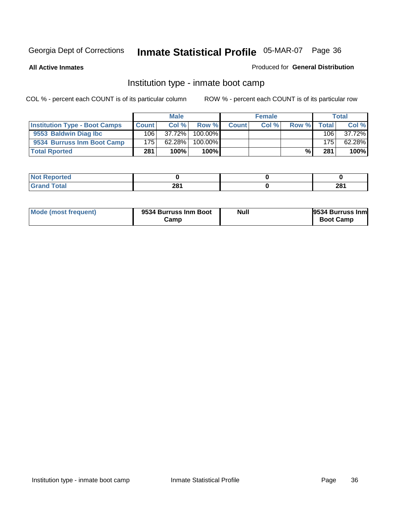**All Active Inmates**

#### Produced for **General Distribution**

### Institution type - inmate boot camp

|                                      |              | <b>Male</b> |               |              | <b>Female</b> |       |        | <b>Total</b> |
|--------------------------------------|--------------|-------------|---------------|--------------|---------------|-------|--------|--------------|
| <b>Institution Type - Boot Camps</b> | <b>Count</b> | Col%        | Row %I        | <b>Count</b> | Col%          | Row % | Totall | Col %        |
| 9553 Baldwin Diag Ibc                | 106          | $37.72\%$   | $100.00\%$    |              |               |       | 106    | 37.72%       |
| 9534 Burruss Inm Boot Camp           | 175          | $62.28\%$   | $100.00\%$    |              |               |       | 175    | 62.28%       |
| <b>Total Rported</b>                 | 281          | 100%        | 100% <b>I</b> |              |               | %     | 281    | 100%         |

| <b>rted</b>              |     |              |
|--------------------------|-----|--------------|
| <b>otal</b><br>$-1$ $-1$ | 281 | י⊿ ה<br>ZU I |

| Mode (most frequent) | 9534 Burruss Inm Boot<br>Camp | Null | 9534 Burruss Inm<br><b>Boot Camp</b> |
|----------------------|-------------------------------|------|--------------------------------------|
|----------------------|-------------------------------|------|--------------------------------------|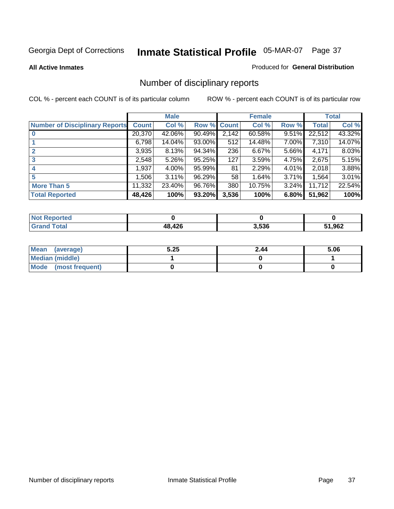#### **All Active Inmates**

#### Produced for **General Distribution**

# Number of disciplinary reports

|                                       |              | <b>Male</b> |        |                  | <b>Female</b> |          |              | <b>Total</b> |
|---------------------------------------|--------------|-------------|--------|------------------|---------------|----------|--------------|--------------|
| <b>Number of Disciplinary Reports</b> | <b>Count</b> | Col %       | Row %  | <b>Count</b>     | Col %         | Row %    | <b>Total</b> | Col %        |
|                                       | 20,370       | 42.06%      | 90.49% | 2,142            | 60.58%        | 9.51%    | 22,512       | 43.32%       |
|                                       | 6,798        | 14.04%      | 93.00% | 512              | 14.48%        | 7.00%    | 7,310        | 14.07%       |
|                                       | 3,935        | 8.13%       | 94.34% | 236              | 6.67%         | 5.66%    | 4,171        | 8.03%        |
| 3                                     | 2,548        | 5.26%       | 95.25% | $\overline{127}$ | 3.59%         | 4.75%    | 2,675        | 5.15%        |
| $\boldsymbol{4}$                      | 1,937        | 4.00%       | 95.99% | 81               | 2.29%         | $4.01\%$ | 2,018        | 3.88%        |
| 5                                     | 1,506        | 3.11%       | 96.29% | 58               | 1.64%         | 3.71%    | 1,564        | 3.01%        |
| <b>More Than 5</b>                    | 11,332       | 23.40%      | 96.76% | 380              | 10.75%        | $3.24\%$ | 11,712       | 22.54%       |
| <b>Total Reported</b>                 | 48,426       | 100%        | 93.20% | 3,536            | 100%          | 6.80%    | 51,962       | 100%         |

| N                                        |                 |       |       |
|------------------------------------------|-----------------|-------|-------|
| $\mathcal{L}$ of $\mathcal{L}$<br>______ | 10 <sup>c</sup> | 3.536 | 1,962 |

| Mean (average)         | 5.25 | 2.44 | 5.06 |
|------------------------|------|------|------|
| <b>Median (middle)</b> |      |      |      |
| Mode (most frequent)   |      |      |      |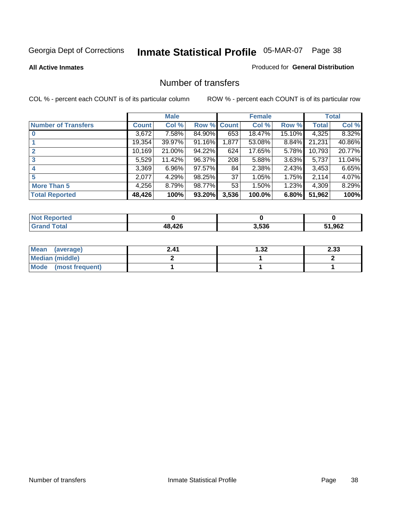#### **All Active Inmates**

#### Produced for **General Distribution**

### Number of transfers

|                            |         | <b>Male</b> |        |              | <b>Female</b> |          |              | <b>Total</b> |
|----------------------------|---------|-------------|--------|--------------|---------------|----------|--------------|--------------|
| <b>Number of Transfers</b> | Count l | Col %       | Row %  | <b>Count</b> | Col %         | Row %    | <b>Total</b> | Col %        |
|                            | 3,672   | 7.58%       | 84.90% | 653          | 18.47%        | 15.10%   | 4,325        | 8.32%        |
|                            | 19,354  | 39.97%      | 91.16% | 1,877        | 53.08%        | $8.84\%$ | 21,231       | 40.86%       |
|                            | 10,169  | 21.00%      | 94.22% | 624          | 17.65%        | 5.78%    | 10,793       | 20.77%       |
| 3                          | 5,529   | 11.42%      | 96.37% | 208          | 5.88%         | 3.63%    | 5,737        | 11.04%       |
|                            | 3,369   | $6.96\%$    | 97.57% | 84           | 2.38%         | $2.43\%$ | 3,453        | 6.65%        |
| 5                          | 2,077   | 4.29%       | 98.25% | 37           | 1.05%         | 1.75%    | 2,114        | 4.07%        |
| <b>More Than 5</b>         | 4,256   | 8.79%       | 98.77% | 53           | 1.50%         | $1.23\%$ | 4,309        | 8.29%        |
| <b>Total Reported</b>      | 48,426  | 100%        | 93.20% | 3,536        | 100.0%        | 6.80%    | 51,962       | 100%         |

| N                                        |                 |       |       |
|------------------------------------------|-----------------|-------|-------|
| $\mathcal{L}$ of $\mathcal{L}$<br>______ | 10 <sup>c</sup> | 3.536 | 1,962 |

| Mean (average)         | 2.41 | l.32 | 2.33 |
|------------------------|------|------|------|
| <b>Median (middle)</b> |      |      |      |
| Mode (most frequent)   |      |      |      |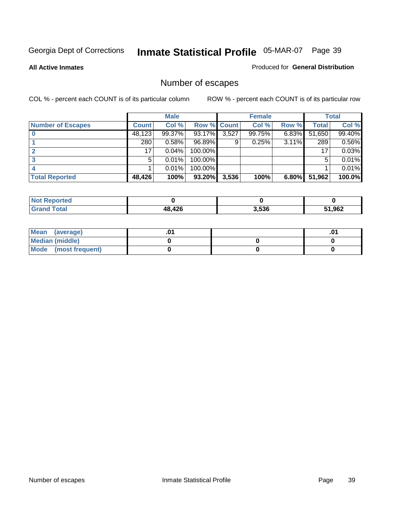**All Active Inmates**

#### Produced for **General Distribution**

# Number of escapes

|                          |                  | <b>Male</b> |             |       | <b>Female</b> |          |        | <b>Total</b> |
|--------------------------|------------------|-------------|-------------|-------|---------------|----------|--------|--------------|
| <b>Number of Escapes</b> | <b>Count</b>     | Col %       | Row % Count |       | Col %         | Row %    | Total  | Col %        |
|                          | 48,123           | 99.37%      | 93.17%      | 3,527 | 99.75%        | $6.83\%$ | 51,650 | 99.40%       |
|                          | 280 <sub>1</sub> | 0.58%       | 96.89%      | 9     | 0.25%         | 3.11%    | 289    | 0.56%        |
|                          | 17               | 0.04%       | 100.00%     |       |               |          | 17     | 0.03%        |
|                          | 5                | 0.01%       | 100.00%     |       |               |          | 5      | 0.01%        |
|                          |                  | 0.01%       | $100.00\%$  |       |               |          |        | 0.01%        |
| <b>Total Reported</b>    | 48,426           | 100%        | 93.20%      | 3,536 | 100%          | 6.80%    | 51,962 | 100.0%       |

| <b>Not Reported</b> |     |       |      |
|---------------------|-----|-------|------|
|                     | 426 | 3.536 | ,962 |

| Mean (average)       |  | ו ש. |
|----------------------|--|------|
| Median (middle)      |  |      |
| Mode (most frequent) |  |      |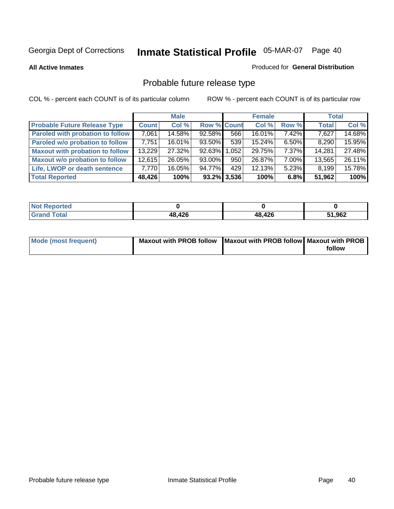**All Active Inmates**

#### Produced for **General Distribution**

# Probable future release type

|                                         |              | <b>Male</b> |                    |                | <b>Female</b> |          | <b>Total</b> |        |
|-----------------------------------------|--------------|-------------|--------------------|----------------|---------------|----------|--------------|--------|
| <b>Probable Future Release Type</b>     | <b>Count</b> | Col %       | <b>Row % Count</b> |                | Col %         | Row %    | <b>Total</b> | Col %  |
| <b>Paroled with probation to follow</b> | 7,061        | 14.58%      | 92.58%             | 566            | 16.01%        | 7.42%    | 7,627        | 14.68% |
| Paroled w/o probation to follow         | 7,751        | $16.01\%$   | 93.50%             | 539            | 15.24%        | $6.50\%$ | 8,290        | 15.95% |
| <b>Maxout with probation to follow</b>  | 13,229       | 27.32%      | 92.63%             | 1,052          | 29.75%        | $7.37\%$ | 14,281       | 27.48% |
| <b>Maxout w/o probation to follow</b>   | 12,615       | 26.05%      | $93.00\%$          | 950            | 26.87%        | 7.00%    | 13,565       | 26.11% |
| Life, LWOP or death sentence            | 7,770        | 16.05%      | 94.77%             | 429            | 12.13%        | $5.23\%$ | 8,199        | 15.78% |
| <b>Total Reported</b>                   | 48,426       | 100%        |                    | $93.2\%$ 3,536 | 100%          | 6.8%     | 51,962       | 100%   |

| $'$ Not $_1$ .<br>Reported |        |        |        |
|----------------------------|--------|--------|--------|
| <b>Grand Total</b>         | 48,426 | 48,426 | 51,962 |

| Mode (most frequent) | Maxout with PROB follow   Maxout with PROB follow   Maxout with PROB |        |
|----------------------|----------------------------------------------------------------------|--------|
|                      |                                                                      | follow |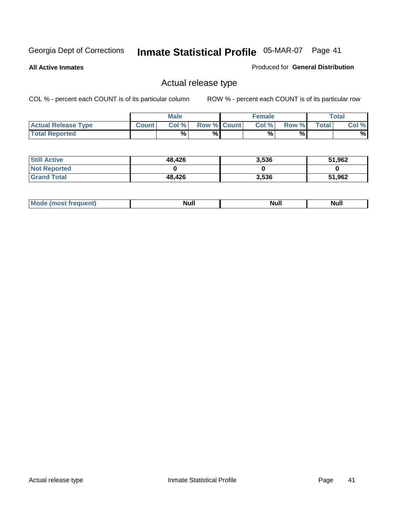**All Active Inmates**

### Produced for **General Distribution**

## Actual release type

|                            |              | <b>Male</b> |                    | <b>Female</b> |       |       | <b>Total</b> |
|----------------------------|--------------|-------------|--------------------|---------------|-------|-------|--------------|
| <b>Actual Release Type</b> | <b>Count</b> | Col %       | <b>Row % Count</b> | Col %         | Row % | Total | Col %        |
| <b>Total Reported</b>      |              | %           | %                  | %             | %     |       | %            |

| <b>Still Active</b> | 48,426 | 3,536 | 51,962 |
|---------------------|--------|-------|--------|
| <b>Not Reported</b> |        |       |        |
| <b>Grand Total</b>  | 48,426 | 3,536 | 51,962 |

| M<br>____<br>_____ | NI | Null | $\cdots$ |
|--------------------|----|------|----------|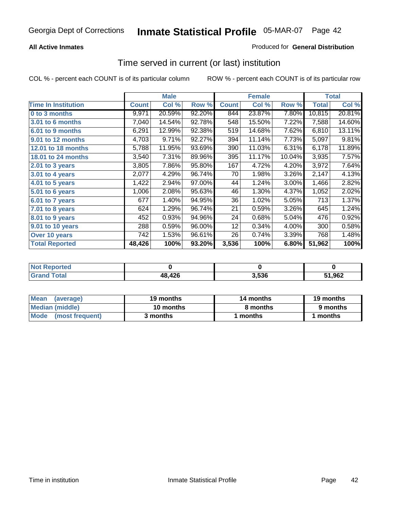### **All Active Inmates**

### Produced for **General Distribution**

### Time served in current (or last) institution

|                            |              | <b>Male</b> |        |              | <b>Female</b> |        |        | <b>Total</b> |
|----------------------------|--------------|-------------|--------|--------------|---------------|--------|--------|--------------|
| <b>Time In Institution</b> | <b>Count</b> | Col %       | Row %  | <b>Count</b> | Col %         | Row %  | Total  | Col %        |
| 0 to 3 months              | 9,971        | 20.59%      | 92.20% | 844          | 23.87%        | 7.80%  | 10,815 | 20.81%       |
| 3.01 to 6 months           | 7,040        | 14.54%      | 92.78% | 548          | 15.50%        | 7.22%  | 7,588  | 14.60%       |
| 6.01 to 9 months           | 6,291        | 12.99%      | 92.38% | 519          | 14.68%        | 7.62%  | 6,810  | 13.11%       |
| 9.01 to 12 months          | 4,703        | 9.71%       | 92.27% | 394          | 11.14%        | 7.73%  | 5,097  | 9.81%        |
| 12.01 to 18 months         | 5,788        | 11.95%      | 93.69% | 390          | 11.03%        | 6.31%  | 6,178  | 11.89%       |
| <b>18.01 to 24 months</b>  | 3,540        | 7.31%       | 89.96% | 395          | 11.17%        | 10.04% | 3,935  | 7.57%        |
| 2.01 to 3 years            | 3,805        | 7.86%       | 95.80% | 167          | 4.72%         | 4.20%  | 3,972  | 7.64%        |
| 3.01 to 4 years            | 2,077        | 4.29%       | 96.74% | 70           | 1.98%         | 3.26%  | 2,147  | 4.13%        |
| 4.01 to 5 years            | 1,422        | 2.94%       | 97.00% | 44           | 1.24%         | 3.00%  | 1,466  | 2.82%        |
| 5.01 to 6 years            | 1,006        | 2.08%       | 95.63% | 46           | 1.30%         | 4.37%  | 1,052  | 2.02%        |
| 6.01 to 7 years            | 677          | 1.40%       | 94.95% | 36           | 1.02%         | 5.05%  | 713    | 1.37%        |
| 7.01 to 8 years            | 624          | 1.29%       | 96.74% | 21           | 0.59%         | 3.26%  | 645    | 1.24%        |
| 8.01 to 9 years            | 452          | 0.93%       | 94.96% | 24           | 0.68%         | 5.04%  | 476    | 0.92%        |
| 9.01 to 10 years           | 288          | 0.59%       | 96.00% | 12           | 0.34%         | 4.00%  | 300    | 0.58%        |
| Over 10 years              | 742          | 1.53%       | 96.61% | 26           | 0.74%         | 3.39%  | 768    | 1.48%        |
| <b>Total Reported</b>      | 48,426       | 100%        | 93.20% | 3,536        | 100%          | 6.80%  | 51,962 | 100%         |

| <b>Not Reported</b> |        |      |        |
|---------------------|--------|------|--------|
| <b>Total</b>        | 48,426 | .536 | 51,962 |

| <b>Mean</b><br>(average) | 19 months | 14 months | 19 months |
|--------------------------|-----------|-----------|-----------|
| Median (middle)          | 10 months | 8 months  | 9 months  |
| Mode (most frequent)     | 3 months  | 1 months  | months    |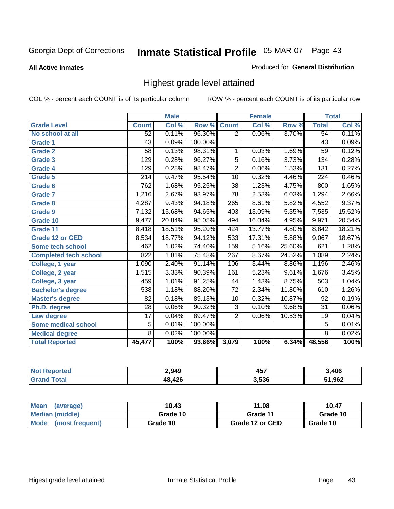**All Active Inmates**

#### Produced for **General Distribution**

## Highest grade level attained

|                              |                  | <b>Male</b> |         |                  | <b>Female</b> |        |                  | <b>Total</b> |
|------------------------------|------------------|-------------|---------|------------------|---------------|--------|------------------|--------------|
| <b>Grade Level</b>           | <b>Count</b>     | Col %       | Row %   | <b>Count</b>     | Col %         | Row %  | <b>Total</b>     | Col %        |
| No school at all             | 52               | 0.11%       | 96.30%  | $\overline{2}$   | 0.06%         | 3.70%  | 54               | 0.11%        |
| <b>Grade 1</b>               | $\overline{43}$  | 0.09%       | 100.00% |                  |               |        | $\overline{43}$  | 0.09%        |
| <b>Grade 2</b>               | $\overline{58}$  | 0.13%       | 98.31%  | 1                | 0.03%         | 1.69%  | $\overline{59}$  | 0.12%        |
| <b>Grade 3</b>               | 129              | 0.28%       | 96.27%  | 5                | 0.16%         | 3.73%  | 134              | 0.28%        |
| <b>Grade 4</b>               | 129              | 0.28%       | 98.47%  | $\overline{2}$   | 0.06%         | 1.53%  | 131              | 0.27%        |
| Grade 5                      | $\overline{214}$ | 0.47%       | 95.54%  | $\overline{10}$  | 0.32%         | 4.46%  | $\overline{224}$ | 0.46%        |
| Grade 6                      | 762              | 1.68%       | 95.25%  | $\overline{38}$  | 1.23%         | 4.75%  | 800              | 1.65%        |
| <b>Grade 7</b>               | 1,216            | 2.67%       | 93.97%  | $\overline{78}$  | 2.53%         | 6.03%  | 1,294            | 2.66%        |
| <b>Grade 8</b>               | 4,287            | 9.43%       | 94.18%  | 265              | 8.61%         | 5.82%  | 4,552            | 9.37%        |
| Grade 9                      | 7,132            | 15.68%      | 94.65%  | $\overline{403}$ | 13.09%        | 5.35%  | 7,535            | 15.52%       |
| Grade 10                     | 9,477            | 20.84%      | 95.05%  | 494              | 16.04%        | 4.95%  | 9,971            | 20.54%       |
| Grade 11                     | 8,418            | 18.51%      | 95.20%  | 424              | 13.77%        | 4.80%  | 8,842            | 18.21%       |
| <b>Grade 12 or GED</b>       | 8,534            | 18.77%      | 94.12%  | 533              | 17.31%        | 5.88%  | 9,067            | 18.67%       |
| <b>Some tech school</b>      | 462              | 1.02%       | 74.40%  | 159              | 5.16%         | 25.60% | 621              | 1.28%        |
| <b>Completed tech school</b> | 822              | 1.81%       | 75.48%  | 267              | 8.67%         | 24.52% | 1,089            | 2.24%        |
| College, 1 year              | 1,090            | 2.40%       | 91.14%  | 106              | 3.44%         | 8.86%  | 1,196            | 2.46%        |
| College, 2 year              | 1,515            | 3.33%       | 90.39%  | 161              | 5.23%         | 9.61%  | 1,676            | 3.45%        |
| College, 3 year              | 459              | 1.01%       | 91.25%  | 44               | 1.43%         | 8.75%  | 503              | 1.04%        |
| <b>Bachelor's degree</b>     | 538              | 1.18%       | 88.20%  | $\overline{72}$  | 2.34%         | 11.80% | 610              | 1.26%        |
| <b>Master's degree</b>       | 82               | 0.18%       | 89.13%  | 10               | 0.32%         | 10.87% | 92               | 0.19%        |
| Ph.D. degree                 | $\overline{28}$  | 0.06%       | 90.32%  | $\overline{3}$   | 0.10%         | 9.68%  | $\overline{31}$  | 0.06%        |
| Law degree                   | $\overline{17}$  | 0.04%       | 89.47%  | $\overline{2}$   | 0.06%         | 10.53% | 19               | 0.04%        |
| <b>Some medical school</b>   | 5                | 0.01%       | 100.00% |                  |               |        | $\overline{5}$   | 0.01%        |
| <b>Medical degree</b>        | $\overline{8}$   | 0.02%       | 100.00% |                  |               |        | $\overline{8}$   | 0.02%        |
| <b>Total Reported</b>        | 45,477           | 100%        | 93.66%  | 3,079            | 100%          | 6.34%  | 48,556           | 100%         |

| ?.949          | <b>AE7</b><br>40.<br>$-$ | 3,406 |
|----------------|--------------------------|-------|
| <b>10 חימו</b> | 3.536                    | .962  |

| <b>Mean</b><br>(average)       | 10.43    | 11.08           | 10.47    |
|--------------------------------|----------|-----------------|----------|
| Median (middle)                | Grade 10 | Grade 11        | Grade 10 |
| <b>Mode</b><br>(most frequent) | Grade 10 | Grade 12 or GED | Grade 10 |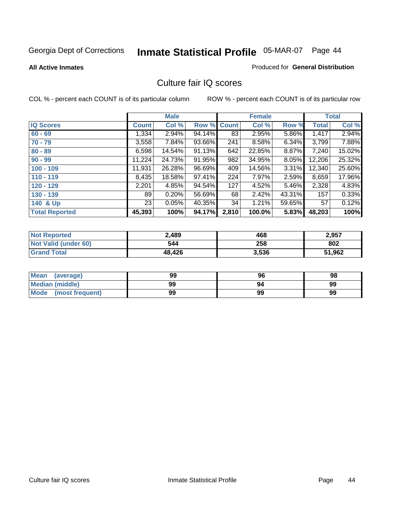**All Active Inmates**

#### Produced for **General Distribution**

### Culture fair IQ scores

|                       |              | <b>Male</b> |             |       | <b>Female</b> |          |              | <b>Total</b> |
|-----------------------|--------------|-------------|-------------|-------|---------------|----------|--------------|--------------|
| <b>IQ Scores</b>      | <b>Count</b> | Col %       | Row % Count |       | Col %         | Row %    | <b>Total</b> | Col %        |
| $60 - 69$             | 1,334        | 2.94%       | 94.14%      | 83    | 2.95%         | 5.86%    | 1,417        | 2.94%        |
| $70 - 79$             | 3,558        | 7.84%       | 93.66%      | 241   | 8.58%         | 6.34%    | 3,799        | 7.88%        |
| $80 - 89$             | 6,598        | 14.54%      | 91.13%      | 642   | 22.85%        | 8.87%    | 7,240        | 15.02%       |
| $90 - 99$             | 11,224       | 24.73%      | 91.95%      | 982   | 34.95%        | $8.05\%$ | 12,206       | 25.32%       |
| $100 - 109$           | 11,931       | 26.28%      | 96.69%      | 409   | 14.56%        | 3.31%    | 12,340       | 25.60%       |
| $110 - 119$           | 8,435        | 18.58%      | 97.41%      | 224   | 7.97%         | 2.59%    | 8,659        | 17.96%       |
| $120 - 129$           | 2,201        | 4.85%       | 94.54%      | 127   | 4.52%         | 5.46%    | 2,328        | 4.83%        |
| $130 - 139$           | 89           | 0.20%       | 56.69%      | 68    | 2.42%         | 43.31%   | 157          | 0.33%        |
| 140 & Up              | 23           | 0.05%       | 40.35%      | 34    | 1.21%         | 59.65%   | 57           | 0.12%        |
| <b>Total Reported</b> | 45,393       | 100%        | 94.17%      | 2,810 | 100.0%        | 5.83%    | 48,203       | 100%         |

| <b>Not Reported</b>  | 2,489  | 468   | 2,957  |
|----------------------|--------|-------|--------|
| Not Valid (under 60) | 544    | 258   | 802    |
| <b>Grand Total</b>   | 48.426 | 3,536 | 51,962 |

| <b>Mean</b><br>(average) | 99 | 96 | 98 |
|--------------------------|----|----|----|
| Median (middle)          | 99 | 94 | 99 |
| Mode (most frequent)     | 99 | 99 | 99 |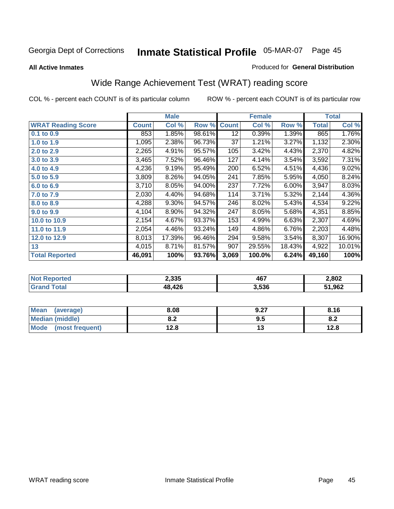#### **All Active Inmates**

#### Produced for **General Distribution**

# Wide Range Achievement Test (WRAT) reading score

|                           |              | <b>Male</b> |        |              | <b>Female</b> |        |              | <b>Total</b> |
|---------------------------|--------------|-------------|--------|--------------|---------------|--------|--------------|--------------|
| <b>WRAT Reading Score</b> | <b>Count</b> | Col %       | Row %  | <b>Count</b> | Col %         | Row %  | <b>Total</b> | Col %        |
| 0.1 to 0.9                | 853          | 1.85%       | 98.61% | 12           | 0.39%         | 1.39%  | 865          | 1.76%        |
| 1.0 to 1.9                | 1,095        | 2.38%       | 96.73% | 37           | 1.21%         | 3.27%  | 1,132        | 2.30%        |
| 2.0 to 2.9                | 2,265        | 4.91%       | 95.57% | 105          | 3.42%         | 4.43%  | 2,370        | 4.82%        |
| 3.0 to 3.9                | 3,465        | 7.52%       | 96.46% | 127          | 4.14%         | 3.54%  | 3,592        | 7.31%        |
| 4.0 to 4.9                | 4,236        | 9.19%       | 95.49% | 200          | 6.52%         | 4.51%  | 4,436        | 9.02%        |
| 5.0 to 5.9                | 3,809        | 8.26%       | 94.05% | 241          | 7.85%         | 5.95%  | 4,050        | 8.24%        |
| 6.0 to 6.9                | 3,710        | 8.05%       | 94.00% | 237          | 7.72%         | 6.00%  | 3,947        | 8.03%        |
| 7.0 to 7.9                | 2,030        | 4.40%       | 94.68% | 114          | 3.71%         | 5.32%  | 2,144        | 4.36%        |
| 8.0 to 8.9                | 4,288        | 9.30%       | 94.57% | 246          | 8.02%         | 5.43%  | 4,534        | 9.22%        |
| 9.0 to 9.9                | 4,104        | 8.90%       | 94.32% | 247          | 8.05%         | 5.68%  | 4,351        | 8.85%        |
| 10.0 to 10.9              | 2,154        | 4.67%       | 93.37% | 153          | 4.99%         | 6.63%  | 2,307        | 4.69%        |
| 11.0 to 11.9              | 2,054        | 4.46%       | 93.24% | 149          | 4.86%         | 6.76%  | 2,203        | 4.48%        |
| 12.0 to 12.9              | 8,013        | 17.39%      | 96.46% | 294          | 9.58%         | 3.54%  | 8,307        | 16.90%       |
| 13                        | 4,015        | 8.71%       | 81.57% | 907          | 29.55%        | 18.43% | 4,922        | 10.01%       |
| <b>Total Reported</b>     | 46,091       | 100%        | 93.76% | 3,069        | 100.0%        | 6.24%  | 49,160       | 100%         |

| 2,335  | 467<br>____ | 2,802  |
|--------|-------------|--------|
| 18,426 | 3,536       | 51,962 |

| <b>Mean</b><br>(average)       | 8.08       | 9.27 | 8.16 |
|--------------------------------|------------|------|------|
| Median (middle)                | י ה<br>0.Z | 9.5  | o.z  |
| <b>Mode</b><br>(most frequent) | 12.8       | . .  | 12.8 |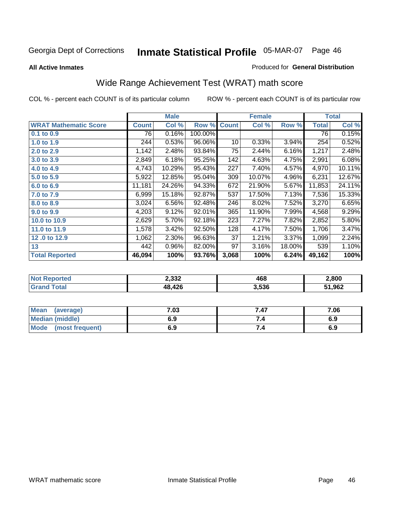#### **All Active Inmates**

### Produced for **General Distribution**

# Wide Range Achievement Test (WRAT) math score

|                              |              | <b>Male</b> |         |              | <b>Female</b> |        |              | <b>Total</b> |
|------------------------------|--------------|-------------|---------|--------------|---------------|--------|--------------|--------------|
| <b>WRAT Mathematic Score</b> | <b>Count</b> | Col %       | Row %   | <b>Count</b> | Col %         | Row %  | <b>Total</b> | Col %        |
| 0.1 to 0.9                   | 76           | 0.16%       | 100.00% |              |               |        | 76           | 0.15%        |
| 1.0 to 1.9                   | 244          | 0.53%       | 96.06%  | 10           | 0.33%         | 3.94%  | 254          | 0.52%        |
| 2.0 to 2.9                   | 1,142        | 2.48%       | 93.84%  | 75           | 2.44%         | 6.16%  | 1,217        | 2.48%        |
| 3.0 to 3.9                   | 2,849        | 6.18%       | 95.25%  | 142          | 4.63%         | 4.75%  | 2,991        | 6.08%        |
| 4.0 to 4.9                   | 4,743        | 10.29%      | 95.43%  | 227          | 7.40%         | 4.57%  | 4,970        | 10.11%       |
| 5.0 to 5.9                   | 5,922        | 12.85%      | 95.04%  | 309          | 10.07%        | 4.96%  | 6,231        | 12.67%       |
| 6.0 to 6.9                   | 11,181       | 24.26%      | 94.33%  | 672          | 21.90%        | 5.67%  | 11,853       | 24.11%       |
| 7.0 to 7.9                   | 6,999        | 15.18%      | 92.87%  | 537          | 17.50%        | 7.13%  | 7,536        | 15.33%       |
| 8.0 to 8.9                   | 3,024        | 6.56%       | 92.48%  | 246          | 8.02%         | 7.52%  | 3,270        | 6.65%        |
| 9.0 to 9.9                   | 4,203        | 9.12%       | 92.01%  | 365          | 11.90%        | 7.99%  | 4,568        | 9.29%        |
| 10.0 to 10.9                 | 2,629        | 5.70%       | 92.18%  | 223          | 7.27%         | 7.82%  | 2,852        | 5.80%        |
| 11.0 to 11.9                 | 1,578        | 3.42%       | 92.50%  | 128          | 4.17%         | 7.50%  | 1,706        | 3.47%        |
| 12.0 to 12.9                 | 1,062        | 2.30%       | 96.63%  | 37           | 1.21%         | 3.37%  | 1,099        | 2.24%        |
| 13                           | 442          | 0.96%       | 82.00%  | 97           | 3.16%         | 18.00% | 539          | 1.10%        |
| <b>Total Reported</b>        | 46,094       | 100%        | 93.76%  | 3,068        | 100%          | 6.24%  | 49,162       | 100%         |

|            | 2,332 | 468   | 2,800  |
|------------|-------|-------|--------|
| <b>ota</b> | ,426  | 3,536 | 51,962 |

| Mean<br>(average)       | 7.03 | 7.47 | 7.06 |
|-------------------------|------|------|------|
| Median (middle)         | 6.9  |      | 6.9  |
| Mode<br>(most frequent) | 6.9  | 7.4  | 6.9  |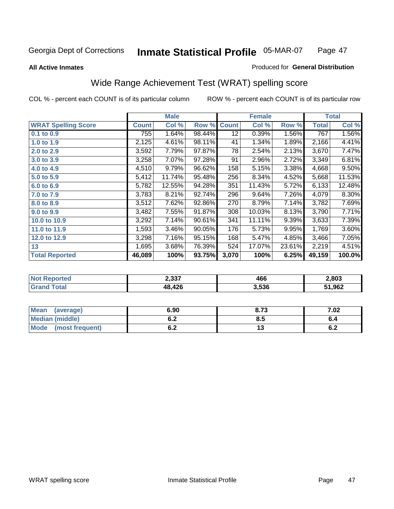#### **All Active Inmates**

#### Produced for **General Distribution**

# Wide Range Achievement Test (WRAT) spelling score

|                            |              | <b>Male</b> |        |              | <b>Female</b> |        |              | <b>Total</b> |
|----------------------------|--------------|-------------|--------|--------------|---------------|--------|--------------|--------------|
| <b>WRAT Spelling Score</b> | <b>Count</b> | Col %       | Row %  | <b>Count</b> | Col %         | Row %  | <b>Total</b> | Col %        |
| $0.1$ to $0.9$             | 755          | 1.64%       | 98.44% | 12           | 0.39%         | 1.56%  | 767          | 1.56%        |
| 1.0 to 1.9                 | 2,125        | 4.61%       | 98.11% | 41           | 1.34%         | 1.89%  | 2,166        | 4.41%        |
| 2.0 to 2.9                 | 3,592        | 7.79%       | 97.87% | 78           | 2.54%         | 2.13%  | 3,670        | 7.47%        |
| 3.0 to 3.9                 | 3,258        | 7.07%       | 97.28% | 91           | 2.96%         | 2.72%  | 3,349        | 6.81%        |
| 4.0 to 4.9                 | 4,510        | 9.79%       | 96.62% | 158          | 5.15%         | 3.38%  | 4,668        | 9.50%        |
| 5.0 to 5.9                 | 5,412        | 11.74%      | 95.48% | 256          | 8.34%         | 4.52%  | 5,668        | 11.53%       |
| 6.0 to 6.9                 | 5,782        | 12.55%      | 94.28% | 351          | 11.43%        | 5.72%  | 6,133        | 12.48%       |
| 7.0 to 7.9                 | 3,783        | 8.21%       | 92.74% | 296          | 9.64%         | 7.26%  | 4,079        | 8.30%        |
| 8.0 to 8.9                 | 3,512        | 7.62%       | 92.86% | 270          | 8.79%         | 7.14%  | 3,782        | 7.69%        |
| 9.0 to 9.9                 | 3,482        | 7.55%       | 91.87% | 308          | 10.03%        | 8.13%  | 3,790        | 7.71%        |
| 10.0 to 10.9               | 3,292        | 7.14%       | 90.61% | 341          | 11.11%        | 9.39%  | 3,633        | 7.39%        |
| 11.0 to 11.9               | 1,593        | 3.46%       | 90.05% | 176          | 5.73%         | 9.95%  | 1,769        | 3.60%        |
| 12.0 to 12.9               | 3,298        | 7.16%       | 95.15% | 168          | 5.47%         | 4.85%  | 3,466        | 7.05%        |
| 13                         | 1,695        | 3.68%       | 76.39% | 524          | 17.07%        | 23.61% | 2,219        | 4.51%        |
| <b>Total Reported</b>      | 46,089       | 100%        | 93.75% | 3,070        | 100%          | 6.25%  | 49,159       | 100.0%       |

| 14120 | 2,337       | 466   | 2,803 |
|-------|-------------|-------|-------|
|       | 12c<br>.420 | 3,536 | .962  |

| <b>Mean</b><br>(average)       | 6.90       | 8.73 | 7.02       |
|--------------------------------|------------|------|------------|
| Median (middle)                | v.z        | ტ.J  | o.4        |
| <b>Mode</b><br>(most frequent) | . .<br>v.z | ں ،  | . .<br>0.Z |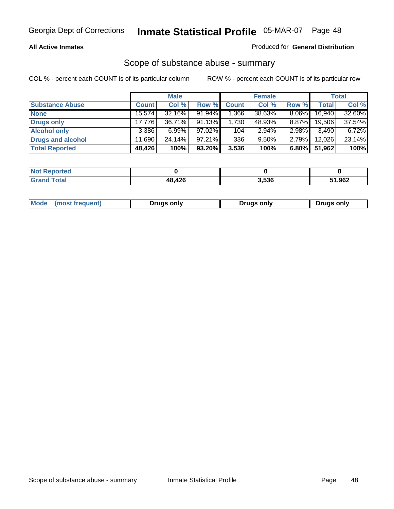#### **All Active Inmates**

#### Produced for **General Distribution**

### Scope of substance abuse - summary

|                        |              | <b>Male</b> |           |              | <b>Female</b> |          |              | <b>Total</b> |
|------------------------|--------------|-------------|-----------|--------------|---------------|----------|--------------|--------------|
| <b>Substance Abuse</b> | <b>Count</b> | Col %       | Row %     | <b>Count</b> | Col %         | Row %    | <b>Total</b> | Col %        |
| <b>None</b>            | 15,574       | 32.16%      | 91.94%    | .366         | 38.63%        | $8.06\%$ | 16,940       | 32.60%       |
| <b>Drugs only</b>      | 17.776       | 36.71%      | $91.13\%$ | 1,730        | 48.93%        | $8.87\%$ | 19.506       | 37.54%       |
| <b>Alcohol only</b>    | 3.386        | $6.99\%$    | 97.02%    | 104          | $2.94\%$      | $2.98\%$ | 3,490        | 6.72%        |
| Drugs and alcohol      | 11.690       | 24.14%      | $97.21\%$ | 336          | $9.50\%$      | $2.79\%$ | 12,026       | 23.14%       |
| <b>Total Reported</b>  | 48,426       | 100%        | 93.20%    | 3,536        | 100%          | 6.80%    | 51,962       | 100%         |

| <b>Not Reported</b> |        |       |        |
|---------------------|--------|-------|--------|
| <b>Grand Total</b>  | 48,426 | 3,536 | 51,962 |

| Drugs only | Mode<br>(most frequent) | Drugs only | Drugs only |
|------------|-------------------------|------------|------------|
|------------|-------------------------|------------|------------|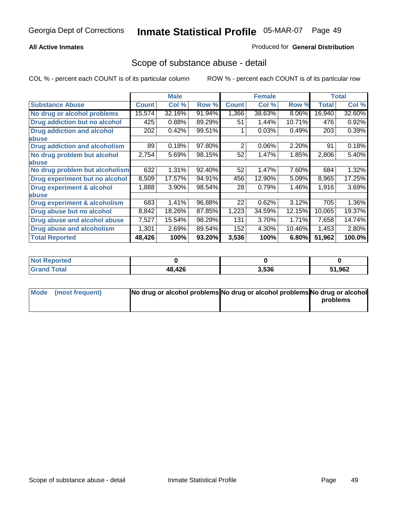#### **All Active Inmates**

#### Produced for **General Distribution**

### Scope of substance abuse - detail

|                                      |              | <b>Male</b> |        |              | <b>Female</b> |        |              | Total  |
|--------------------------------------|--------------|-------------|--------|--------------|---------------|--------|--------------|--------|
| <b>Substance Abuse</b>               | <b>Count</b> | Col %       | Row %  | <b>Count</b> | Col %         | Row %  | <b>Total</b> | Col %  |
| No drug or alcohol problems          | 15,574       | 32.16%      | 91.94% | 1,366        | 38.63%        | 8.06%  | 16,940       | 32.60% |
| Drug addiction but no alcohol        | 425          | 0.88%       | 89.29% | 51           | 1.44%         | 10.71% | 476          | 0.92%  |
| <b>Drug addiction and alcohol</b>    | 202          | 0.42%       | 99.51% |              | 0.03%         | 0.49%  | 203          | 0.39%  |
| <b>labuse</b>                        |              |             |        |              |               |        |              |        |
| <b>Drug addiction and alcoholism</b> | 89           | 0.18%       | 97.80% | 2            | 0.06%         | 2.20%  | 91           | 0.18%  |
| No drug problem but alcohol          | 2,754        | 5.69%       | 98.15% | 52           | 1.47%         | 1.85%  | 2,806        | 5.40%  |
| <b>labuse</b>                        |              |             |        |              |               |        |              |        |
| No drug problem but alcoholism       | 632          | 1.31%       | 92.40% | 52           | 1.47%         | 7.60%  | 684          | 1.32%  |
| Drug experiment but no alcohol       | 8,509        | 17.57%      | 94.91% | 456          | 12.90%        | 5.09%  | 8,965        | 17.25% |
| <b>Drug experiment &amp; alcohol</b> | 1,888        | 3.90%       | 98.54% | 28           | 0.79%         | 1.46%  | 1,916        | 3.69%  |
| <b>labuse</b>                        |              |             |        |              |               |        |              |        |
| Drug experiment & alcoholism         | 683          | 1.41%       | 96.88% | 22           | 0.62%         | 3.12%  | 705          | 1.36%  |
| Drug abuse but no alcohol            | 8,842        | 18.26%      | 87.85% | 1,223        | 34.59%        | 12.15% | 10,065       | 19.37% |
| Drug abuse and alcohol abuse         | 7,527        | 15.54%      | 98.29% | 131          | 3.70%         | 1.71%  | 7,658        | 14.74% |
| <b>Drug abuse and alcoholism</b>     | 1,301        | 2.69%       | 89.54% | 152          | 4.30%         | 10.46% | 1,453        | 2.80%  |
| <b>Total Reported</b>                | 48,426       | 100%        | 93.20% | 3,536        | 100%          | 6.80%  | 51,962       | 100.0% |

| <b>Not Reported</b> |        |       |        |
|---------------------|--------|-------|--------|
| `otal               | 48,426 | 3.536 | 51,962 |

| Mode (most frequent) | No drug or alcohol problems No drug or alcohol problems No drug or alcohol |          |
|----------------------|----------------------------------------------------------------------------|----------|
|                      |                                                                            | problems |
|                      |                                                                            |          |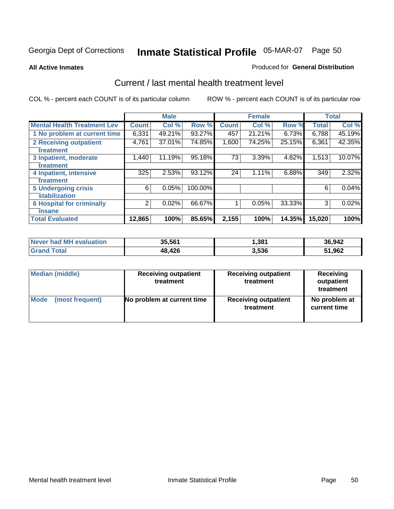#### **All Active Inmates**

#### Produced for **General Distribution**

### Current / last mental health treatment level

|                                    |              | <b>Male</b> |         |              | <b>Female</b> |        |              | <b>Total</b> |
|------------------------------------|--------------|-------------|---------|--------------|---------------|--------|--------------|--------------|
| <b>Mental Health Treatment Lev</b> | <b>Count</b> | Col %       | Row %   | <b>Count</b> | Col %         | Row %  | <b>Total</b> | Col %        |
| 1 No problem at current time       | 6,331        | 49.21%      | 93.27%  | 457          | 21.21%        | 6.73%  | 6,788        | 45.19%       |
| 2 Receiving outpatient             | 4,761        | 37.01%      | 74.85%  | 1,600        | 74.25%        | 25.15% | 6,361        | 42.35%       |
| treatment                          |              |             |         |              |               |        |              |              |
| 3 Inpatient, moderate              | 1,440        | 11.19%      | 95.18%  | 73           | 3.39%         | 4.82%  | 1,513        | 10.07%       |
| treatment                          |              |             |         |              |               |        |              |              |
| 4 Inpatient, intensive             | 325          | 2.53%       | 93.12%  | 24           | $1.11\%$      | 6.88%  | 349          | 2.32%        |
| treatment                          |              |             |         |              |               |        |              |              |
| <b>5 Undergoing crisis</b>         | 6            | 0.05%       | 100.00% |              |               |        | 6            | 0.04%        |
| stabilization                      |              |             |         |              |               |        |              |              |
| <b>6 Hospital for criminally</b>   | 2            | 0.02%       | 66.67%  | 1            | 0.05%         | 33.33% | 3            | 0.02%        |
| insane                             |              |             |         |              |               |        |              |              |
| <b>Total Evaluated</b>             | 12,865       | 100%        | 85.65%  | 2,155        | 100%          | 14.35% | 15,020       | 100%         |

| Never had MH evaluation | 35,561 | Ⅰ,381 | 36,942 |
|-------------------------|--------|-------|--------|
| <b>Grand Total</b>      | 48,426 | 3,536 | 51,962 |

| <b>Median (middle)</b> | <b>Receiving outpatient</b><br>treatment | <b>Receiving outpatient</b><br>treatment | <b>Receiving</b><br>outpatient<br>treatment |
|------------------------|------------------------------------------|------------------------------------------|---------------------------------------------|
| <b>Mode</b>            | No problem at current time               | <b>Receiving outpatient</b>              | No problem at                               |
| (most frequent)        |                                          | treatment                                | current time                                |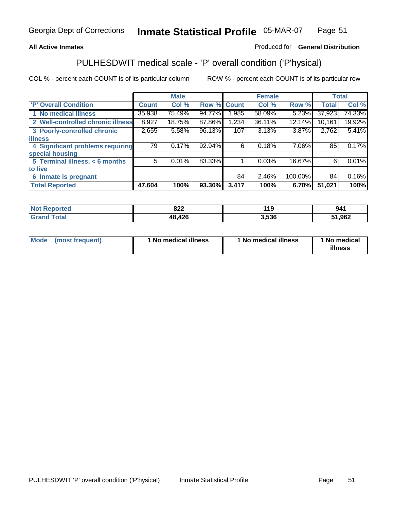### **All Active Inmates**

### Produced for **General Distribution**

# PULHESDWIT medical scale - 'P' overall condition ('P'hysical)

|                                   |              | <b>Male</b> |        |              | <b>Female</b> |         |              | <b>Total</b> |
|-----------------------------------|--------------|-------------|--------|--------------|---------------|---------|--------------|--------------|
| 'P' Overall Condition             | <b>Count</b> | Col %       | Row %  | <b>Count</b> | Col %         | Row %   | <b>Total</b> | Col %        |
| 1 No medical illness              | 35,938       | 75.49%      | 94.77% | .985         | 58.09%        | 5.23%   | 37,923       | 74.33%       |
| 2 Well-controlled chronic illness | 8,927        | 18.75%      | 87.86% | 1,234        | 36.11%        | 12.14%  | 10,161       | 19.92%       |
| 3 Poorly-controlled chronic       | 2,655        | 5.58%       | 96.13% | 107          | 3.13%         | 3.87%   | 2,762        | 5.41%        |
| <b>illness</b>                    |              |             |        |              |               |         |              |              |
| 4 Significant problems requiring  | 79           | 0.17%       | 92.94% | 6            | 0.18%         | 7.06%   | 85           | 0.17%        |
| special housing                   |              |             |        |              |               |         |              |              |
| 5 Terminal illness, < 6 months    | 5            | 0.01%       | 83.33% |              | 0.03%         | 16.67%  | 6            | 0.01%        |
| to live                           |              |             |        |              |               |         |              |              |
| Inmate is pregnant<br>6           |              |             |        | 84           | 2.46%         | 100.00% | 84           | 0.16%        |
| <b>Total Reported</b>             | 47,604       | 100%        | 93.30% | 3,417        | 100%          | 6.70%   | 51,021       | 100%         |

| <b>Not Reported</b> | 822    | 119   | 941    |
|---------------------|--------|-------|--------|
| <b>Grand Total</b>  | 48,426 | 3,536 | 51,962 |

| Mode (most frequent) | 1 No medical illness | 1 No medical illness | 1 No medical |
|----------------------|----------------------|----------------------|--------------|
|                      |                      |                      | illness      |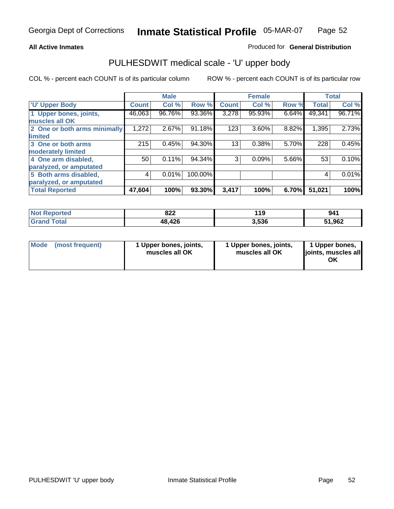#### **All Active Inmates**

#### Produced for **General Distribution**

### PULHESDWIT medical scale - 'U' upper body

|                              |              | <b>Male</b> |         |              | <b>Female</b> |       |              | <b>Total</b> |
|------------------------------|--------------|-------------|---------|--------------|---------------|-------|--------------|--------------|
| <b>U' Upper Body</b>         | <b>Count</b> | Col %       | Row %   | <b>Count</b> | Col %         | Row % | <b>Total</b> | Col %        |
| 1 Upper bones, joints,       | 46,063       | 96.76%      | 93.36%  | 3,278        | 95.93%        | 6.64% | 49,341       | 96.71%       |
| muscles all OK               |              |             |         |              |               |       |              |              |
| 2 One or both arms minimally | 1,272        | 2.67%       | 91.18%  | 123          | 3.60%         | 8.82% | 1,395        | 2.73%        |
| limited                      |              |             |         |              |               |       |              |              |
| 3 One or both arms           | 215          | 0.45%       | 94.30%  | 13           | 0.38%         | 5.70% | 228          | 0.45%        |
| moderately limited           |              |             |         |              |               |       |              |              |
| 4 One arm disabled,          | 50           | 0.11%       | 94.34%  | 3            | 0.09%         | 5.66% | 53           | 0.10%        |
| paralyzed, or amputated      |              |             |         |              |               |       |              |              |
| 5 Both arms disabled,        | 4            | 0.01%       | 100.00% |              |               |       | 4            | 0.01%        |
| paralyzed, or amputated      |              |             |         |              |               |       |              |              |
| <b>Total Reported</b>        | 47,604       | 100%        | 93.30%  | 3,417        | 100%          | 6.70% | 51,021       | 100%         |

| <b>Not</b><br><b>rted</b> | 822    | 19    | 941    |
|---------------------------|--------|-------|--------|
| $T0$ tol                  | 48,426 | 3.536 | 51,962 |

| Mode | (most frequent) | 1 Upper bones, joints,<br>muscles all OK | 1 Upper bones, joints,<br>muscles all OK | 1 Upper bones,<br>joints, muscles all<br>ΟK |
|------|-----------------|------------------------------------------|------------------------------------------|---------------------------------------------|
|------|-----------------|------------------------------------------|------------------------------------------|---------------------------------------------|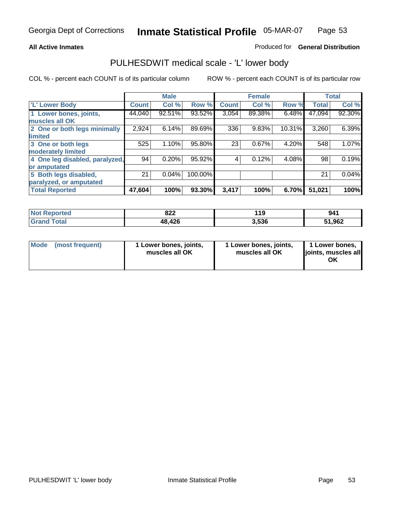#### **All Active Inmates**

### Produced for **General Distribution**

### PULHESDWIT medical scale - 'L' lower body

|                                |              | <b>Male</b> |         |              | <b>Female</b> |        |              | <b>Total</b> |
|--------------------------------|--------------|-------------|---------|--------------|---------------|--------|--------------|--------------|
| 'L' Lower Body                 | <b>Count</b> | Col %       | Row %   | <b>Count</b> | Col %         | Row %  | <b>Total</b> | Col %        |
| 1 Lower bones, joints,         | 44,040       | $92.51\%$   | 93.52%  | 3,054        | 89.38%        | 6.48%  | 47,094       | 92.30%       |
| muscles all OK                 |              |             |         |              |               |        |              |              |
| 2 One or both legs minimally   | 2,924        | 6.14%       | 89.69%  | 336          | 9.83%         | 10.31% | 3,260        | 6.39%        |
| limited                        |              |             |         |              |               |        |              |              |
| 3 One or both legs             | 525          | 1.10%       | 95.80%  | 23           | 0.67%         | 4.20%  | 548          | 1.07%        |
| moderately limited             |              |             |         |              |               |        |              |              |
| 4 One leg disabled, paralyzed, | 94           | 0.20%       | 95.92%  | 4            | 0.12%         | 4.08%  | 98           | 0.19%        |
| or amputated                   |              |             |         |              |               |        |              |              |
| 5 Both legs disabled,          | 21           | 0.04%       | 100.00% |              |               |        | 21           | 0.04%        |
| paralyzed, or amputated        |              |             |         |              |               |        |              |              |
| <b>Total Reported</b>          | 47,604       | 100%        | 93.30%  | 3,417        | 100%          | 6.70%  | 51,021       | 100%         |

| <b>Not Reported</b>   | 822    | 19    | 941    |
|-----------------------|--------|-------|--------|
| Total<br><b>Grand</b> | 48,426 | 3,536 | 51,962 |

|  | Mode (most frequent) | 1 Lower bones, joints,<br>muscles all OK | 1 Lower bones, joints,<br>muscles all OK | 1 Lower bones,<br>joints, muscles all<br>OK |
|--|----------------------|------------------------------------------|------------------------------------------|---------------------------------------------|
|--|----------------------|------------------------------------------|------------------------------------------|---------------------------------------------|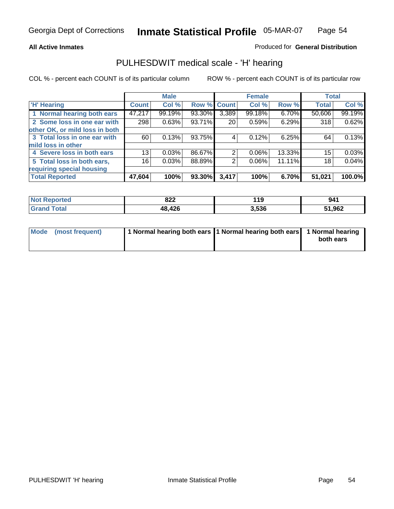#### **All Active Inmates**

#### Produced for **General Distribution**

### PULHESDWIT medical scale - 'H' hearing

|                                |        | <b>Male</b> |             |                 | <b>Female</b> |        | <b>Total</b> |        |
|--------------------------------|--------|-------------|-------------|-----------------|---------------|--------|--------------|--------|
| <b>H'</b> Hearing              | Count  | Col %       | Row % Count |                 | Col %         | Row %  | <b>Total</b> | Col %  |
| 1 Normal hearing both ears     | 47,217 | 99.19%      | 93.30%      | 3,389           | 99.18%        | 6.70%  | 50,606       | 99.19% |
| 2 Some loss in one ear with    | 298    | 0.63%       | 93.71%      | 20 <sub>1</sub> | 0.59%         | 6.29%  | 318          | 0.62%  |
| other OK, or mild loss in both |        |             |             |                 |               |        |              |        |
| 3 Total loss in one ear with   | 60     | 0.13%       | 93.75%      | 4               | 0.12%         | 6.25%  | 64           | 0.13%  |
| mild loss in other             |        |             |             |                 |               |        |              |        |
| 4 Severe loss in both ears     | 13     | 0.03%       | 86.67%      | 2               | $0.06\%$      | 13.33% | 15           | 0.03%  |
| 5 Total loss in both ears,     | 16     | 0.03%       | 88.89%      | 2               | $0.06\%$      | 11.11% | 18           | 0.04%  |
| requiring special housing      |        |             |             |                 |               |        |              |        |
| <b>Total Reported</b>          | 47,604 | 100%        | 93.30%      | 3,417           | 100%          | 6.70%  | 51,021       | 100.0% |

| <b>orted</b> | ററ                | 14 C  | 941          |
|--------------|-------------------|-------|--------------|
| NO           | 0ZZ               | - 1 3 |              |
|              | 426<br>1 Q<br>тv, | 3,536 | 1,962<br>- 4 |

| Mode (most frequent) | 1 Normal hearing both ears 11 Normal hearing both ears 1 Normal hearing |           |
|----------------------|-------------------------------------------------------------------------|-----------|
|                      |                                                                         | both ears |
|                      |                                                                         |           |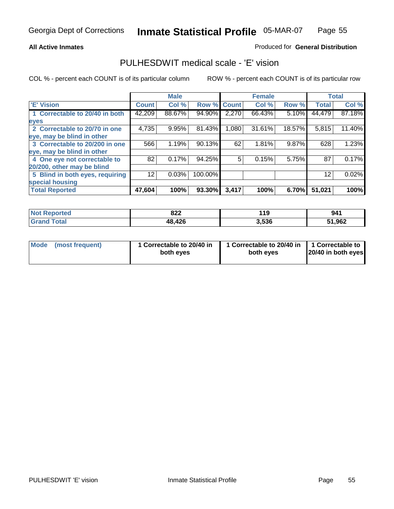### **All Active Inmates**

### Produced for **General Distribution**

### PULHESDWIT medical scale - 'E' vision

|                                 |              | <b>Male</b> |             |       | <b>Female</b> |          |              | <b>Total</b> |
|---------------------------------|--------------|-------------|-------------|-------|---------------|----------|--------------|--------------|
| 'E' Vision                      | <b>Count</b> | Col %       | Row % Count |       | Col %         | Row %    | <b>Total</b> | Col %        |
| 1 Correctable to 20/40 in both  | 42,209       | 88.67%      | 94.90%      | 2,270 | 66.43%        | 5.10%    | 44,479       | 87.18%       |
| eyes                            |              |             |             |       |               |          |              |              |
| 2 Correctable to 20/70 in one   | 4,735        | 9.95%       | 81.43%      | 1,080 | 31.61%        | 18.57%   | 5,815        | 11.40%       |
| eye, may be blind in other      |              |             |             |       |               |          |              |              |
| 3 Correctable to 20/200 in one  | 566          | 1.19%       | 90.13%      | 62    | 1.81%         | 9.87%    | 628          | 1.23%        |
| eye, may be blind in other      |              |             |             |       |               |          |              |              |
| 4 One eye not correctable to    | 82           | 0.17%       | 94.25%      | 5     | 0.15%         | 5.75%    | 87           | 0.17%        |
| 20/200, other may be blind      |              |             |             |       |               |          |              |              |
| 5 Blind in both eyes, requiring | 12           | 0.03%       | 100.00%     |       |               |          | 12           | 0.02%        |
| special housing                 |              |             |             |       |               |          |              |              |
| <b>Total Reported</b>           | 47,604       | 100%        | 93.30%      | 3,417 | 100%          | $6.70\%$ | 51,021       | 100%         |

| <b>Not Reported</b>         | 822         | 119   | 941    |
|-----------------------------|-------------|-------|--------|
| <b>Total</b><br><b>Gran</b> | ,426<br>48, | 3,536 | 51,962 |

| Mode | (most frequent) | 1 Correctable to 20/40 in<br>both eves | 1 Correctable to 20/40 in   1 Correctable to<br>both eves | 20/40 in both eyes |
|------|-----------------|----------------------------------------|-----------------------------------------------------------|--------------------|
|      |                 |                                        |                                                           |                    |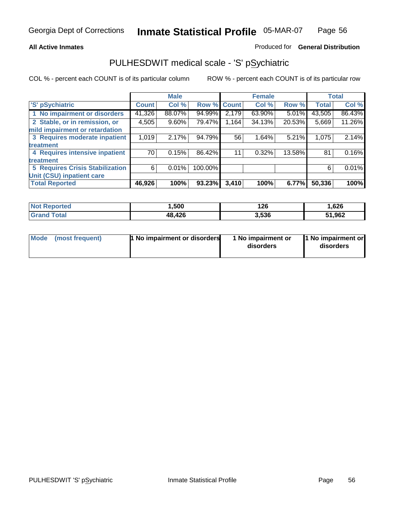#### **All Active Inmates**

#### Produced for **General Distribution**

## PULHESDWIT medical scale - 'S' pSychiatric

|                                        |              | <b>Male</b> |             |       | <b>Female</b> |        |              | <b>Total</b> |
|----------------------------------------|--------------|-------------|-------------|-------|---------------|--------|--------------|--------------|
| 'S' pSychiatric                        | <b>Count</b> | Col %       | Row % Count |       | Col %         | Row %  | <b>Total</b> | Col %        |
| 1 No impairment or disorders           | 41,326       | 88.07%      | 94.99%      | 2,179 | 63.90%        | 5.01%  | 43,505       | 86.43%       |
| 2 Stable, or in remission, or          | 4,505        | $9.60\%$    | 79.47%      | 1,164 | 34.13%        | 20.53% | 5,669        | 11.26%       |
| mild impairment or retardation         |              |             |             |       |               |        |              |              |
| 3 Requires moderate inpatient          | 1,019        | 2.17%       | 94.79%      | 56    | 1.64%         | 5.21%  | 1,075        | 2.14%        |
| treatment                              |              |             |             |       |               |        |              |              |
| 4 Requires intensive inpatient         | 70           | 0.15%       | 86.42%      | 11    | 0.32%         | 13.58% | 81           | 0.16%        |
| treatment                              |              |             |             |       |               |        |              |              |
| <b>5 Requires Crisis Stabilization</b> | 6            | 0.01%       | 100.00%     |       |               |        | 6            | 0.01%        |
| Unit (CSU) inpatient care              |              |             |             |       |               |        |              |              |
| <b>Total Reported</b>                  | 46,926       | 100%        | 93.23%      | 3,410 | 100%          | 6.77%  | 50,336       | 100%         |

| <b>Not Reported</b>       | Ⅰ,500  | 126   | .626   |
|---------------------------|--------|-------|--------|
| <b>Total</b><br>' Grand 1 | 48,426 | 3,536 | 51,962 |

| Mode (most frequent) | <b>1</b> No impairment or disorders | 1 No impairment or<br>disorders | 1 No impairment or<br>disorders |
|----------------------|-------------------------------------|---------------------------------|---------------------------------|
|                      |                                     |                                 |                                 |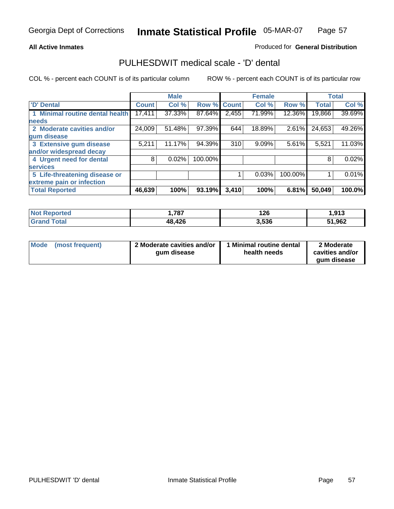### **All Active Inmates**

### Produced for **General Distribution**

## PULHESDWIT medical scale - 'D' dental

|                                      |              | <b>Male</b> |             |       | <b>Female</b> |         |              | <b>Total</b> |
|--------------------------------------|--------------|-------------|-------------|-------|---------------|---------|--------------|--------------|
| 'D' Dental                           | <b>Count</b> | Col %       | Row % Count |       | Col %         | Row %   | <b>Total</b> | Col %        |
| <b>Minimal routine dental health</b> | 17,411       | 37.33%      | 87.64%      | 2,455 | 71.99%        | 12.36%  | 19,866       | 39.69%       |
| <b>needs</b>                         |              |             |             |       |               |         |              |              |
| 2 Moderate cavities and/or           | 24,009       | 51.48%      | 97.39%      | 644   | 18.89%        | 2.61%   | 24,653       | 49.26%       |
| gum disease                          |              |             |             |       |               |         |              |              |
| 3 Extensive gum disease              | 5,211        | 11.17%      | 94.39%      | 310   | $9.09\%$      | 5.61%   | 5,521        | 11.03%       |
| and/or widespread decay              |              |             |             |       |               |         |              |              |
| 4 Urgent need for dental             | 8            | 0.02%       | 100.00%     |       |               |         | 8            | 0.02%        |
| <b>services</b>                      |              |             |             |       |               |         |              |              |
| 5 Life-threatening disease or        |              |             |             |       | 0.03%         | 100.00% |              | 0.01%        |
| extreme pain or infection            |              |             |             |       |               |         |              |              |
| <b>Total Reported</b>                | 46,639       | 100%        | 93.19%      | 3,410 | 100%          | 6.81%   | 50,049       | 100.0%       |

| <b>Not Reported</b>    | ,787   | 126   | .913   |
|------------------------|--------|-------|--------|
| `Totaï<br><b>Grand</b> | 48,426 | 3,536 | 51,962 |

| <b>Mode</b> | (most frequent) | 2 Moderate cavities and/or<br>qum disease | 1 Minimal routine dental<br>health needs | 2 Moderate<br>cavities and/or |
|-------------|-----------------|-------------------------------------------|------------------------------------------|-------------------------------|
|             |                 |                                           |                                          | aum disease                   |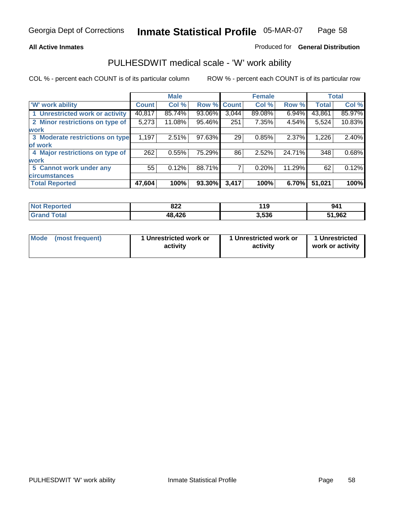#### **All Active Inmates**

#### Produced for **General Distribution**

### PULHESDWIT medical scale - 'W' work ability

|                                 |              | <b>Male</b> |        |              | <b>Female</b> |        |              | <b>Total</b> |
|---------------------------------|--------------|-------------|--------|--------------|---------------|--------|--------------|--------------|
| W' work ability                 | <b>Count</b> | Col %       | Row %  | <b>Count</b> | Col %         | Row %  | <b>Total</b> | Col %        |
| 1 Unrestricted work or activity | 40,817       | 85.74%      | 93.06% | 3,044        | 89.08%        | 6.94%  | 43,861       | 85.97%       |
| 2 Minor restrictions on type of | 5,273        | 11.08%      | 95.46% | 251          | 7.35%         | 4.54%  | 5,524        | 10.83%       |
| <b>work</b>                     |              |             |        |              |               |        |              |              |
| 3 Moderate restrictions on type | 1,197        | 2.51%       | 97.63% | 29           | 0.85%         | 2.37%  | 1,226        | 2.40%        |
| of work                         |              |             |        |              |               |        |              |              |
| 4 Major restrictions on type of | 262          | 0.55%       | 75.29% | 86           | 2.52%         | 24.71% | 348          | 0.68%        |
| <b>work</b>                     |              |             |        |              |               |        |              |              |
| 5 Cannot work under any         | 55           | 0.12%       | 88.71% |              | 0.20%         | 11.29% | 62           | 0.12%        |
| <b>circumstances</b>            |              |             |        |              |               |        |              |              |
| <b>Total Reported</b>           | 47,604       | 100%        | 93.30% | 3,417        | 100%          | 6.70%  | 51,021       | 100%         |

| <b>Not Reported</b> | 822    | 119   | 941    |
|---------------------|--------|-------|--------|
| <b>Grand Total</b>  | 48,426 | 3,536 | 51,962 |

| Mode            | 1 Unrestricted work or | 1 Unrestricted work or | 1 Unrestricted   |
|-----------------|------------------------|------------------------|------------------|
| (most frequent) | activity               | activity               | work or activity |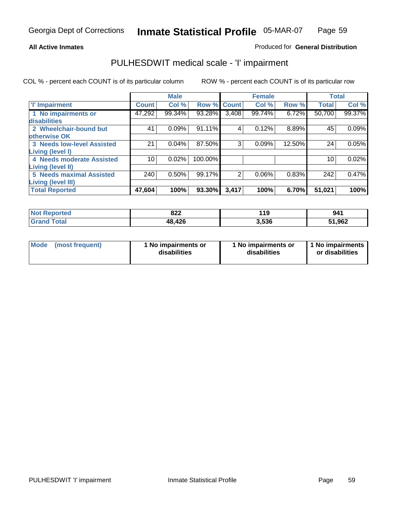#### **All Active Inmates**

#### Produced for **General Distribution**

## PULHESDWIT medical scale - 'I' impairment

|                                 |                 | <b>Male</b> |         |                | <b>Female</b> |        |              | <b>Total</b> |
|---------------------------------|-----------------|-------------|---------|----------------|---------------|--------|--------------|--------------|
| 'l' Impairment                  | <b>Count</b>    | Col %       | Row %   | <b>Count</b>   | Col %         | Row %  | <b>Total</b> | Col %        |
| 1 No impairments or             | 47,292          | 99.34%      | 93.28%  | 3,408          | 99.74%        | 6.72%  | 50,700       | 99.37%       |
| disabilities                    |                 |             |         |                |               |        |              |              |
| 2 Wheelchair-bound but          | 41              | 0.09%       | 91.11%  | 4              | 0.12%         | 8.89%  | 45           | 0.09%        |
| <b>otherwise OK</b>             |                 |             |         |                |               |        |              |              |
| 3 Needs low-level Assisted      | 21              | 0.04%       | 87.50%  | 3              | 0.09%         | 12.50% | 24           | 0.05%        |
| <b>Living (level I)</b>         |                 |             |         |                |               |        |              |              |
| 4 Needs moderate Assisted       | 10 <sup>1</sup> | 0.02%       | 100.00% |                |               |        | 10           | 0.02%        |
| <b>Living (level II)</b>        |                 |             |         |                |               |        |              |              |
| <b>5 Needs maximal Assisted</b> | 240             | 0.50%       | 99.17%  | $\overline{2}$ | 0.06%         | 0.83%  | 242          | 0.47%        |
| <b>Living (level III)</b>       |                 |             |         |                |               |        |              |              |
| <b>Total Reported</b>           | 47,604          | 100%        | 93.30%  | 3,417          | 100%          | 6.70%  | 51,021       | 100%         |

| <b>Not Reported</b> | 822    | 119   | 941    |
|---------------------|--------|-------|--------|
| <b>Grand Total</b>  | 48,426 | 3,536 | 51,962 |

| <b>Mode</b> | (most frequent) | 1 No impairments or<br>disabilities | 1 No impairments or<br>disabilities | 1 No impairments<br>or disabilities |
|-------------|-----------------|-------------------------------------|-------------------------------------|-------------------------------------|
|-------------|-----------------|-------------------------------------|-------------------------------------|-------------------------------------|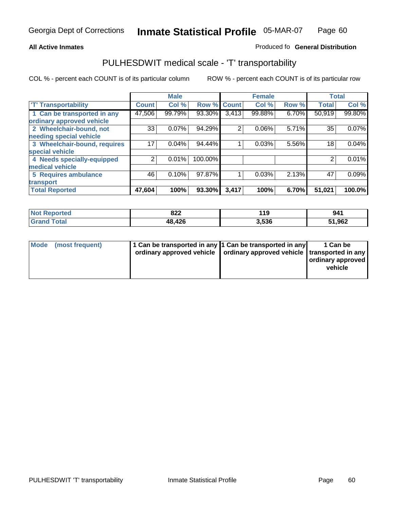#### **Inmate Statistical Profile** 05-MAR-07 Page Page 60

### **All Active Inmates Allowski** Produced fo **General Distribution**

# PULHESDWIT medical scale - 'T' transportability

|                              |              | <b>Male</b> |             |                | <b>Female</b> |          | <b>Total</b> |        |
|------------------------------|--------------|-------------|-------------|----------------|---------------|----------|--------------|--------|
| <b>'T' Transportability</b>  | <b>Count</b> | Col %       | Row % Count |                | Col %         | Row %    | <b>Total</b> | Col %  |
| 1 Can be transported in any  | 47,506       | 99.79%      | 93.30%      | 3,413          | 99.88%        | $6.70\%$ | 50,919       | 99.80% |
| ordinary approved vehicle    |              |             |             |                |               |          |              |        |
| 2 Wheelchair-bound, not      | 33           | 0.07%       | 94.29%      | $\overline{2}$ | 0.06%         | 5.71%    | 35           | 0.07%  |
| needing special vehicle      |              |             |             |                |               |          |              |        |
| 3 Wheelchair-bound, requires | 17           | 0.04%       | 94.44%      |                | 0.03%         | 5.56%    | 18           | 0.04%  |
| special vehicle              |              |             |             |                |               |          |              |        |
| 4 Needs specially-equipped   | 2            | 0.01%       | 100.00%     |                |               |          |              | 0.01%  |
| medical vehicle              |              |             |             |                |               |          |              |        |
| <b>5 Requires ambulance</b>  | 46           | 0.10%       | 97.87%      | 1              | 0.03%         | 2.13%    | 47           | 0.09%  |
| transport                    |              |             |             |                |               |          |              |        |
| <b>Total Reported</b>        | 47,604       | 100%        | 93.30%      | 3,417          | 100%          | 6.70%    | 51,021       | 100.0% |

| orted            | 822<br>$\sim$ $\sim$ $\sim$ $\sim$ $\sim$ $\sim$ | 119   | 941    |
|------------------|--------------------------------------------------|-------|--------|
| ota <sub>l</sub> | 48,426                                           | 3.536 | 51,962 |

|  | Mode (most frequent) | 1 Can be transported in any 1 Can be transported in any<br>ordinary approved vehicle   ordinary approved vehicle   transported in any |  | 1 Can be<br>ordinary approved<br>vehicle |
|--|----------------------|---------------------------------------------------------------------------------------------------------------------------------------|--|------------------------------------------|
|--|----------------------|---------------------------------------------------------------------------------------------------------------------------------------|--|------------------------------------------|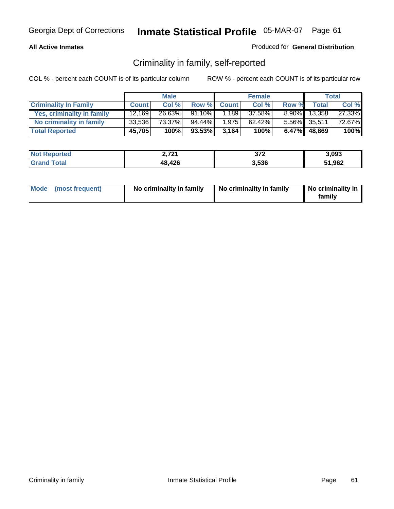### **All Active Inmates**

#### Produced for **General Distribution**

## Criminality in family, self-reported

|                              |              | <b>Male</b> |        |              | <b>Female</b> |       |              | <b>Total</b> |
|------------------------------|--------------|-------------|--------|--------------|---------------|-------|--------------|--------------|
| <b>Criminality In Family</b> | <b>Count</b> | Col %       | Row %  | <b>Count</b> | Col %         | Row % | <b>Total</b> | Col %        |
| Yes, criminality in family   | 12.169       | 26.63%      | 91.10% | 1.189        | 37.58%        |       | 8.90% 13,358 | 27.33%       |
| No criminality in family     | 33,536       | 73.37%      | 94.44% | 1,975        | 62.42%        |       | 5.56% 35,511 | 72.67%       |
| <b>Total Reported</b>        | 45,705       | 100%        | 93.53% | 3,164        | 100%          |       | 6.47% 48,869 | 100%         |

| <b>Not</b> | גרים ו | ヘラヘ    | 3,093  |
|------------|--------|--------|--------|
| Reported   | .      | $31 -$ |        |
| <b>ota</b> | 48,426 | 3.536  | 51,962 |

|  | Mode (most frequent) | No criminality in family | No criminality in family | No criminality in<br>family |
|--|----------------------|--------------------------|--------------------------|-----------------------------|
|--|----------------------|--------------------------|--------------------------|-----------------------------|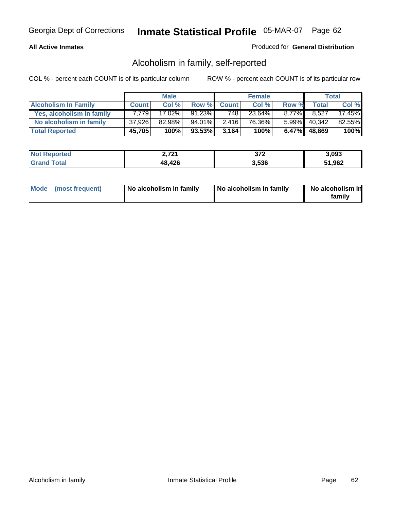#### **All Active Inmates**

### Produced for **General Distribution**

## Alcoholism in family, self-reported

|                             |              | <b>Male</b> |        |              | <b>Female</b> |          |              | <b>Total</b> |
|-----------------------------|--------------|-------------|--------|--------------|---------------|----------|--------------|--------------|
| <b>Alcoholism In Family</b> | <b>Count</b> | Col %       | Row %  | <b>Count</b> | Col %         | Row %    | <b>Total</b> | Col %        |
| Yes, alcoholism in family   | 7.7791       | 17.02%      | 91.23% | 748          | 23.64%        | $8.77\%$ | 8,527        | 17.45%       |
| No alcoholism in family     | 37,926       | 82.98%      | 94.01% | 2.416        | 76.36%        |          | 5.99% 40,342 | 82.55%       |
| <b>Total Reported</b>       | 45,705       | 100%        | 93.53% | 3.164        | 100%          |          | 6.47% 48,869 | 100%         |

| <b>Not Reported</b> | , 721<br>4.ILI | ヘラヘ<br>⊾ اد | 3.093  |
|---------------------|----------------|-------------|--------|
| <b>Grand Total</b>  | 48,426         | 3,536       | 51,962 |

|  | Mode (most frequent) | No alcoholism in family | No alcoholism in family | No alcoholism in<br>family |
|--|----------------------|-------------------------|-------------------------|----------------------------|
|--|----------------------|-------------------------|-------------------------|----------------------------|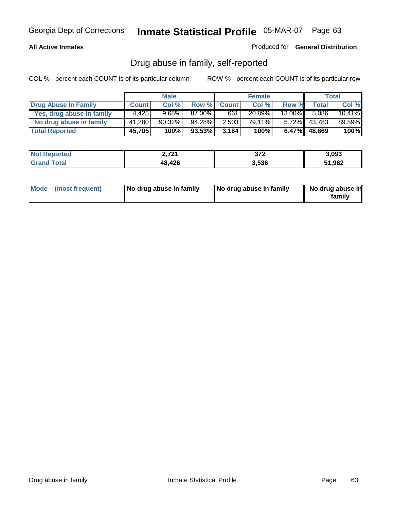#### **All Active Inmates**

Produced for **General Distribution**

## Drug abuse in family, self-reported

|                           |              | <b>Male</b> |        |              | <b>Female</b> |           |              | <b>Total</b> |
|---------------------------|--------------|-------------|--------|--------------|---------------|-----------|--------------|--------------|
| Drug Abuse In Family      | <b>Count</b> | Col %       | Row %  | <b>Count</b> | Col %         | Row %     | <b>Total</b> | Col %        |
| Yes, drug abuse in family | 4.425        | $9.68\%$    | 87.00% | 661          | 20.89%        | $13.00\%$ | 5,086        | 10.41%       |
| No drug abuse in family   | 41,280       | $90.32\%$   | 94.28% | 2,503        | 79.11%        | $5.72\%$  | 43,783       | 89.59%       |
| <b>Total Reported</b>     | 45,705       | 100%        | 93.53% | 3.164        | 100%          | $6.47\%$  | 48,869       | 100%         |

| <b>Not Reported</b>   | , 721<br>4.ILI | ヘラヘ<br>- 21 ≖ | 3,093  |
|-----------------------|----------------|---------------|--------|
| Total<br><b>Grand</b> | 48,426         | 3.536         | 51,962 |

|  | Mode (most frequent) | No drug abuse in family | No drug abuse in family | No drug abuse in<br>family |
|--|----------------------|-------------------------|-------------------------|----------------------------|
|--|----------------------|-------------------------|-------------------------|----------------------------|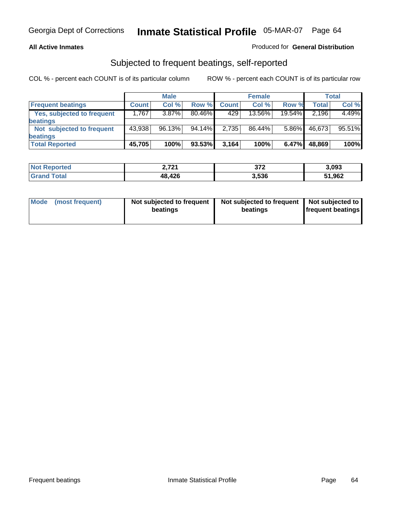#### **All Active Inmates**

### Produced for **General Distribution**

### Subjected to frequent beatings, self-reported

|                                   |              | <b>Male</b> |           |              | <b>Female</b> |        |        | Total  |
|-----------------------------------|--------------|-------------|-----------|--------------|---------------|--------|--------|--------|
| <b>Frequent beatings</b>          | <b>Count</b> | Col%        | Row %     | <b>Count</b> | Col%          | Row %  | Total  | Col %  |
| <b>Yes, subjected to frequent</b> | 1,767        | 3.87%       | $80.46\%$ | 429          | 13.56%        | 19.54% | 2,196  | 4.49%  |
| beatings                          |              |             |           |              |               |        |        |        |
| Not subjected to frequent         | 43,938       | 96.13%      | 94.14%    | 2,735        | 86.44%        | 5.86%  | 46,673 | 95.51% |
| beatings                          |              |             |           |              |               |        |        |        |
| <b>Total Reported</b>             | 45,705       | 100%        | 93.53%    | 3,164        | 100%          | 6.47%  | 48,869 | 100%   |

| <b>ported</b>      | 2.721    | っっっ   | 3,093  |
|--------------------|----------|-------|--------|
| ' Not              | <u>.</u> | ⊾ ≀د  |        |
| $f$ oto $'$<br>Gra | 48,426   | 3,536 | 51,962 |

| Mode (most frequent) | Not subjected to frequent<br>beatings | Not subjected to frequent<br>beatings | Not subjected to<br>frequent beatings |  |
|----------------------|---------------------------------------|---------------------------------------|---------------------------------------|--|
|                      |                                       |                                       |                                       |  |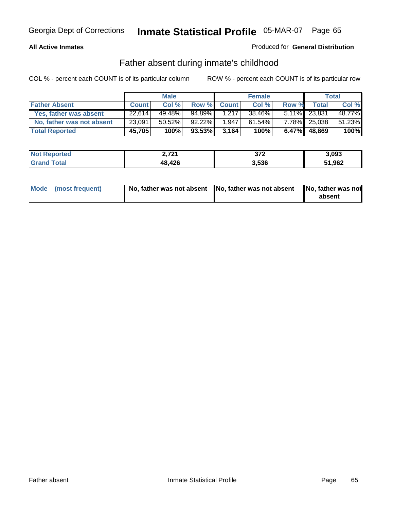#### **All Active Inmates**

### Produced for **General Distribution**

## Father absent during inmate's childhood

|                           |                     | <b>Male</b> |        |              | <b>Female</b> |          |              | <b>Total</b> |
|---------------------------|---------------------|-------------|--------|--------------|---------------|----------|--------------|--------------|
| <b>Father Absent</b>      | <b>Count</b>        | Col%        | Row %  | <b>Count</b> | Col %         | Row %    | Total        | Col %        |
| Yes, father was absent    | $\overline{22,614}$ | 49.48%      | 94.89% | 1.217        | 38.46%        |          | 5.11% 23,831 | 48.77%       |
| No, father was not absent | 23,091              | $50.52\%$   | 92.22% | 1,947        | $61.54\%$     | $7.78\%$ | 25,038       | 51.23%       |
| <b>Total Reported</b>     | 45,705              | 100%        | 93.53% | 3.164        | 100%          | 6.47%    | 48,869       | 100%         |

| <b>Not Reported</b> | 2,721  | っっっ<br>-91 L | 3,093  |
|---------------------|--------|--------------|--------|
| <b>Grand Total</b>  | 48,426 | 3,536        | 51,962 |

| Mode (most frequent) |  | 「No, father was not absent ┃No, father was not absent ┃No, father was not | absent |
|----------------------|--|---------------------------------------------------------------------------|--------|
|----------------------|--|---------------------------------------------------------------------------|--------|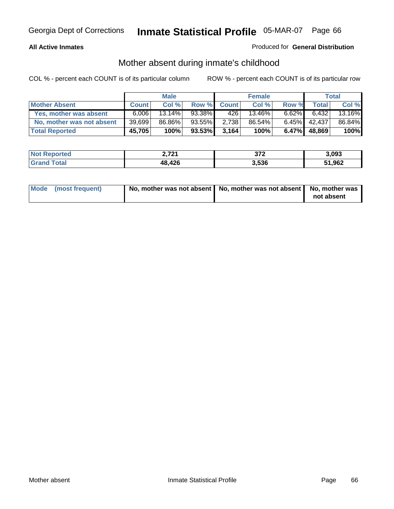#### **All Active Inmates**

### Produced for **General Distribution**

## Mother absent during inmate's childhood

|                           |              | <b>Male</b> |        |              | <b>Female</b> |          |        | Total  |
|---------------------------|--------------|-------------|--------|--------------|---------------|----------|--------|--------|
| <b>Mother Absent</b>      | <b>Count</b> | Col %       | Row %  | <b>Count</b> | Col %         | Row %    | Total  | Col %  |
| Yes, mother was absent    | 6.006        | $13.14\%$   | 93.38% | 426          | 13.46%        | $6.62\%$ | 6,432  | 13.16% |
| No, mother was not absent | 39,699       | 86.86%      | 93.55% | 2,738        | 86.54%        | $6.45\%$ | 42,437 | 86.84% |
| <b>Total Reported</b>     | 45,705       | 100%        | 93.53% | 3.164        | 100%          | $6.47\%$ | 48,869 | 100%   |

| <b>Not Reported</b> | , 721  | っっっ<br>- 21 ≟ | 3,093  |
|---------------------|--------|---------------|--------|
| <b>Tota</b>         | 48,426 | 3.536         | 51,962 |

| Mode (most frequent) | No, mother was not absent $\vert$ No, mother was not absent $\vert$ No, mother was | not absent |
|----------------------|------------------------------------------------------------------------------------|------------|
|                      |                                                                                    |            |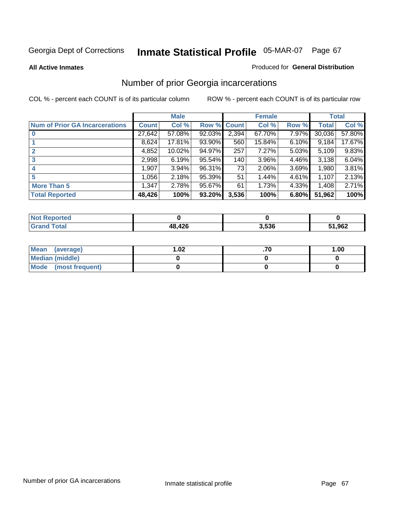#### **All Active Inmates**

#### Produced for **General Distribution**

# Number of prior Georgia incarcerations

|                                       |              | <b>Male</b> |                    |       | <b>Female</b> |       |        | <b>Total</b> |
|---------------------------------------|--------------|-------------|--------------------|-------|---------------|-------|--------|--------------|
| <b>Num of Prior GA Incarcerations</b> | <b>Count</b> | Col %       | <b>Row % Count</b> |       | Col %         | Row % | Total  | Col %        |
| $\bf{0}$                              | 27,642       | 57.08%      | 92.03%             | 2,394 | 67.70%        | 7.97% | 30,036 | 57.80%       |
|                                       | 8,624        | 17.81%      | 93.90%             | 560   | 15.84%        | 6.10% | 9,184  | 17.67%       |
|                                       | 4,852        | 10.02%      | 94.97%             | 257   | 7.27%         | 5.03% | 5,109  | 9.83%        |
| 3                                     | 2,998        | 6.19%       | 95.54%             | 140   | 3.96%         | 4.46% | 3,138  | 6.04%        |
|                                       | 1,907        | 3.94%       | 96.31%             | 73    | 2.06%         | 3.69% | 1,980  | 3.81%        |
| 5                                     | 1,056        | 2.18%       | 95.39%             | 51    | 1.44%         | 4.61% | 1,107  | 2.13%        |
| <b>More Than 5</b>                    | 1,347        | 2.78%       | 95.67%             | 61    | 1.73%         | 4.33% | 1,408  | 2.71%        |
| <b>Total Reported</b>                 | 48,426       | 100%        | 93.20%             | 3,536 | 100%          | 6.80% | 51,962 | 100%         |

| <b>Not</b><br>Reported |        |       |        |
|------------------------|--------|-------|--------|
| <b>Sotal</b><br>'Grand | 48,426 | 3,536 | 51,962 |

| Mean (average)       | l.O2 | 1.00 |
|----------------------|------|------|
| Median (middle)      |      |      |
| Mode (most frequent) |      |      |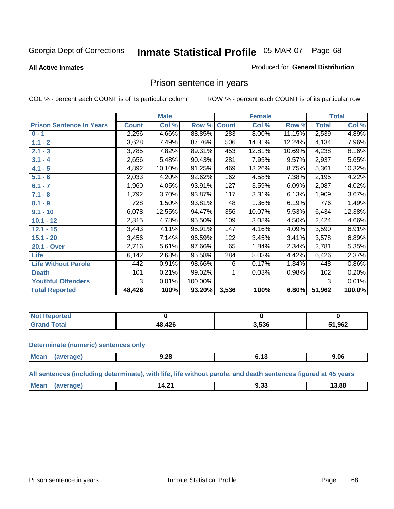#### **All Active Inmates**

#### Produced for **General Distribution**

# Prison sentence in years

COL % - percent each COUNT is of its particular column ROW % - percent each COUNT is of its particular row

|                                 |              | <b>Male</b> |         |                  | <b>Female</b> |        |                    | <b>Total</b> |
|---------------------------------|--------------|-------------|---------|------------------|---------------|--------|--------------------|--------------|
| <b>Prison Sentence In Years</b> | <b>Count</b> | Col %       | Row %   | <b>Count</b>     | Col %         | Row %  | <b>Total</b>       | Col %        |
| $0 - 1$                         | 2,256        | 4.66%       | 88.85%  | 283              | 8.00%         | 11.15% | 2,539              | 4.89%        |
| $1.1 - 2$                       | 3,628        | 7.49%       | 87.76%  | 506              | 14.31%        | 12.24% | 4,134              | 7.96%        |
| $2.1 - 3$                       | 3,785        | 7.82%       | 89.31%  | 453              | 12.81%        | 10.69% | 4,238              | 8.16%        |
| $3.1 - 4$                       | 2,656        | 5.48%       | 90.43%  | 281              | 7.95%         | 9.57%  | $\overline{2,9}37$ | 5.65%        |
| $4.1 - 5$                       | 4,892        | 10.10%      | 91.25%  | 469              | 13.26%        | 8.75%  | 5,361              | 10.32%       |
| $5.1 - 6$                       | 2,033        | 4.20%       | 92.62%  | 162              | 4.58%         | 7.38%  | 2,195              | 4.22%        |
| $6.1 - 7$                       | 1,960        | 4.05%       | 93.91%  | $\overline{127}$ | 3.59%         | 6.09%  | 2,087              | 4.02%        |
| $7.1 - 8$                       | 1,792        | 3.70%       | 93.87%  | 117              | 3.31%         | 6.13%  | 1,909              | 3.67%        |
| $8.1 - 9$                       | 728          | 1.50%       | 93.81%  | 48               | 1.36%         | 6.19%  | 776                | 1.49%        |
| $9.1 - 10$                      | 6,078        | 12.55%      | 94.47%  | 356              | 10.07%        | 5.53%  | 6,434              | 12.38%       |
| $10.1 - 12$                     | 2,315        | 4.78%       | 95.50%  | 109              | 3.08%         | 4.50%  | 2,424              | 4.66%        |
| $12.1 - 15$                     | 3,443        | 7.11%       | 95.91%  | 147              | 4.16%         | 4.09%  | 3,590              | 6.91%        |
| $15.1 - 20$                     | 3,456        | 7.14%       | 96.59%  | 122              | 3.45%         | 3.41%  | 3,578              | 6.89%        |
| 20.1 - Over                     | 2,716        | 5.61%       | 97.66%  | 65               | 1.84%         | 2.34%  | 2,781              | 5.35%        |
| <b>Life</b>                     | 6,142        | 12.68%      | 95.58%  | 284              | 8.03%         | 4.42%  | 6,426              | 12.37%       |
| <b>Life Without Parole</b>      | 442          | 0.91%       | 98.66%  | 6                | 0.17%         | 1.34%  | 448                | 0.86%        |
| <b>Death</b>                    | 101          | 0.21%       | 99.02%  |                  | 0.03%         | 0.98%  | 102                | 0.20%        |
| <b>Youthful Offenders</b>       | 3            | 0.01%       | 100.00% |                  |               |        | 3                  | 0.01%        |
| <b>Total Reported</b>           | 48,426       | 100%        | 93.20%  | 3,536            | 100%          | 6.80%  | 51,962             | 100.0%       |

| <b>Not Reported</b>  |     |       |        |
|----------------------|-----|-------|--------|
| <b>Total</b><br>Gr2r | 12C | 3,536 | 51,962 |

#### **Determinate (numeric) sentences only**

| Mean | апе<br>evc | ാ<br>9.ZO<br>$  -$ | . .<br> | 9.06 |
|------|------------|--------------------|---------|------|
|      |            |                    |         |      |

**All sentences (including determinate), with life, life without parole, and death sentences figured at 45 years**

| Mean<br>3.88<br>. .<br>14.4<br>ane<br>J.JJ<br>____<br>. |
|---------------------------------------------------------|
|---------------------------------------------------------|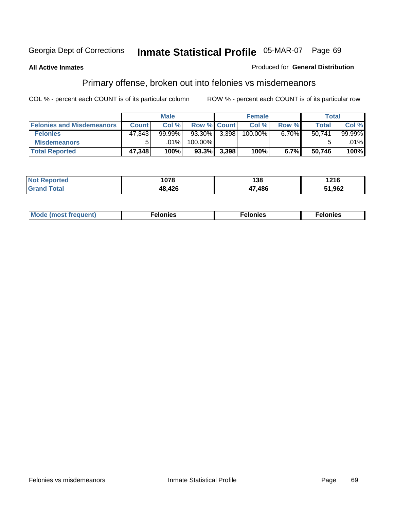#### **All Active Inmates**

#### Produced for **General Distribution**

# Primary offense, broken out into felonies vs misdemeanors

|                                  | <b>Male</b>  |           |                    |                | <b>Female</b> | Total    |        |         |
|----------------------------------|--------------|-----------|--------------------|----------------|---------------|----------|--------|---------|
| <b>Felonies and Misdemeanors</b> | <b>Count</b> | Col %     | <b>Row % Count</b> |                | Col %         | Row %    | Total  | Col%    |
| <b>Felonies</b>                  | 47.343       | $99.99\%$ | 93.30% 3,398       |                | 100.00%       | $6.70\%$ | 50.741 | 99.99%  |
| <b>Misdemeanors</b>              |              | $.01\%$   | 100.00%            |                |               |          |        | $.01\%$ |
| <b>Total Reported</b>            | 47,348       | 100%      |                    | $93.3\%$ 3,398 | 100%          | 6.7%     | 50,746 | 100%    |

| <b>Not</b><br>Reported | 1078 | 138  | 1216   |
|------------------------|------|------|--------|
| Gran<br>`otal          | 426  | .486 | 51,962 |

| Mode (most frequent) | elonies | elonies | onies<br>-е к |
|----------------------|---------|---------|---------------|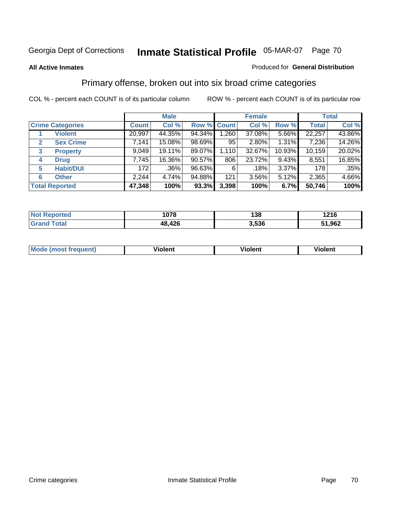#### **All Active Inmates**

#### Produced for **General Distribution**

## Primary offense, broken out into six broad crime categories

|                                  | <b>Male</b>  |        |                    |       | <b>Female</b> | <b>Total</b> |              |        |
|----------------------------------|--------------|--------|--------------------|-------|---------------|--------------|--------------|--------|
| <b>Crime Categories</b>          | <b>Count</b> | Col %  | <b>Row % Count</b> |       | Col %         | Row %        | <b>Total</b> | Col %  |
| <b>Violent</b>                   | 20,997       | 44.35% | 94.34%             | 1,260 | 37.08%        | 5.66%        | 22,257       | 43.86% |
| <b>Sex Crime</b><br>$\mathbf{2}$ | 7,141        | 15.08% | 98.69%             | 95    | 2.80%         | 1.31%        | 7,236        | 14.26% |
| $\mathbf{3}$<br><b>Property</b>  | 9,049        | 19.11% | 89.07%             | 1,110 | 32.67%        | 10.93%       | 10,159       | 20.02% |
| <b>Drug</b><br>4                 | 7,745        | 16.36% | 90.57%             | 806   | 23.72%        | 9.43%        | 8,551        | 16.85% |
| <b>Habit/DUI</b><br>5            | 172          | .36%   | 96.63%             | 6     | .18%          | 3.37%        | 178          | .35%   |
| <b>Other</b><br>6                | 2,244        | 4.74%  | 94.88%             | 121   | 3.56%         | 5.12%        | 2,365        | 4.66%  |
| <b>Total Reported</b>            | 47,348       | 100%   | 93.3%              | 3,398 | 100%          | 6.7%         | 50,746       | 100%   |

| NG | 1078      | 138   | <b>1216</b><br>__ |
|----|-----------|-------|-------------------|
|    | 426<br>48 | 3.536 | .962              |

| <b>Mou</b> | .<br>วient | วlent | ent |
|------------|------------|-------|-----|
|            |            |       |     |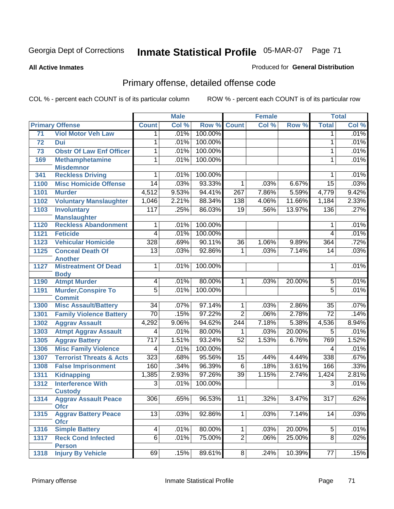**All Active Inmates**

#### Produced for **General Distribution**

# Primary offense, detailed offense code

|                        |                                               |                  | <b>Male</b> |         |                  | <b>Female</b> |        |                 | <b>Total</b> |
|------------------------|-----------------------------------------------|------------------|-------------|---------|------------------|---------------|--------|-----------------|--------------|
| <b>Primary Offense</b> |                                               | <b>Count</b>     | Col %       | Row %   | <b>Count</b>     | Col %         | Row %  | <b>Total</b>    | Col %        |
| 71                     | <b>Viol Motor Veh Law</b>                     | 1                | .01%        | 100.00% |                  |               |        | 1               | .01%         |
| 72                     | Dui                                           | 1                | .01%        | 100.00% |                  |               |        | $\mathbf{1}$    | .01%         |
| 73                     | <b>Obstr Of Law Enf Officer</b>               | 1                | .01%        | 100.00% |                  |               |        | 1               | .01%         |
| 169                    | <b>Methamphetamine</b>                        | $\overline{1}$   | .01%        | 100.00% |                  |               |        | $\mathbf{1}$    | .01%         |
|                        | <b>Misdemnor</b>                              |                  |             |         |                  |               |        |                 |              |
| 341                    | <b>Reckless Driving</b>                       | 1                | .01%        | 100.00% |                  |               |        | 1               | .01%         |
| 1100                   | <b>Misc Homicide Offense</b>                  | $\overline{14}$  | .03%        | 93.33%  | $\mathbf{1}$     | .03%          | 6.67%  | $\overline{15}$ | .03%         |
| 1101                   | <b>Murder</b>                                 | 4,512            | 9.53%       | 94.41%  | $\overline{267}$ | 7.86%         | 5.59%  | 4,779           | 9.42%        |
| 1102                   | <b>Voluntary Manslaughter</b>                 | 1,046            | 2.21%       | 88.34%  | 138              | 4.06%         | 11.66% | 1,184           | 2.33%        |
| 1103                   | <b>Involuntary</b>                            | $\overline{117}$ | .25%        | 86.03%  | $\overline{19}$  | .56%          | 13.97% | 136             | .27%         |
|                        | <b>Manslaughter</b>                           |                  |             |         |                  |               |        |                 |              |
| 1120                   | <b>Reckless Abandonment</b>                   | 1                | .01%        | 100.00% |                  |               |        | 1               | .01%         |
| 1121                   | <b>Feticide</b>                               | $\overline{4}$   | .01%        | 100.00% |                  |               |        | $\overline{4}$  | .01%         |
| 1123                   | <b>Vehicular Homicide</b>                     | 328              | .69%        | 90.11%  | $\overline{36}$  | 1.06%         | 9.89%  | 364             | .72%         |
| 1125                   | <b>Conceal Death Of</b>                       | $\overline{13}$  | .03%        | 92.86%  | 1                | .03%          | 7.14%  | $\overline{14}$ | .03%         |
| 1127                   | <b>Another</b><br><b>Mistreatment Of Dead</b> | 1                | .01%        | 100.00% |                  |               |        | 1               | .01%         |
|                        | <b>Body</b>                                   |                  |             |         |                  |               |        |                 |              |
| 1190                   | <b>Atmpt Murder</b>                           | $\overline{4}$   | .01%        | 80.00%  | $\mathbf{1}$     | .03%          | 20.00% | 5               | .01%         |
| 1191                   | <b>Murder, Conspire To</b>                    | $\overline{5}$   | .01%        | 100.00% |                  |               |        | $\overline{5}$  | .01%         |
|                        | <b>Commit</b>                                 |                  |             |         |                  |               |        |                 |              |
| 1300                   | <b>Misc Assault/Battery</b>                   | $\overline{34}$  | .07%        | 97.14%  | $\mathbf 1$      | .03%          | 2.86%  | 35              | .07%         |
| 1301                   | <b>Family Violence Battery</b>                | $\overline{70}$  | .15%        | 97.22%  | $\overline{2}$   | .06%          | 2.78%  | $\overline{72}$ | .14%         |
| 1302                   | <b>Aggrav Assault</b>                         | 4,292            | 9.06%       | 94.62%  | $\overline{244}$ | 7.18%         | 5.38%  | 4,536           | 8.94%        |
| 1303                   | <b>Atmpt Aggrav Assault</b>                   | 4                | .01%        | 80.00%  | 1                | .03%          | 20.00% | 5               | .01%         |
| 1305                   | <b>Aggrav Battery</b>                         | $\overline{717}$ | 1.51%       | 93.24%  | 52               | 1.53%         | 6.76%  | 769             | 1.52%        |
| 1306                   | <b>Misc Family Violence</b>                   | 4                | .01%        | 100.00% |                  |               |        | 4               | .01%         |
| 1307                   | <b>Terrorist Threats &amp; Acts</b>           | $\overline{323}$ | .68%        | 95.56%  | $\overline{15}$  | .44%          | 4.44%  | 338             | .67%         |
| 1308                   | <b>False Imprisonment</b>                     | 160              | .34%        | 96.39%  | $\overline{6}$   | .18%          | 3.61%  | 166             | .33%         |
| 1311                   | <b>Kidnapping</b>                             | 1,385            | 2.93%       | 97.26%  | $\overline{39}$  | 1.15%         | 2.74%  | 1,424           | 2.81%        |
| 1312                   | <b>Interference With</b>                      | 3                | .01%        | 100.00% |                  |               |        | 3               | .01%         |
|                        | <b>Custody</b>                                |                  |             |         |                  |               |        |                 |              |
| 1314                   | <b>Aggrav Assault Peace</b>                   | 306              | .65%        | 96.53%  | 11               | .32%          | 3.47%  | 317             | .62%         |
|                        | <b>Ofcr</b>                                   |                  |             |         |                  |               |        |                 |              |
| 1315                   | <b>Aggrav Battery Peace</b><br><b>Ofcr</b>    | $\overline{13}$  | .03%        | 92.86%  | $\overline{1}$   | .03%          | 7.14%  | 14              | .03%         |
| 1316                   | <b>Simple Battery</b>                         | 4                | .01%        | 80.00%  | $\mathbf 1$      | .03%          | 20.00% | $\overline{5}$  | .01%         |
| 1317                   | <b>Reck Cond Infected</b>                     | $\overline{6}$   | .01%        | 75.00%  | $\overline{2}$   | .06%          | 25.00% | $\overline{8}$  | .02%         |
|                        | <b>Person</b>                                 |                  |             |         |                  |               |        |                 |              |
| 1318                   | <b>Injury By Vehicle</b>                      | 69               | .15%        | 89.61%  | 8                | .24%          | 10.39% | $\overline{77}$ | .15%         |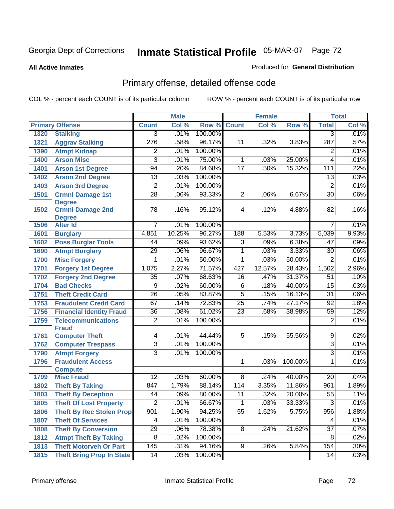#### **All Active Inmates**

#### Produced for **General Distribution**

# Primary offense, detailed offense code

|              |                                              |                 | <b>Male</b> |         |                 | <b>Female</b> |         |                 | <b>Total</b> |
|--------------|----------------------------------------------|-----------------|-------------|---------|-----------------|---------------|---------|-----------------|--------------|
|              | <b>Primary Offense</b>                       | <b>Count</b>    | Col %       | Row %   | <b>Count</b>    | Col %         | Row %   | <b>Total</b>    | Col %        |
| 1320         | <b>Stalking</b>                              | $\overline{3}$  | .01%        | 100.00% |                 |               |         | $\overline{3}$  | .01%         |
| 1321         | <b>Aggrav Stalking</b>                       | 276             | .58%        | 96.17%  | 11              | .32%          | 3.83%   | 287             | .57%         |
| 1390         | <b>Atmpt Kidnap</b>                          | $\overline{2}$  | .01%        | 100.00% |                 |               |         | $\overline{2}$  | .01%         |
| 1400         | <b>Arson Misc</b>                            | $\overline{3}$  | .01%        | 75.00%  | 1               | .03%          | 25.00%  | 4               | .01%         |
| 1401         | <b>Arson 1st Degree</b>                      | 94              | .20%        | 84.68%  | $\overline{17}$ | .50%          | 15.32%  | 111             | .22%         |
| 1402         | <b>Arson 2nd Degree</b>                      | $\overline{13}$ | .03%        | 100.00% |                 |               |         | 13              | .03%         |
| 1403         | <b>Arson 3rd Degree</b>                      | $\overline{2}$  | .01%        | 100.00% |                 |               |         | $\overline{2}$  | .01%         |
| 1501         | <b>Crmnl Damage 1st</b>                      | $\overline{28}$ | .06%        | 93.33%  | $\overline{2}$  | .06%          | 6.67%   | $\overline{30}$ | .06%         |
|              | <b>Degree</b>                                |                 |             |         |                 |               |         |                 |              |
| 1502         | <b>Crmnl Damage 2nd</b>                      | $\overline{78}$ | .16%        | 95.12%  | $\overline{4}$  | .12%          | 4.88%   | $\overline{82}$ | .16%         |
| 1506         | <b>Degree</b><br><b>Alter Id</b>             | 7               | .01%        | 100.00% |                 |               |         | 7               | .01%         |
| 1601         | <b>Burglary</b>                              | 4,851           | 10.25%      | 96.27%  | 188             | 5.53%         | 3.73%   | 5,039           | 9.93%        |
| 1602         | <b>Poss Burglar Tools</b>                    | 44              | .09%        | 93.62%  | $\overline{3}$  | .09%          | 6.38%   | 47              | .09%         |
| 1690         |                                              | $\overline{29}$ | .06%        | 96.67%  | $\overline{1}$  | .03%          | 3.33%   | $\overline{30}$ | .06%         |
| 1700         | <b>Atmpt Burglary</b><br><b>Misc Forgery</b> | 1               | .01%        | 50.00%  | $\overline{1}$  | .03%          | 50.00%  | $\overline{2}$  | .01%         |
| 1701         | <b>Forgery 1st Degree</b>                    | 1,075           | 2.27%       | 71.57%  | 427             | 12.57%        | 28.43%  | 1,502           | 2.96%        |
|              | <b>Forgery 2nd Degree</b>                    | $\overline{35}$ | .07%        | 68.63%  | $\overline{16}$ | .47%          | 31.37%  | $\overline{51}$ | .10%         |
| 1702<br>1704 | <b>Bad Checks</b>                            | $\overline{9}$  | .02%        | 60.00%  | $\overline{6}$  | .18%          | 40.00%  | $\overline{15}$ | .03%         |
| 1751         | <b>Theft Credit Card</b>                     | $\overline{26}$ | .05%        | 83.87%  | $\overline{5}$  | .15%          | 16.13%  | $\overline{31}$ | .06%         |
| 1753         | <b>Fraudulent Credit Card</b>                | 67              | .14%        | 72.83%  | $\overline{25}$ | .74%          | 27.17%  | $\overline{92}$ | .18%         |
|              |                                              | $\overline{36}$ | .08%        | 61.02%  | $\overline{23}$ | .68%          | 38.98%  | 59              | .12%         |
| 1756         | <b>Financial Identity Fraud</b>              | $\overline{2}$  | .01%        | 100.00% |                 |               |         |                 | .01%         |
| 1759         | <b>Telecommunications</b><br><b>Fraud</b>    |                 |             |         |                 |               |         | $\overline{2}$  |              |
| 1761         | <b>Computer Theft</b>                        | $\overline{4}$  | .01%        | 44.44%  | $\overline{5}$  | .15%          | 55.56%  | $\overline{9}$  | .02%         |
| 1762         | <b>Computer Trespass</b>                     | $\overline{3}$  | .01%        | 100.00% |                 |               |         | $\overline{3}$  | .01%         |
| 1790         | <b>Atmpt Forgery</b>                         | $\overline{3}$  | .01%        | 100.00% |                 |               |         | $\overline{3}$  | .01%         |
| 1796         | <b>Fraudulent Access</b>                     |                 |             |         | 1               | .03%          | 100.00% | 1               | .01%         |
|              | <b>Compute</b>                               |                 |             |         |                 |               |         |                 |              |
| 1799         | <b>Misc Fraud</b>                            | $\overline{12}$ | .03%        | 60.00%  | $\overline{8}$  | .24%          | 40.00%  | $\overline{20}$ | .04%         |
| 1802         | <b>Theft By Taking</b>                       | 847             | 1.79%       | 88.14%  | 114             | 3.35%         | 11.86%  | 961             | 1.89%        |
| 1803         | <b>Theft By Deception</b>                    | 44              | .09%        | 80.00%  | $\overline{11}$ | .32%          | 20.00%  | $\overline{55}$ | .11%         |
| 1805         | <b>Theft Of Lost Property</b>                | $\overline{2}$  | .01%        | 66.67%  | $\mathbf{1}$    | .03%          | 33.33%  | $\overline{3}$  | .01%         |
| 1806         | <b>Theft By Rec Stolen Prop</b>              | 901             | 1.90%       | 94.25%  | $\overline{55}$ | 1.62%         | 5.75%   | 956             | 1.88%        |
| 1807         | <b>Theft Of Services</b>                     | 4               | .01%        | 100.00% |                 |               |         | 4               | .01%         |
| 1808         | <b>Theft By Conversion</b>                   | $\overline{29}$ | .06%        | 78.38%  | 8               | .24%          | 21.62%  | $\overline{37}$ | .07%         |
| 1812         | <b>Atmpt Theft By Taking</b>                 | 8               | .02%        | 100.00% |                 |               |         | 8               | .02%         |
| 1813         | <b>Theft Motorveh Or Part</b>                | 145             | .31%        | 94.16%  | 9               | .26%          | 5.84%   | 154             | $.30\%$      |
| 1815         | <b>Theft Bring Prop In State</b>             | 14              | .03%        | 100.00% |                 |               |         | 14              | .03%         |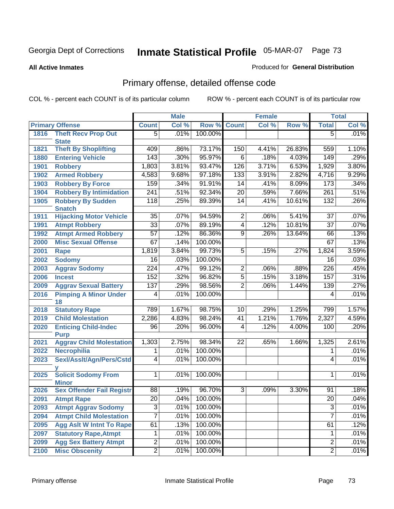#### **All Active Inmates**

#### Produced for **General Distribution**

# Primary offense, detailed offense code

|      |                                            |                  | <b>Male</b> |         |                 | <b>Female</b> |        |                  | <b>Total</b> |
|------|--------------------------------------------|------------------|-------------|---------|-----------------|---------------|--------|------------------|--------------|
|      | <b>Primary Offense</b>                     | <b>Count</b>     | Col %       | Row %   | <b>Count</b>    | Col %         | Row %  | <b>Total</b>     | Col %        |
| 1816 | <b>Theft Recv Prop Out</b>                 | $\overline{5}$   | .01%        | 100.00% |                 |               |        | $\overline{5}$   | .01%         |
|      | <b>State</b>                               |                  |             |         |                 |               |        |                  |              |
| 1821 | <b>Theft By Shoplifting</b>                | 409              | .86%        | 73.17%  | 150             | 4.41%         | 26.83% | 559              | 1.10%        |
| 1880 | <b>Entering Vehicle</b>                    | 143              | .30%        | 95.97%  | $\overline{6}$  | .18%          | 4.03%  | 149              | .29%         |
| 1901 | <b>Robbery</b>                             | 1,803            | 3.81%       | 93.47%  | 126             | 3.71%         | 6.53%  | 1,929            | 3.80%        |
| 1902 | <b>Armed Robbery</b>                       | 4,583            | 9.68%       | 97.18%  | 133             | 3.91%         | 2.82%  | 4,716            | 9.29%        |
| 1903 | <b>Robbery By Force</b>                    | 159              | .34%        | 91.91%  | 14              | .41%          | 8.09%  | 173              | .34%         |
| 1904 | <b>Robbery By Intimidation</b>             | 241              | .51%        | 92.34%  | $\overline{20}$ | .59%          | 7.66%  | $\overline{261}$ | .51%         |
| 1905 | <b>Robbery By Sudden</b><br><b>Snatch</b>  | 118              | .25%        | 89.39%  | $\overline{14}$ | .41%          | 10.61% | 132              | .26%         |
| 1911 | <b>Hijacking Motor Vehicle</b>             | $\overline{35}$  | .07%        | 94.59%  | $\overline{2}$  | .06%          | 5.41%  | $\overline{37}$  | .07%         |
| 1991 | <b>Atmpt Robbery</b>                       | $\overline{33}$  | .07%        | 89.19%  | $\overline{4}$  | .12%          | 10.81% | $\overline{37}$  | .07%         |
| 1992 | <b>Atmpt Armed Robbery</b>                 | $\overline{57}$  | .12%        | 86.36%  | $\overline{9}$  | .26%          | 13.64% | 66               | .13%         |
| 2000 | <b>Misc Sexual Offense</b>                 | 67               | .14%        | 100.00% |                 |               |        | 67               | .13%         |
| 2001 | Rape                                       | 1,819            | 3.84%       | 99.73%  | $\overline{5}$  | .15%          | .27%   | 1,824            | 3.59%        |
| 2002 | <b>Sodomy</b>                              | $\overline{16}$  | .03%        | 100.00% |                 |               |        | $\overline{16}$  | .03%         |
| 2003 | <b>Aggrav Sodomy</b>                       | $\overline{224}$ | .47%        | 99.12%  | $\overline{2}$  | .06%          | .88%   | $\overline{226}$ | .45%         |
| 2006 | <b>Incest</b>                              | 152              | .32%        | 96.82%  | $\overline{5}$  | .15%          | 3.18%  | 157              | .31%         |
| 2009 | <b>Aggrav Sexual Battery</b>               | 137              | .29%        | 98.56%  | $\overline{2}$  | .06%          | 1.44%  | 139              | .27%         |
| 2016 | <b>Pimping A Minor Under</b><br>18         | 4                | .01%        | 100.00% |                 |               |        | 4                | .01%         |
| 2018 | <b>Statutory Rape</b>                      | 789              | 1.67%       | 98.75%  | 10              | .29%          | 1.25%  | 799              | 1.57%        |
| 2019 | <b>Child Molestation</b>                   | 2,286            | 4.83%       | 98.24%  | $\overline{41}$ | 1.21%         | 1.76%  | 2,327            | 4.59%        |
| 2020 | <b>Enticing Child-Indec</b>                | $\overline{96}$  | .20%        | 96.00%  | 4               | .12%          | 4.00%  | 100              | .20%         |
|      | <b>Purp</b>                                |                  |             |         |                 |               |        |                  |              |
| 2021 | <b>Aggrav Child Molestation</b>            | 1,303            | 2.75%       | 98.34%  | $\overline{22}$ | .65%          | 1.66%  | 1,325            | 2.61%        |
| 2022 | <b>Necrophilia</b>                         | 1                | .01%        | 100.00% |                 |               |        | 1                | .01%         |
| 2023 | Sexl/Asslt/Agn/Pers/Cstd                   | 4                | .01%        | 100.00% |                 |               |        | 4                | .01%         |
| 2025 | <b>Solicit Sodomy From</b><br><b>Minor</b> | 1                | .01%        | 100.00% |                 |               |        | 1                | .01%         |
| 2026 | <b>Sex Offender Fail Registr</b>           | 88               | .19%        | 96.70%  | $\overline{3}$  | .09%          | 3.30%  | 91               | .18%         |
| 2091 | <b>Atmpt Rape</b>                          | $\overline{20}$  | .04%        | 100.00% |                 |               |        | $\overline{20}$  | .04%         |
| 2093 | <b>Atmpt Aggrav Sodomy</b>                 | $\overline{3}$   | .01%        | 100.00% |                 |               |        | $\overline{3}$   | .01%         |
| 2094 | <b>Atmpt Child Molestation</b>             | $\overline{7}$   | .01%        | 100.00% |                 |               |        | 7                | .01%         |
| 2095 | <b>Agg Aslt W Intnt To Rape</b>            | 61               | .13%        | 100.00% |                 |               |        | 61               | .12%         |
| 2097 | <b>Statutory Rape, Atmpt</b>               | $\overline{1}$   | .01%        | 100.00% |                 |               |        | 1                | .01%         |
| 2099 | <b>Agg Sex Battery Atmpt</b>               | $\overline{2}$   | .01%        | 100.00% |                 |               |        | $\overline{2}$   | .01%         |
| 2100 | <b>Misc Obscenity</b>                      | $\overline{2}$   | .01%        | 100.00% |                 |               |        | $\overline{2}$   | .01%         |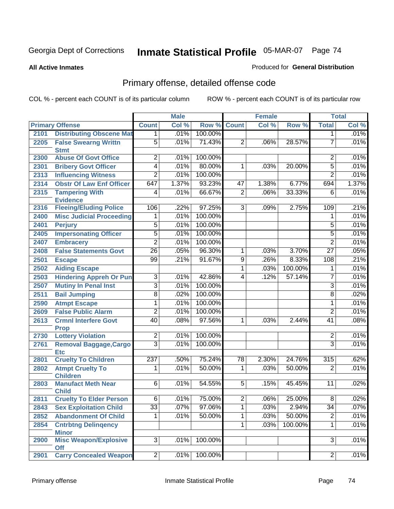#### **All Active Inmates**

#### Produced for **General Distribution**

# Primary offense, detailed offense code

|      |                                             |                 | <b>Male</b> |         |                | <b>Female</b> |         |                 | <b>Total</b> |
|------|---------------------------------------------|-----------------|-------------|---------|----------------|---------------|---------|-----------------|--------------|
|      | <b>Primary Offense</b>                      | <b>Count</b>    | Col %       | Row %   | <b>Count</b>   | Col %         | Row %   | <b>Total</b>    | Col %        |
| 2101 | <b>Distributing Obscene Mat</b>             | 1.              | .01%        | 100.00% |                |               |         | 1               | .01%         |
| 2205 | <b>False Swearng Writtn</b><br><b>Stmt</b>  | $\overline{5}$  | .01%        | 71.43%  | $\overline{2}$ | .06%          | 28.57%  | $\overline{7}$  | .01%         |
| 2300 | <b>Abuse Of Govt Office</b>                 | $\overline{2}$  | .01%        | 100.00% |                |               |         | 2               | .01%         |
| 2301 | <b>Bribery Govt Officer</b>                 | $\overline{4}$  | .01%        | 80.00%  | 1              | .03%          | 20.00%  | 5               | .01%         |
| 2313 | <b>Influencing Witness</b>                  | $\overline{2}$  | .01%        | 100.00% |                |               |         | $\overline{2}$  | .01%         |
| 2314 | <b>Obstr Of Law Enf Officer</b>             | 647             | 1.37%       | 93.23%  | 47             | 1.38%         | 6.77%   | 694             | 1.37%        |
| 2315 | <b>Tampering With</b>                       | 4               | .01%        | 66.67%  | $\overline{2}$ | .06%          | 33.33%  | 6               | .01%         |
|      | <b>Evidence</b>                             |                 |             |         |                |               |         |                 |              |
| 2316 | <b>Fleeing/Eluding Police</b>               | 106             | .22%        | 97.25%  | $\overline{3}$ | .09%          | 2.75%   | 109             | .21%         |
| 2400 | <b>Misc Judicial Proceeding</b>             |                 | .01%        | 100.00% |                |               |         | 1               | .01%         |
| 2401 | <b>Perjury</b>                              | 5               | .01%        | 100.00% |                |               |         | 5               | .01%         |
| 2405 | <b>Impersonating Officer</b>                | $\overline{5}$  | .01%        | 100.00% |                |               |         | 5               | .01%         |
| 2407 | <b>Embracery</b>                            | $\overline{2}$  | .01%        | 100.00% |                |               |         | $\overline{2}$  | .01%         |
| 2408 | <b>False Statements Govt</b>                | $\overline{26}$ | .05%        | 96.30%  | $\overline{1}$ | .03%          | 3.70%   | $\overline{27}$ | .05%         |
| 2501 | <b>Escape</b>                               | 99              | .21%        | 91.67%  | $\overline{9}$ | .26%          | 8.33%   | 108             | .21%         |
| 2502 | <b>Aiding Escape</b>                        |                 |             |         | 1              | .03%          | 100.00% | 1               | .01%         |
| 2503 | <b>Hindering Appreh Or Pun</b>              | $\overline{3}$  | .01%        | 42.86%  | $\overline{4}$ | .12%          | 57.14%  | $\overline{7}$  | .01%         |
| 2507 | <b>Mutiny In Penal Inst</b>                 | $\overline{3}$  | .01%        | 100.00% |                |               |         | $\overline{3}$  | .01%         |
| 2511 | <b>Bail Jumping</b>                         | $\overline{8}$  | .02%        | 100.00% |                |               |         | $\overline{8}$  | .02%         |
| 2590 | <b>Atmpt Escape</b>                         | 1               | .01%        | 100.00% |                |               |         | 1               | .01%         |
| 2609 | <b>False Public Alarm</b>                   | $\overline{2}$  | .01%        | 100.00% |                |               |         | $\overline{2}$  | .01%         |
| 2613 | <b>Crmnl Interfere Govt</b><br><b>Prop</b>  | 40              | .08%        | 97.56%  | 1              | .03%          | 2.44%   | 41              | .08%         |
| 2730 | <b>Lottery Violation</b>                    | $\overline{2}$  | .01%        | 100.00% |                |               |         | $\overline{2}$  | .01%         |
| 2761 | <b>Removal Baggage, Cargo</b><br><b>Etc</b> | $\overline{3}$  | .01%        | 100.00% |                |               |         | $\overline{3}$  | .01%         |
| 2801 | <b>Cruelty To Children</b>                  | 237             | .50%        | 75.24%  | 78             | 2.30%         | 24.76%  | 315             | .62%         |
| 2802 | <b>Atmpt Cruelty To</b><br><b>Children</b>  | 1               | .01%        | 50.00%  | 1              | .03%          | 50.00%  | $\overline{2}$  | .01%         |
| 2803 | <b>Manufact Meth Near</b><br><b>Child</b>   | $\overline{6}$  | .01%        | 54.55%  | 5              | .15%          | 45.45%  | 11              | .02%         |
| 2811 | <b>Cruelty To Elder Person</b>              | 6               | $.01\%$     | 75.00%  | $\overline{2}$ | $.06\%$       | 25.00%  | $\overline{8}$  | .02%         |
| 2843 | <b>Sex Exploitation Child</b>               | $\overline{33}$ | .07%        | 97.06%  | 1              | .03%          | 2.94%   | $\overline{34}$ | .07%         |
| 2852 | <b>Abandonment Of Child</b>                 | 1.              | .01%        | 50.00%  | $\overline{1}$ | .03%          | 50.00%  | $\overline{2}$  | .01%         |
| 2854 | <b>Cntrbtng Delingency</b>                  |                 |             |         | $\mathbf{1}$   | .03%          | 100.00% | 1               | .01%         |
|      | <b>Minor</b>                                |                 |             |         |                |               |         |                 |              |
| 2900 | <b>Misc Weapon/Explosive</b>                | $\overline{3}$  | .01%        | 100.00% |                |               |         | 3               | .01%         |
|      | <b>Off</b>                                  |                 |             |         |                |               |         |                 |              |
| 2901 | <b>Carry Concealed Weapon</b>               | $\overline{2}$  | .01%        | 100.00% |                |               |         | $\overline{2}$  | .01%         |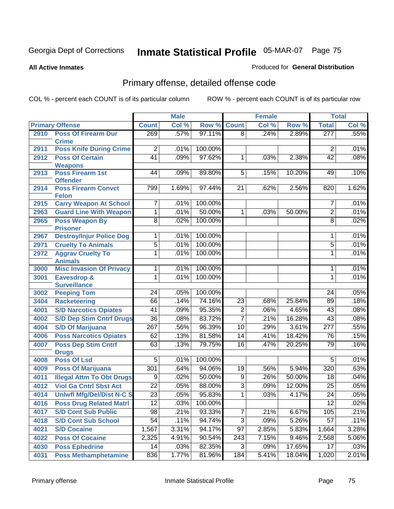#### **All Active Inmates**

#### Produced for **General Distribution**

# Primary offense, detailed offense code

|      |                                            |                  | <b>Male</b> |         |                 | <b>Female</b> |        |                  | <b>Total</b> |
|------|--------------------------------------------|------------------|-------------|---------|-----------------|---------------|--------|------------------|--------------|
|      | <b>Primary Offense</b>                     | <b>Count</b>     | Col %       | Row %   | <b>Count</b>    | Col %         | Row %  | <b>Total</b>     | Col %        |
| 2910 | <b>Poss Of Firearm Dur</b>                 | 269              | .57%        | 97.11%  | $\overline{8}$  | .24%          | 2.89%  | 277              | .55%         |
|      | <b>Crime</b>                               |                  |             |         |                 |               |        |                  |              |
| 2911 | <b>Poss Knife During Crime</b>             | $\overline{2}$   | .01%        | 100.00% |                 |               |        | $\overline{2}$   | .01%         |
| 2912 | <b>Poss Of Certain</b>                     | $\overline{41}$  | .09%        | 97.62%  | $\mathbf{1}$    | .03%          | 2.38%  | 42               | .08%         |
|      | <b>Weapons</b>                             |                  |             |         |                 |               |        |                  |              |
| 2913 | <b>Poss Firearm 1st</b><br><b>Offender</b> | 44               | .09%        | 89.80%  | $\overline{5}$  | .15%          | 10.20% | 49               | .10%         |
| 2914 | <b>Poss Firearm Convct</b>                 | 799              | 1.69%       | 97.44%  | 21              | .62%          | 2.56%  | 820              | 1.62%        |
|      | <b>Felon</b>                               |                  |             |         |                 |               |        |                  |              |
| 2915 | <b>Carry Weapon At School</b>              | 7                | .01%        | 100.00% |                 |               |        | 7                | .01%         |
| 2963 | <b>Guard Line With Weapon</b>              | 1                | .01%        | 50.00%  | 1               | .03%          | 50.00% | $\overline{2}$   | .01%         |
| 2965 | <b>Poss Weapon By</b>                      | $\overline{8}$   | .02%        | 100.00% |                 |               |        | $\overline{8}$   | .02%         |
|      | <b>Prisoner</b>                            |                  |             |         |                 |               |        |                  |              |
| 2967 | <b>Destroy/Injur Police Dog</b>            | 1                | .01%        | 100.00% |                 |               |        | 1                | .01%         |
| 2971 | <b>Cruelty To Animals</b>                  | $\overline{5}$   | .01%        | 100.00% |                 |               |        | $\overline{5}$   | .01%         |
| 2972 | <b>Aggrav Cruelty To</b><br><b>Animals</b> | $\overline{1}$   | .01%        | 100.00% |                 |               |        | $\mathbf{1}$     | .01%         |
| 3000 | <b>Misc Invasion Of Privacy</b>            | $\overline{1}$   | .01%        | 100.00% |                 |               |        | 1                | .01%         |
| 3001 | Eavesdrop &                                | 1                | .01%        | 100.00% |                 |               |        | 1                | .01%         |
|      | <b>Surveillance</b>                        |                  |             |         |                 |               |        |                  |              |
| 3002 | <b>Peeping Tom</b>                         | $\overline{24}$  | .05%        | 100.00% |                 |               |        | 24               | .05%         |
| 3404 | <b>Racketeering</b>                        | 66               | .14%        | 74.16%  | $\overline{23}$ | .68%          | 25.84% | 89               | .18%         |
| 4001 | <b>S/D Narcotics Opiates</b>               | $\overline{41}$  | .09%        | 95.35%  | $\overline{2}$  | .06%          | 4.65%  | 43               | .08%         |
| 4002 | <b>S/D Dep Stim Cntrf Drugs</b>            | $\overline{36}$  | .08%        | 83.72%  | $\overline{7}$  | .21%          | 16.28% | $\overline{43}$  | .08%         |
| 4004 | <b>S/D Of Marijuana</b>                    | $\overline{267}$ | .56%        | 96.39%  | $\overline{10}$ | .29%          | 3.61%  | $\overline{277}$ | .55%         |
| 4006 | <b>Poss Narcotics Opiates</b>              | 62               | .13%        | 81.58%  | $\overline{14}$ | .41%          | 18.42% | 76               | .15%         |
| 4007 | <b>Poss Dep Stim Cntrf</b>                 | 63               | .13%        | 79.75%  | $\overline{16}$ | .47%          | 20.25% | 79               | .16%         |
|      | <b>Drugs</b>                               |                  |             |         |                 |               |        |                  |              |
| 4008 | <b>Poss Of Lsd</b>                         | $\overline{5}$   | .01%        | 100.00% |                 |               |        | $\overline{5}$   | .01%         |
| 4009 | <b>Poss Of Marijuana</b>                   | 301              | .64%        | 94.06%  | 19              | .56%          | 5.94%  | 320              | .63%         |
| 4011 | <b>Illegal Attm To Obt Drugs</b>           | $\overline{9}$   | .02%        | 50.00%  | $\overline{9}$  | .26%          | 50.00% | $\overline{18}$  | .04%         |
| 4012 | <b>Viol Ga Cntrl Sbst Act</b>              | $\overline{22}$  | .05%        | 88.00%  | $\overline{3}$  | .09%          | 12.00% | $\overline{25}$  | .05%         |
| 4014 | <b>Uniwfl Mfg/Del/Dist N-C S</b>           | $\overline{23}$  | .05%        | 95.83%  | $\overline{1}$  | .03%          | 4.17%  | $\overline{24}$  | .05%         |
| 4016 | <b>Poss Drug Related Matri</b>             | 12               | .03%        | 100.00% |                 |               |        | 12               | .02%         |
| 4017 | <b>S/D Cont Sub Public</b>                 | 98               | .21%        | 93.33%  | $\overline{7}$  | .21%          | 6.67%  | 105              | .21%         |
| 4018 | <b>S/D Cont Sub School</b>                 | $\overline{54}$  | .11%        | 94.74%  | $\overline{3}$  | .09%          | 5.26%  | 57               | .11%         |
| 4021 | <b>S/D Cocaine</b>                         | 1,567            | 3.31%       | 94.17%  | 97              | 2.85%         | 5.83%  | 1,664            | 3.28%        |
| 4022 | <b>Poss Of Cocaine</b>                     | 2,325            | 4.91%       | 90.54%  | 243             | 7.15%         | 9.46%  | 2,568            | 5.06%        |
| 4030 | <b>Poss Ephedrine</b>                      | 14               | .03%        | 82.35%  | 3               | .09%          | 17.65% | 17               | .03%         |
| 4031 | <b>Poss Methamphetamine</b>                | 836              | 1.77%       | 81.96%  | 184             | 5.41%         | 18.04% | 1,020            | 2.01%        |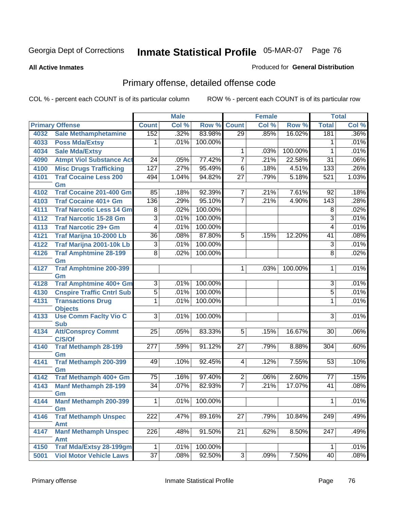#### **All Active Inmates**

#### Produced for **General Distribution**

# Primary offense, detailed offense code

|      |                                            |                  | <b>Male</b> |              |                 | <b>Female</b> |         |                  | <b>Total</b> |
|------|--------------------------------------------|------------------|-------------|--------------|-----------------|---------------|---------|------------------|--------------|
|      | <b>Primary Offense</b>                     | <b>Count</b>     | Col %       | Row %        | Count           | Col %         | Row %   | <b>Total</b>     | Col %        |
| 4032 | <b>Sale Methamphetamine</b>                | 152              | .32%        | 83.98%       | $\overline{29}$ | .85%          | 16.02%  | 181              | .36%         |
| 4033 | <b>Poss Mda/Extsy</b>                      | 1                | .01%        | 100.00%      |                 |               |         | 1                | .01%         |
| 4034 | <b>Sale Mda/Extsy</b>                      |                  |             |              | $\mathbf{1}$    | .03%          | 100.00% | 1                | .01%         |
| 4090 | <b>Atmpt Viol Substance Act</b>            | $\overline{24}$  | .05%        | 77.42%       | $\overline{7}$  | .21%          | 22.58%  | $\overline{31}$  | .06%         |
| 4100 | <b>Misc Drugs Trafficking</b>              | 127              | .27%        | 95.49%       | $\overline{6}$  | .18%          | 4.51%   | 133              | .26%         |
| 4101 | <b>Traf Cocaine Less 200</b>               | 494              | 1.04%       | 94.82%       | $\overline{27}$ | .79%          | 5.18%   | 521              | 1.03%        |
|      | Gm                                         |                  |             |              |                 |               |         |                  |              |
| 4102 | <b>Traf Cocaine 201-400 Gm</b>             | 85               | .18%        | 92.39%       | $\overline{7}$  | .21%          | 7.61%   | $\overline{92}$  | .18%         |
| 4103 | <b>Traf Cocaine 401+ Gm</b>                | 136              | .29%        | 95.10%       | $\overline{7}$  | .21%          | 4.90%   | 143              | .28%         |
| 4111 | <b>Traf Narcotic Less 14 Gm</b>            | 8                | .02%        | 100.00%      |                 |               |         | 8                | .02%         |
| 4112 | <b>Traf Narcotic 15-28 Gm</b>              | $\overline{3}$   | .01%        | 100.00%      |                 |               |         | 3                | .01%         |
| 4113 | <b>Traf Narcotic 29+ Gm</b>                | 4                | .01%        | 100.00%      |                 |               |         | 4                | .01%         |
| 4121 | Traf Marijna 10-2000 Lb                    | $\overline{36}$  | .08%        | 87.80%       | 5               | .15%          | 12.20%  | 41               | .08%         |
| 4122 | Traf Marijna 2001-10k Lb                   | $\overline{3}$   | .01%        | 100.00%      |                 |               |         | $\overline{3}$   | .01%         |
| 4126 | <b>Traf Amphtmine 28-199</b>               | $\overline{8}$   | .02%        | 100.00%      |                 |               |         | 8                | .02%         |
|      | Gm                                         |                  |             |              |                 |               |         |                  |              |
| 4127 | <b>Traf Amphtmine 200-399</b>              |                  |             |              | $\mathbf 1$     | .03%          | 100.00% | 1                | .01%         |
| 4128 | Gm<br><b>Traf Amphtmine 400+ Gm</b>        | $\overline{3}$   | .01%        | 100.00%      |                 |               |         | $\overline{3}$   | .01%         |
|      | <b>Cnspire Traffic Cntrl Sub</b>           |                  |             | 100.00%      |                 |               |         |                  | .01%         |
| 4130 |                                            | $\overline{5}$   | .01%        |              |                 |               |         | $\overline{5}$   |              |
| 4131 | <b>Transactions Drug</b><br><b>Objects</b> | 1                | .01%        | 100.00%      |                 |               |         | 1                | .01%         |
| 4133 | <b>Use Comm Facity Vio C</b>               | $\overline{3}$   | .01%        | 100.00%      |                 |               |         | $\overline{3}$   | .01%         |
|      | <b>Sub</b>                                 |                  |             |              |                 |               |         |                  |              |
| 4134 | <b>Att/Consprcy Commt</b>                  | $\overline{25}$  | .05%        | 83.33%       | 5               | .15%          | 16.67%  | 30               | .06%         |
|      | C/S/Of                                     |                  |             |              |                 |               |         |                  |              |
| 4140 | <b>Traf Methamph 28-199</b>                | 277              | .59%        | 91.12%       | 27              | .79%          | 8.88%   | 304              | .60%         |
|      | Gm                                         |                  |             |              |                 |               |         |                  |              |
| 4141 | <b>Traf Methamph 200-399</b>               | 49               | .10%        | 92.45%       | 4               | .12%          | 7.55%   | 53               | .10%         |
| 4142 | Gm<br>Traf Methamph 400+ Gm                | $\overline{75}$  | .16%        | 97.40%       | $\overline{2}$  | .06%          | 2.60%   | $\overline{77}$  | .15%         |
| 4143 | <b>Manf Methamph 28-199</b>                | $\overline{34}$  | .07%        | 82.93%       | $\overline{7}$  | .21%          | 17.07%  | $\overline{41}$  | .08%         |
|      | Gm                                         |                  |             |              |                 |               |         |                  |              |
| 4144 | <b>Manf Methamph 200-399</b>               | 1                |             | .01% 100.00% |                 |               |         | $\overline{1}$   | .01%         |
|      | Gm                                         |                  |             |              |                 |               |         |                  |              |
| 4146 | <b>Traf Methamph Unspec</b>                | $\overline{222}$ | .47%        | 89.16%       | $\overline{27}$ | .79%          | 10.84%  | $\overline{249}$ | .49%         |
|      | <b>Amt</b>                                 |                  |             |              |                 |               |         |                  |              |
| 4147 | <b>Manf Methamph Unspec</b>                | 226              | .48%        | 91.50%       | $\overline{21}$ | .62%          | 8.50%   | $\overline{247}$ | .49%         |
|      | <b>Amt</b>                                 |                  |             |              |                 |               |         |                  |              |
| 4150 | <b>Traf Mda/Extsy 28-199gm</b>             | $\mathbf 1$      | .01%        | 100.00%      |                 |               |         | 1                | .01%         |
| 5001 | <b>Viol Motor Vehicle Laws</b>             | $\overline{37}$  | .08%        | 92.50%       | $\overline{3}$  | .09%          | 7.50%   | 40               | .08%         |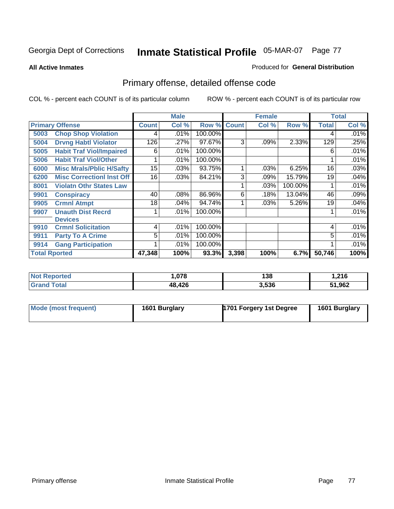#### **All Active Inmates**

#### Produced for **General Distribution**

# Primary offense, detailed offense code

|                      |                                  |              | <b>Male</b><br><b>Female</b> |         |              | <b>Total</b> |         |              |       |
|----------------------|----------------------------------|--------------|------------------------------|---------|--------------|--------------|---------|--------------|-------|
|                      | <b>Primary Offense</b>           | <b>Count</b> | Col %                        | Row %   | <b>Count</b> | Col %        | Row %   | <b>Total</b> | Col % |
| 5003                 | <b>Chop Shop Violation</b>       | 4            | .01%                         | 100.00% |              |              |         | 4            | .01%  |
| 5004                 | <b>Drvng Habtl Violator</b>      | 126          | .27%                         | 97.67%  | 3            | .09%         | 2.33%   | 129          | .25%  |
| 5005                 | <b>Habit Traf Viol/Impaired</b>  | 6            | .01%                         | 100.00% |              |              |         | 6            | .01%  |
| 5006                 | <b>Habit Traf Viol/Other</b>     |              | .01%                         | 100.00% |              |              |         |              | .01%  |
| 6000                 | <b>Misc Mrals/Pblic H/Safty</b>  | 15           | .03%                         | 93.75%  |              | .03%         | 6.25%   | 16           | .03%  |
| 6200                 | <b>Misc CorrectionI Inst Off</b> | 16           | .03%                         | 84.21%  | 3            | .09%         | 15.79%  | 19           | .04%  |
| 8001                 | <b>Violatn Othr States Law</b>   |              |                              |         |              | .03%         | 100.00% |              | .01%  |
| 9901                 | <b>Conspiracy</b>                | 40           | .08%                         | 86.96%  | 6            | .18%         | 13.04%  | 46           | .09%  |
| 9905                 | <b>Crmnl Atmpt</b>               | 18           | .04%                         | 94.74%  |              | $.03\%$      | 5.26%   | 19           | .04%  |
| 9907                 | <b>Unauth Dist Recrd</b>         |              | .01%                         | 100.00% |              |              |         |              | .01%  |
|                      | <b>Devices</b>                   |              |                              |         |              |              |         |              |       |
| 9910                 | <b>Crmnl Solicitation</b>        | 4            | .01%                         | 100.00% |              |              |         | 4            | .01%  |
| 9911                 | <b>Party To A Crime</b>          | 5            | .01%                         | 100.00% |              |              |         | 5            | .01%  |
| 9914                 | <b>Gang Participation</b>        |              | .01%                         | 100.00% |              |              |         |              | .01%  |
| <b>Total Rported</b> |                                  | 47,348       | 100%                         | 93.3%   | 3,398        | 100%         | 6.7%    | 50,746       | 100%  |

| <b>rteg</b> | .078   | 138   | 01C<br>1.Z I O |
|-------------|--------|-------|----------------|
|             | 48,426 | 3,536 | 51,962         |

| Mode (most frequent) | 1601 Burglary | 1701 Forgery 1st Degree | 1601 Burglary |
|----------------------|---------------|-------------------------|---------------|
|----------------------|---------------|-------------------------|---------------|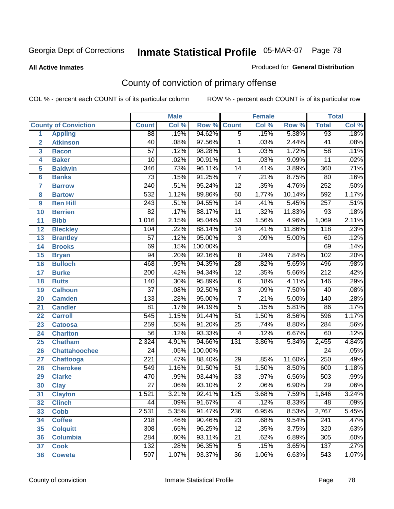#### **All Active Inmates**

#### Produced for **General Distribution**

# County of conviction of primary offense

|                         |                             |                  | <b>Male</b> |         |                 | <b>Female</b> |        |                  | <b>Total</b> |
|-------------------------|-----------------------------|------------------|-------------|---------|-----------------|---------------|--------|------------------|--------------|
|                         | <b>County of Conviction</b> | <b>Count</b>     | Col %       | Row %   | <b>Count</b>    | Col %         | Row %  | <b>Total</b>     | Col %        |
| 1                       | <b>Appling</b>              | $\overline{88}$  | .19%        | 94.62%  | $\overline{5}$  | .15%          | 5.38%  | 93               | .18%         |
| $\overline{2}$          | <b>Atkinson</b>             | 40               | .08%        | 97.56%  | $\mathbf{1}$    | .03%          | 2.44%  | 41               | .08%         |
| $\overline{\mathbf{3}}$ | <b>Bacon</b>                | $\overline{57}$  | .12%        | 98.28%  | $\mathbf 1$     | .03%          | 1.72%  | $\overline{58}$  | .11%         |
| 4                       | <b>Baker</b>                | $\overline{10}$  | .02%        | 90.91%  | 1               | .03%          | 9.09%  | $\overline{11}$  | .02%         |
| 5                       | <b>Baldwin</b>              | $\overline{346}$ | .73%        | 96.11%  | 14              | .41%          | 3.89%  | 360              | .71%         |
| 6                       | <b>Banks</b>                | $\overline{73}$  | .15%        | 91.25%  | $\overline{7}$  | .21%          | 8.75%  | 80               | .16%         |
| 7                       | <b>Barrow</b>               | $\overline{240}$ | .51%        | 95.24%  | $\overline{12}$ | .35%          | 4.76%  | 252              | .50%         |
| 8                       | <b>Bartow</b>               | 532              | 1.12%       | 89.86%  | 60              | 1.77%         | 10.14% | 592              | 1.17%        |
| 9                       | <b>Ben Hill</b>             | $\overline{243}$ | .51%        | 94.55%  | 14              | .41%          | 5.45%  | 257              | .51%         |
| 10                      | <b>Berrien</b>              | 82               | .17%        | 88.17%  | $\overline{11}$ | .32%          | 11.83% | 93               | .18%         |
| 11                      | <b>Bibb</b>                 | 1,016            | 2.15%       | 95.04%  | $\overline{53}$ | 1.56%         | 4.96%  | 1,069            | 2.11%        |
| 12                      | <b>Bleckley</b>             | 104              | .22%        | 88.14%  | 14              | .41%          | 11.86% | $\overline{118}$ | .23%         |
| $\overline{13}$         | <b>Brantley</b>             | $\overline{57}$  | .12%        | 95.00%  | $\overline{3}$  | .09%          | 5.00%  | 60               | .12%         |
| 14                      | <b>Brooks</b>               | $\overline{69}$  | .15%        | 100.00% |                 |               |        | 69               | .14%         |
| 15                      | <b>Bryan</b>                | 94               | .20%        | 92.16%  | $\overline{8}$  | .24%          | 7.84%  | 102              | .20%         |
| 16                      | <b>Bulloch</b>              | 468              | .99%        | 94.35%  | 28              | .82%          | 5.65%  | 496              | .98%         |
| 17                      | <b>Burke</b>                | $\overline{200}$ | .42%        | 94.34%  | $\overline{12}$ | .35%          | 5.66%  | $\overline{212}$ | .42%         |
| 18                      | <b>Butts</b>                | 140              | .30%        | 95.89%  | $\overline{6}$  | .18%          | 4.11%  | 146              | .29%         |
| 19                      | <b>Calhoun</b>              | $\overline{37}$  | .08%        | 92.50%  | $\overline{3}$  | .09%          | 7.50%  | 40               | .08%         |
| 20                      | <b>Camden</b>               | 133              | .28%        | 95.00%  | $\overline{7}$  | .21%          | 5.00%  | 140              | .28%         |
| 21                      | <b>Candler</b>              | $\overline{81}$  | .17%        | 94.19%  | $\overline{5}$  | .15%          | 5.81%  | 86               | .17%         |
| 22                      | <b>Carroll</b>              | 545              | 1.15%       | 91.44%  | $\overline{51}$ | 1.50%         | 8.56%  | 596              | 1.17%        |
| 23                      | <b>Catoosa</b>              | 259              | .55%        | 91.20%  | $\overline{25}$ | .74%          | 8.80%  | 284              | .56%         |
| 24                      | <b>Charlton</b>             | $\overline{56}$  | .12%        | 93.33%  | 4               | .12%          | 6.67%  | 60               | .12%         |
| 25                      | <b>Chatham</b>              | 2,324            | 4.91%       | 94.66%  | 131             | 3.86%         | 5.34%  | 2,455            | 4.84%        |
| 26                      | <b>Chattahoochee</b>        | $\overline{24}$  | .05%        | 100.00% |                 |               |        | $\overline{24}$  | .05%         |
| 27                      | <b>Chattooga</b>            | $\overline{221}$ | .47%        | 88.40%  | 29              | .85%          | 11.60% | 250              | .49%         |
| 28                      | <b>Cherokee</b>             | 549              | 1.16%       | 91.50%  | 51              | 1.50%         | 8.50%  | 600              | 1.18%        |
| 29                      | <b>Clarke</b>               | 470              | .99%        | 93.44%  | $\overline{33}$ | .97%          | 6.56%  | 503              | .99%         |
| 30                      | <b>Clay</b>                 | $\overline{27}$  | .06%        | 93.10%  | $\overline{2}$  | .06%          | 6.90%  | $\overline{29}$  | .06%         |
| 31                      | <b>Clayton</b>              | 1,521            | 3.21%       | 92.41%  | 125             | 3.68%         | 7.59%  | 1,646            | 3.24%        |
| 32                      | <b>Clinch</b>               | 44               | .09%        | 91.67%  | 4               | .12%          | 8.33%  | 48               | .09%         |
| 33                      | <b>Cobb</b>                 | 2,531            | 5.35%       | 91.47%  | 236             | 6.95%         | 8.53%  | 2,767            | 5.45%        |
| 34                      | <b>Coffee</b>               | 218              | .46%        | 90.46%  | 23              | .68%          | 9.54%  | 241              | .47%         |
| 35                      | <b>Colquitt</b>             | 308              | .65%        | 96.25%  | 12              | .35%          | 3.75%  | 320              | .63%         |
| 36                      | <b>Columbia</b>             | 284              | .60%        | 93.11%  | 21              | .62%          | 6.89%  | 305              | .60%         |
| 37                      | <b>Cook</b>                 | 132              | .28%        | 96.35%  | $\overline{5}$  | .15%          | 3.65%  | 137              | .27%         |
| 38                      | <b>Coweta</b>               | 507              | 1.07%       | 93.37%  | 36              | 1.06%         | 6.63%  | 543              | 1.07%        |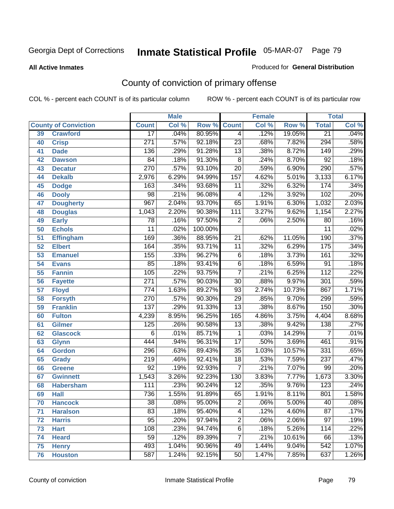#### **All Active Inmates**

#### Produced for **General Distribution**

# County of conviction of primary offense

|    |                             |                  | <b>Male</b> |         |                         | <b>Female</b> |        |                  | <b>Total</b> |
|----|-----------------------------|------------------|-------------|---------|-------------------------|---------------|--------|------------------|--------------|
|    | <b>County of Conviction</b> | <b>Count</b>     | Col %       | Row %   | <b>Count</b>            | Col %         | Row %  | <b>Total</b>     | Col %        |
| 39 | <b>Crawford</b>             | $\overline{17}$  | .04%        | 80.95%  | 4                       | .12%          | 19.05% | $\overline{21}$  | .04%         |
| 40 | <b>Crisp</b>                | $\overline{271}$ | .57%        | 92.18%  | $\overline{23}$         | .68%          | 7.82%  | 294              | .58%         |
| 41 | <b>Dade</b>                 | 136              | .29%        | 91.28%  | 13                      | .38%          | 8.72%  | 149              | .29%         |
| 42 | <b>Dawson</b>               | 84               | .18%        | 91.30%  | 8                       | .24%          | 8.70%  | 92               | .18%         |
| 43 | <b>Decatur</b>              | 270              | .57%        | 93.10%  | $\overline{20}$         | .59%          | 6.90%  | 290              | .57%         |
| 44 | <b>Dekalb</b>               | 2,976            | 6.29%       | 94.99%  | 157                     | 4.62%         | 5.01%  | 3,133            | 6.17%        |
| 45 | <b>Dodge</b>                | 163              | .34%        | 93.68%  | $\overline{11}$         | .32%          | 6.32%  | 174              | .34%         |
| 46 | <b>Dooly</b>                | $\overline{98}$  | .21%        | 96.08%  | $\overline{\mathbf{4}}$ | .12%          | 3.92%  | 102              | .20%         |
| 47 | <b>Dougherty</b>            | 967              | 2.04%       | 93.70%  | 65                      | 1.91%         | 6.30%  | 1,032            | 2.03%        |
| 48 | <b>Douglas</b>              | 1,043            | 2.20%       | 90.38%  | $\overline{111}$        | 3.27%         | 9.62%  | 1,154            | 2.27%        |
| 49 | <b>Early</b>                | 78               | .16%        | 97.50%  | $\overline{2}$          | .06%          | 2.50%  | 80               | .16%         |
| 50 | <b>Echols</b>               | $\overline{11}$  | .02%        | 100.00% |                         |               |        | $\overline{11}$  | .02%         |
| 51 | <b>Effingham</b>            | 169              | .36%        | 88.95%  | 21                      | .62%          | 11.05% | 190              | .37%         |
| 52 | <b>Elbert</b>               | 164              | .35%        | 93.71%  | $\overline{11}$         | .32%          | 6.29%  | $\overline{175}$ | .34%         |
| 53 | <b>Emanuel</b>              | 155              | .33%        | 96.27%  | $\overline{6}$          | .18%          | 3.73%  | 161              | .32%         |
| 54 | <b>Evans</b>                | 85               | .18%        | 93.41%  | $\overline{6}$          | .18%          | 6.59%  | $\overline{91}$  | .18%         |
| 55 | <b>Fannin</b>               | 105              | .22%        | 93.75%  | $\overline{7}$          | .21%          | 6.25%  | $\overline{112}$ | .22%         |
| 56 | <b>Fayette</b>              | $\overline{271}$ | .57%        | 90.03%  | $\overline{30}$         | .88%          | 9.97%  | $\overline{301}$ | .59%         |
| 57 | <b>Floyd</b>                | 774              | 1.63%       | 89.27%  | 93                      | 2.74%         | 10.73% | 867              | 1.71%        |
| 58 | <b>Forsyth</b>              | 270              | .57%        | 90.30%  | $\overline{29}$         | .85%          | 9.70%  | 299              | .59%         |
| 59 | <b>Franklin</b>             | $\overline{137}$ | .29%        | 91.33%  | $\overline{13}$         | .38%          | 8.67%  | 150              | .30%         |
| 60 | <b>Fulton</b>               | 4,239            | 8.95%       | 96.25%  | 165                     | 4.86%         | 3.75%  | 4,404            | 8.68%        |
| 61 | <b>Gilmer</b>               | 125              | .26%        | 90.58%  | $\overline{13}$         | .38%          | 9.42%  | 138              | .27%         |
| 62 | <b>Glascock</b>             | $\overline{6}$   | .01%        | 85.71%  | 1                       | .03%          | 14.29% | $\overline{7}$   | .01%         |
| 63 | <b>Glynn</b>                | 444              | .94%        | 96.31%  | $\overline{17}$         | .50%          | 3.69%  | 461              | .91%         |
| 64 | <b>Gordon</b>               | 296              | .63%        | 89.43%  | $\overline{35}$         | 1.03%         | 10.57% | 331              | .65%         |
| 65 | <b>Grady</b>                | $\overline{219}$ | .46%        | 92.41%  | $\overline{18}$         | .53%          | 7.59%  | 237              | .47%         |
| 66 | <b>Greene</b>               | $\overline{92}$  | .19%        | 92.93%  | $\overline{7}$          | .21%          | 7.07%  | 99               | .20%         |
| 67 | <b>Gwinnett</b>             | 1,543            | 3.26%       | 92.23%  | 130                     | 3.83%         | 7.77%  | 1,673            | 3.30%        |
| 68 | <b>Habersham</b>            | 111              | .23%        | 90.24%  | $\overline{12}$         | .35%          | 9.76%  | $\overline{123}$ | .24%         |
| 69 | <b>Hall</b>                 | 736              | 1.55%       | 91.89%  | 65                      | 1.91%         | 8.11%  | 801              | 1.58%        |
| 70 | <b>Hancock</b>              | $\overline{38}$  | .08%        | 95.00%  | $\overline{\mathbf{c}}$ | .06%          | 5.00%  | $\overline{40}$  | .08%         |
| 71 | <b>Haralson</b>             | 83               | .18%        | 95.40%  | 4                       | .12%          | 4.60%  | $\overline{87}$  | .17%         |
| 72 | <b>Harris</b>               | $\overline{95}$  | .20%        | 97.94%  | $\overline{2}$          | .06%          | 2.06%  | $\overline{97}$  | .19%         |
| 73 | <b>Hart</b>                 | 108              | .23%        | 94.74%  | $\overline{6}$          | .18%          | 5.26%  | 114              | .22%         |
| 74 | <b>Heard</b>                | $\overline{59}$  | .12%        | 89.39%  | $\overline{7}$          | .21%          | 10.61% | 66               | .13%         |
| 75 | <b>Henry</b>                | 493              | 1.04%       | 90.96%  | 49                      | 1.44%         | 9.04%  | $\overline{542}$ | 1.07%        |
| 76 | <b>Houston</b>              | 587              | 1.24%       | 92.15%  | $\overline{50}$         | 1.47%         | 7.85%  | 637              | 1.26%        |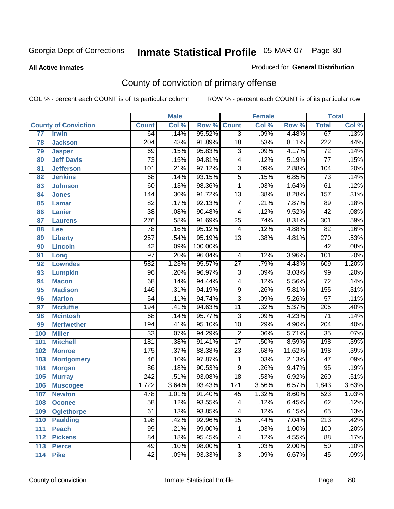#### **All Active Inmates**

#### Produced for **General Distribution**

# County of conviction of primary offense

|                 |                             |                  | <b>Male</b> |         |                 | <b>Female</b> |        |                  | <b>Total</b> |
|-----------------|-----------------------------|------------------|-------------|---------|-----------------|---------------|--------|------------------|--------------|
|                 | <b>County of Conviction</b> | <b>Count</b>     | Col %       | Row %   | <b>Count</b>    | Col %         | Row %  | <b>Total</b>     | Col %        |
| $\overline{77}$ | <b>Irwin</b>                | 64               | .14%        | 95.52%  | $\overline{3}$  | .09%          | 4.48%  | 67               | .13%         |
| 78              | <b>Jackson</b>              | $\overline{204}$ | .43%        | 91.89%  | $\overline{18}$ | .53%          | 8.11%  | $\overline{222}$ | .44%         |
| 79              | <b>Jasper</b>               | 69               | .15%        | 95.83%  | $\overline{3}$  | .09%          | 4.17%  | $\overline{72}$  | .14%         |
| 80              | <b>Jeff Davis</b>           | $\overline{73}$  | .15%        | 94.81%  | 4               | .12%          | 5.19%  | 77               | .15%         |
| 81              | <b>Jefferson</b>            | 101              | .21%        | 97.12%  | $\overline{3}$  | .09%          | 2.88%  | 104              | .20%         |
| 82              | <b>Jenkins</b>              | 68               | .14%        | 93.15%  | $\overline{5}$  | .15%          | 6.85%  | $\overline{73}$  | .14%         |
| 83              | <b>Johnson</b>              | 60               | .13%        | 98.36%  | 1               | .03%          | 1.64%  | 61               | .12%         |
| 84              | <b>Jones</b>                | 144              | .30%        | 91.72%  | $\overline{13}$ | .38%          | 8.28%  | 157              | .31%         |
| 85              | <b>Lamar</b>                | $\overline{82}$  | .17%        | 92.13%  | $\overline{7}$  | .21%          | 7.87%  | 89               | .18%         |
| 86              | <b>Lanier</b>               | $\overline{38}$  | .08%        | 90.48%  | 4               | .12%          | 9.52%  | $\overline{42}$  | .08%         |
| 87              | <b>Laurens</b>              | 276              | .58%        | 91.69%  | $\overline{25}$ | .74%          | 8.31%  | 301              | .59%         |
| 88              | Lee                         | $\overline{78}$  | .16%        | 95.12%  | 4               | .12%          | 4.88%  | $\overline{82}$  | .16%         |
| 89              | <b>Liberty</b>              | $\overline{257}$ | .54%        | 95.19%  | $\overline{13}$ | .38%          | 4.81%  | 270              | .53%         |
| 90              | <b>Lincoln</b>              | $\overline{42}$  | .09%        | 100.00% |                 |               |        | $\overline{42}$  | .08%         |
| 91              | Long                        | $\overline{97}$  | .20%        | 96.04%  | 4               | .12%          | 3.96%  | 101              | .20%         |
| 92              | <b>Lowndes</b>              | 582              | 1.23%       | 95.57%  | $\overline{27}$ | .79%          | 4.43%  | 609              | 1.20%        |
| 93              | <b>Lumpkin</b>              | 96               | .20%        | 96.97%  | $\overline{3}$  | .09%          | 3.03%  | 99               | .20%         |
| 94              | <b>Macon</b>                | 68               | .14%        | 94.44%  | 4               | .12%          | 5.56%  | $\overline{72}$  | .14%         |
| 95              | <b>Madison</b>              | 146              | .31%        | 94.19%  | $\overline{9}$  | .26%          | 5.81%  | 155              | .31%         |
| 96              | <b>Marion</b>               | 54               | .11%        | 94.74%  | $\overline{3}$  | .09%          | 5.26%  | $\overline{57}$  | .11%         |
| 97              | <b>Mcduffie</b>             | 194              | .41%        | 94.63%  | $\overline{11}$ | .32%          | 5.37%  | $\overline{205}$ | .40%         |
| 98              | <b>Mcintosh</b>             | 68               | .14%        | 95.77%  | $\overline{3}$  | .09%          | 4.23%  | $\overline{71}$  | .14%         |
| 99              | <b>Meriwether</b>           | 194              | .41%        | 95.10%  | 10              | .29%          | 4.90%  | $\overline{204}$ | .40%         |
| 100             | <b>Miller</b>               | $\overline{33}$  | .07%        | 94.29%  | $\overline{2}$  | .06%          | 5.71%  | $\overline{35}$  | .07%         |
| 101             | <b>Mitchell</b>             | 181              | .38%        | 91.41%  | $\overline{17}$ | .50%          | 8.59%  | 198              | .39%         |
| 102             | <b>Monroe</b>               | 175              | .37%        | 88.38%  | $\overline{23}$ | .68%          | 11.62% | 198              | .39%         |
| 103             | <b>Montgomery</b>           | 46               | .10%        | 97.87%  | 1               | .03%          | 2.13%  | $\overline{47}$  | .09%         |
| 104             | <b>Morgan</b>               | $\overline{86}$  | .18%        | 90.53%  | 9               | .26%          | 9.47%  | 95               | .19%         |
| 105             | <b>Murray</b>               | $\overline{242}$ | .51%        | 93.08%  | $\overline{18}$ | .53%          | 6.92%  | 260              | .51%         |
| 106             | <b>Muscogee</b>             | 1,722            | 3.64%       | 93.43%  | 121             | 3.56%         | 6.57%  | 1,843            | 3.63%        |
| 107             | <b>Newton</b>               | 478              | 1.01%       | 91.40%  | 45              | 1.32%         | 8.60%  | 523              | 1.03%        |
| 108             | <b>Oconee</b>               | 58               | .12%        | 93.55%  | 4               | .12%          | 6.45%  | 62               | .12%         |
| 109             | <b>Oglethorpe</b>           | 61               | .13%        | 93.85%  | $\overline{4}$  | .12%          | 6.15%  | 65               | .13%         |
| 110             | Paulding                    | 198              | .42%        | 92.96%  | $\overline{15}$ | .44%          | 7.04%  | $\overline{213}$ | .42%         |
| 111             | <b>Peach</b>                | 99               | .21%        | 99.00%  | 1               | .03%          | 1.00%  | 100              | .20%         |
| 112             | <b>Pickens</b>              | 84               | .18%        | 95.45%  | 4               | .12%          | 4.55%  | 88               | .17%         |
| 113             | <b>Pierce</b>               | 49               | .10%        | 98.00%  | $\mathbf{1}$    | .03%          | 2.00%  | 50               | .10%         |
| 114             | <b>Pike</b>                 | 42               | .09%        | 93.33%  | $\overline{3}$  | .09%          | 6.67%  | 45               | .09%         |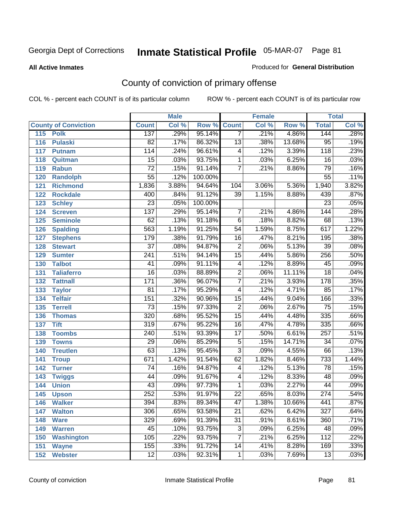#### **All Active Inmates**

#### Produced for **General Distribution**

# County of conviction of primary offense

|     |                             |                  | <b>Male</b> |         |                 | <b>Female</b> |        |                  | <b>Total</b> |
|-----|-----------------------------|------------------|-------------|---------|-----------------|---------------|--------|------------------|--------------|
|     | <b>County of Conviction</b> | <b>Count</b>     | Col %       | Row %   | <b>Count</b>    | Col %         | Row %  | <b>Total</b>     | Col %        |
| 115 | <b>Polk</b>                 | 137              | .29%        | 95.14%  | $\overline{7}$  | .21%          | 4.86%  | 144              | .28%         |
| 116 | <b>Pulaski</b>              | $\overline{82}$  | .17%        | 86.32%  | $\overline{13}$ | .38%          | 13.68% | $\overline{95}$  | .19%         |
| 117 | <b>Putnam</b>               | 114              | .24%        | 96.61%  | 4               | .12%          | 3.39%  | 118              | .23%         |
| 118 | Quitman                     | $\overline{15}$  | .03%        | 93.75%  | $\mathbf 1$     | .03%          | 6.25%  | $\overline{16}$  | .03%         |
| 119 | <b>Rabun</b>                | $\overline{72}$  | .15%        | 91.14%  | $\overline{7}$  | .21%          | 8.86%  | 79               | .16%         |
| 120 | <b>Randolph</b>             | $\overline{55}$  | .12%        | 100.00% |                 |               |        | $\overline{55}$  | .11%         |
| 121 | <b>Richmond</b>             | 1,836            | 3.88%       | 94.64%  | 104             | 3.06%         | 5.36%  | 1,940            | 3.82%        |
| 122 | <b>Rockdale</b>             | 400              | .84%        | 91.12%  | 39              | 1.15%         | 8.88%  | 439              | .87%         |
| 123 | <b>Schley</b>               | $\overline{23}$  | .05%        | 100.00% |                 |               |        | $\overline{23}$  | .05%         |
| 124 | <b>Screven</b>              | 137              | .29%        | 95.14%  | $\overline{7}$  | .21%          | 4.86%  | $\overline{144}$ | .28%         |
| 125 | <b>Seminole</b>             | 62               | .13%        | 91.18%  | $\overline{6}$  | .18%          | 8.82%  | 68               | .13%         |
| 126 | <b>Spalding</b>             | 563              | 1.19%       | 91.25%  | 54              | 1.59%         | 8.75%  | 617              | 1.22%        |
| 127 | <b>Stephens</b>             | 179              | .38%        | 91.79%  | 16              | .47%          | 8.21%  | 195              | .38%         |
| 128 | <b>Stewart</b>              | $\overline{37}$  | .08%        | 94.87%  | $\overline{2}$  | .06%          | 5.13%  | $\overline{39}$  | .08%         |
| 129 | <b>Sumter</b>               | $\overline{241}$ | .51%        | 94.14%  | $\overline{15}$ | .44%          | 5.86%  | 256              | .50%         |
| 130 | <b>Talbot</b>               | 41               | .09%        | 91.11%  | 4               | .12%          | 8.89%  | 45               | .09%         |
| 131 | <b>Taliaferro</b>           | $\overline{16}$  | .03%        | 88.89%  | $\overline{2}$  | .06%          | 11.11% | $\overline{18}$  | .04%         |
| 132 | <b>Tattnall</b>             | 171              | .36%        | 96.07%  | $\overline{7}$  | .21%          | 3.93%  | 178              | .35%         |
| 133 | <b>Taylor</b>               | $\overline{81}$  | .17%        | 95.29%  | 4               | .12%          | 4.71%  | 85               | .17%         |
| 134 | <b>Telfair</b>              | 151              | .32%        | 90.96%  | 15              | .44%          | 9.04%  | 166              | .33%         |
| 135 | <b>Terrell</b>              | $\overline{73}$  | .15%        | 97.33%  | $\overline{2}$  | .06%          | 2.67%  | $\overline{75}$  | .15%         |
| 136 | <b>Thomas</b>               | 320              | .68%        | 95.52%  | $\overline{15}$ | .44%          | 4.48%  | 335              | .66%         |
| 137 | <b>Tift</b>                 | 319              | .67%        | 95.22%  | 16              | .47%          | 4.78%  | 335              | .66%         |
| 138 | <b>Toombs</b>               | 240              | .51%        | 93.39%  | $\overline{17}$ | .50%          | 6.61%  | $\overline{257}$ | .51%         |
| 139 | <b>Towns</b>                | $\overline{29}$  | .06%        | 85.29%  | $\overline{5}$  | .15%          | 14.71% | $\overline{34}$  | .07%         |
| 140 | <b>Treutlen</b>             | $\overline{63}$  | .13%        | 95.45%  | $\overline{3}$  | .09%          | 4.55%  | 66               | .13%         |
| 141 | <b>Troup</b>                | 671              | 1.42%       | 91.54%  | 62              | 1.82%         | 8.46%  | 733              | 1.44%        |
| 142 | <b>Turner</b>               | 74               | .16%        | 94.87%  | 4               | .12%          | 5.13%  | 78               | .15%         |
| 143 | <b>Twiggs</b>               | $\overline{44}$  | .09%        | 91.67%  | 4               | .12%          | 8.33%  | 48               | .09%         |
| 144 | <b>Union</b>                | 43               | .09%        | 97.73%  | $\mathbf{1}$    | .03%          | 2.27%  | 44               | .09%         |
| 145 | <b>Upson</b>                | $\overline{252}$ | .53%        | 91.97%  | $\overline{22}$ | .65%          | 8.03%  | $\overline{274}$ | .54%         |
| 146 | <b>Walker</b>               | 394              | .83%        | 89.34%  | 47              | 1.38%         | 10.66% | 441              | $.87\%$      |
| 147 | <b>Walton</b>               | $\overline{306}$ | .65%        | 93.58%  | $\overline{21}$ | .62%          | 6.42%  | $\overline{327}$ | .64%         |
| 148 | <b>Ware</b>                 | 329              | .69%        | 91.39%  | $\overline{31}$ | .91%          | 8.61%  | 360              | .71%         |
| 149 | <b>Warren</b>               | 45               | .10%        | 93.75%  | 3               | .09%          | 6.25%  | 48               | .09%         |
| 150 | <b>Washington</b>           | 105              | .22%        | 93.75%  | $\overline{7}$  | .21%          | 6.25%  | 112              | .22%         |
| 151 | <b>Wayne</b>                | 155              | .33%        | 91.72%  | 14              | .41%          | 8.28%  | 169              | .33%         |
| 152 | <b>Webster</b>              | $\overline{12}$  | .03%        | 92.31%  | $\mathbf 1$     | .03%          | 7.69%  | 13               | .03%         |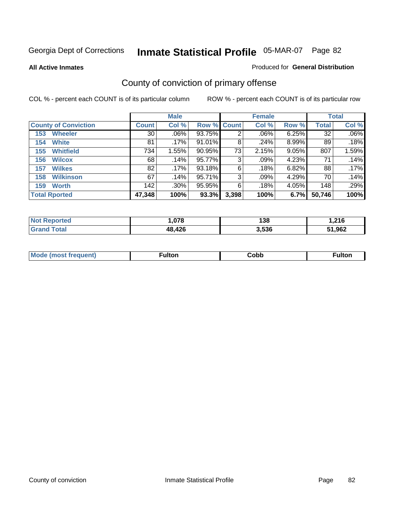#### **All Active Inmates**

#### Produced for **General Distribution**

# County of conviction of primary offense

|                             | <b>Male</b>  |         |             |       | <b>Female</b> |       | <b>Total</b> |         |
|-----------------------------|--------------|---------|-------------|-------|---------------|-------|--------------|---------|
| <b>County of Conviction</b> | <b>Count</b> | Col %   | Row % Count |       | Col %         | Row % | <b>Total</b> | Col %   |
| <b>Wheeler</b><br>153       | 30           | $.06\%$ | 93.75%      | 2     | .06%          | 6.25% | 32           | $.06\%$ |
| <b>White</b><br>154         | 81           | .17%    | $91.01\%$   | 8     | .24%          | 8.99% | 89           | .18%    |
| <b>Whitfield</b><br>155     | 734          | 1.55%   | 90.95%      | 73    | 2.15%         | 9.05% | 807          | 1.59%   |
| <b>Wilcox</b><br>156        | 68           | .14%    | 95.77%      | 3     | $.09\%$       | 4.23% | 71           | .14%    |
| <b>Wilkes</b><br>157        | 82           | .17%    | 93.18%      | 6     | .18%          | 6.82% | 88           | .17%    |
| <b>Wilkinson</b><br>158     | 67           | .14%    | 95.71%      | 3     | .09%          | 4.29% | 70           | .14%    |
| <b>Worth</b><br>159         | 142          | $.30\%$ | 95.95%      | 6     | .18%          | 4.05% | 148          | .29%    |
| <b>Total Rported</b>        | 47,348       | 100%    | 93.3%       | 3,398 | 100%          | 6.7%  | 50,746       | 100%    |

| 'ted<br>N0 | .078          | 138   | .216   |
|------------|---------------|-------|--------|
|            | <b>48 426</b> | 3.536 | 51,962 |

| <b>Mo</b><br>uent) | ™ulton<br>_____ | obb∶ |  |
|--------------------|-----------------|------|--|
|                    |                 |      |  |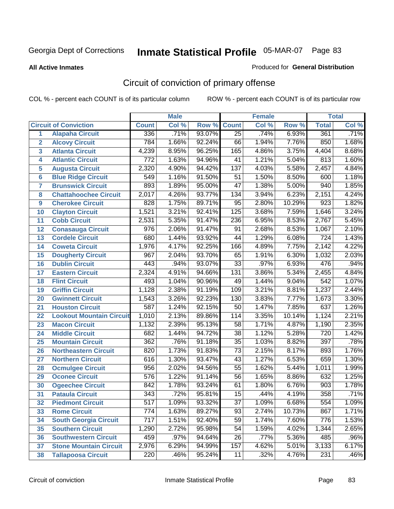#### **All Active Inmates**

#### Produced for **General Distribution**

# Circuit of conviction of primary offense

|                         |                                 |                  | <b>Male</b> |        |                  | <b>Female</b> |        |                  | <b>Total</b> |
|-------------------------|---------------------------------|------------------|-------------|--------|------------------|---------------|--------|------------------|--------------|
|                         | <b>Circuit of Conviction</b>    | <b>Count</b>     | Col %       | Row %  | <b>Count</b>     | Col %         | Row %  | <b>Total</b>     | Col %        |
| 1                       | <b>Alapaha Circuit</b>          | 336              | .71%        | 93.07% | $\overline{25}$  | .74%          | 6.93%  | 361              | .71%         |
| $\overline{2}$          | <b>Alcovy Circuit</b>           | 784              | 1.66%       | 92.24% | 66               | 1.94%         | 7.76%  | 850              | 1.68%        |
| $\overline{\mathbf{3}}$ | <b>Atlanta Circuit</b>          | 4,239            | 8.95%       | 96.25% | 165              | 4.86%         | 3.75%  | 4,404            | 8.68%        |
| 4                       | <b>Atlantic Circuit</b>         | 772              | 1.63%       | 94.96% | $\overline{41}$  | 1.21%         | 5.04%  | 813              | 1.60%        |
| 5                       | <b>Augusta Circuit</b>          | 2,320            | 4.90%       | 94.42% | $\overline{137}$ | 4.03%         | 5.58%  | 2,457            | 4.84%        |
| $6\phantom{a}$          | <b>Blue Ridge Circuit</b>       | $\overline{549}$ | 1.16%       | 91.50% | $\overline{51}$  | 1.50%         | 8.50%  | 600              | 1.18%        |
| $\overline{7}$          | <b>Brunswick Circuit</b>        | 893              | 1.89%       | 95.00% | $\overline{47}$  | 1.38%         | 5.00%  | 940              | 1.85%        |
| 8                       | <b>Chattahoochee Circuit</b>    | 2,017            | 4.26%       | 93.77% | $\overline{134}$ | 3.94%         | 6.23%  | 2,151            | 4.24%        |
| 9                       | <b>Cherokee Circuit</b>         | 828              | 1.75%       | 89.71% | 95               | 2.80%         | 10.29% | $\overline{923}$ | 1.82%        |
| 10                      | <b>Clayton Circuit</b>          | 1,521            | 3.21%       | 92.41% | 125              | 3.68%         | 7.59%  | 1,646            | 3.24%        |
| 11                      | <b>Cobb Circuit</b>             | 2,531            | 5.35%       | 91.47% | 236              | 6.95%         | 8.53%  | 2,767            | 5.45%        |
| 12                      | <b>Conasauga Circuit</b>        | 976              | 2.06%       | 91.47% | 91               | 2.68%         | 8.53%  | 1,067            | 2.10%        |
| 13                      | <b>Cordele Circuit</b>          | 680              | 1.44%       | 93.92% | 44               | 1.29%         | 6.08%  | $\overline{724}$ | 1.43%        |
| 14                      | <b>Coweta Circuit</b>           | 1,976            | 4.17%       | 92.25% | 166              | 4.89%         | 7.75%  | 2,142            | 4.22%        |
| 15                      | <b>Dougherty Circuit</b>        | 967              | 2.04%       | 93.70% | 65               | 1.91%         | 6.30%  | 1,032            | 2.03%        |
| 16                      | <b>Dublin Circuit</b>           | 443              | .94%        | 93.07% | $\overline{33}$  | .97%          | 6.93%  | 476              | .94%         |
| 17                      | <b>Eastern Circuit</b>          | 2,324            | 4.91%       | 94.66% | $\overline{131}$ | 3.86%         | 5.34%  | 2,455            | 4.84%        |
| 18                      | <b>Flint Circuit</b>            | 493              | 1.04%       | 90.96% | 49               | 1.44%         | 9.04%  | 542              | 1.07%        |
| 19                      | <b>Griffin Circuit</b>          | 1,128            | 2.38%       | 91.19% | 109              | 3.21%         | 8.81%  | 1,237            | 2.44%        |
| 20                      | <b>Gwinnett Circuit</b>         | 1,543            | 3.26%       | 92.23% | 130              | 3.83%         | 7.77%  | 1,673            | 3.30%        |
| 21                      | <b>Houston Circuit</b>          | $\overline{587}$ | 1.24%       | 92.15% | $\overline{50}$  | 1.47%         | 7.85%  | 637              | 1.26%        |
| 22                      | <b>Lookout Mountain Circuit</b> | 1,010            | 2.13%       | 89.86% | 114              | 3.35%         | 10.14% | 1,124            | 2.21%        |
| 23                      | <b>Macon Circuit</b>            | 1,132            | 2.39%       | 95.13% | 58               | 1.71%         | 4.87%  | 1,190            | 2.35%        |
| 24                      | <b>Middle Circuit</b>           | 682              | 1.44%       | 94.72% | $\overline{38}$  | 1.12%         | 5.28%  | $\overline{720}$ | 1.42%        |
| 25                      | <b>Mountain Circuit</b>         | $\overline{362}$ | .76%        | 91.18% | $\overline{35}$  | 1.03%         | 8.82%  | 397              | .78%         |
| 26                      | <b>Northeastern Circuit</b>     | 820              | 1.73%       | 91.83% | $\overline{73}$  | 2.15%         | 8.17%  | 893              | 1.76%        |
| 27                      | <b>Northern Circuit</b>         | 616              | 1.30%       | 93.47% | 43               | 1.27%         | 6.53%  | 659              | 1.30%        |
| 28                      | <b>Ocmulgee Circuit</b>         | 956              | 2.02%       | 94.56% | $\overline{55}$  | 1.62%         | 5.44%  | 1,011            | 1.99%        |
| 29                      | <b>Oconee Circuit</b>           | 576              | 1.22%       | 91.14% | 56               | 1.65%         | 8.86%  | 632              | 1.25%        |
| 30                      | <b>Ogeechee Circuit</b>         | 842              | 1.78%       | 93.24% | 61               | 1.80%         | 6.76%  | $\overline{903}$ | 1.78%        |
| 31                      | <b>Pataula Circuit</b>          | 343              | .72%        | 95.81% | 15               | .44%          | 4.19%  | 358              | .71%         |
| 32                      | <b>Piedmont Circuit</b>         | $\overline{517}$ | 1.09%       | 93.32% | $\overline{37}$  | 1.09%         | 6.68%  | $\overline{554}$ | 1.09%        |
| 33                      | <b>Rome Circuit</b>             | 774              | 1.63%       | 89.27% | 93               | 2.74%         | 10.73% | 867              | 1.71%        |
| 34                      | <b>South Georgia Circuit</b>    | $\overline{717}$ | 1.51%       | 92.40% | $\overline{59}$  | 1.74%         | 7.60%  | 776              | 1.53%        |
| 35                      | <b>Southern Circuit</b>         | 1,290            | 2.72%       | 95.98% | 54               | 1.59%         | 4.02%  | 1,344            | 2.65%        |
| 36                      | <b>Southwestern Circuit</b>     | 459              | .97%        | 94.64% | 26               | .77%          | 5.36%  | 485              | .96%         |
| 37                      | <b>Stone Mountain Circuit</b>   | 2,976            | 6.29%       | 94.99% | 157              | 4.62%         | 5.01%  | 3,133            | 6.17%        |
| 38                      | <b>Tallapoosa Circuit</b>       | $\overline{220}$ | .46%        | 95.24% | 11               | .32%          | 4.76%  | $\overline{231}$ | .46%         |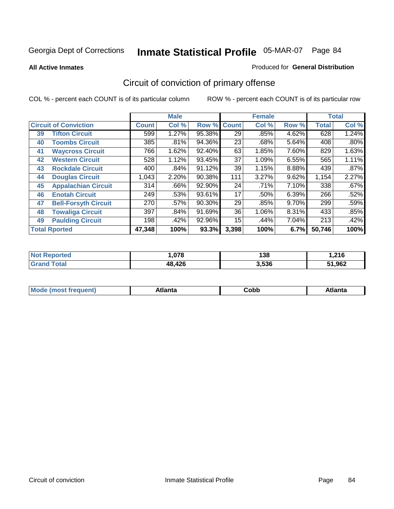**All Active Inmates**

#### Produced for **General Distribution**

# Circuit of conviction of primary offense

|    |                              |              | <b>Male</b> |        |              | <b>Female</b> |          |              | <b>Total</b> |
|----|------------------------------|--------------|-------------|--------|--------------|---------------|----------|--------------|--------------|
|    | <b>Circuit of Conviction</b> | <b>Count</b> | Col %       | Row %  | <b>Count</b> | Col %         | Row %    | <b>Total</b> | Col %        |
| 39 | <b>Tifton Circuit</b>        | 599          | 1.27%       | 95.38% | 29           | .85%          | 4.62%    | 628          | 1.24%        |
| 40 | <b>Toombs Circuit</b>        | 385          | .81%        | 94.36% | 23           | .68%          | 5.64%    | 408          | $.80\%$      |
| 41 | <b>Waycross Circuit</b>      | 766          | 1.62%       | 92.40% | 63           | 1.85%         | 7.60%    | 829          | 1.63%        |
| 42 | <b>Western Circuit</b>       | 528          | 1.12%       | 93.45% | 37           | 1.09%         | 6.55%    | 565          | 1.11%        |
| 43 | <b>Rockdale Circuit</b>      | 400          | .84%        | 91.12% | 39           | 1.15%         | 8.88%    | 439          | .87%         |
| 44 | <b>Douglas Circuit</b>       | 1,043        | 2.20%       | 90.38% | 111          | 3.27%         | 9.62%    | 1,154        | 2.27%        |
| 45 | <b>Appalachian Circuit</b>   | 314          | $.66\%$     | 92.90% | 24           | .71%          | 7.10%    | 338          | .67%         |
| 46 | <b>Enotah Circuit</b>        | 249          | .53%        | 93.61% | 17           | .50%          | 6.39%    | 266          | .52%         |
| 47 | <b>Bell-Forsyth Circuit</b>  | 270          | $.57\%$     | 90.30% | 29           | .85%          | $9.70\%$ | 299          | .59%         |
| 48 | <b>Towaliga Circuit</b>      | 397          | .84%        | 91.69% | 36           | 1.06%         | 8.31%    | 433          | .85%         |
| 49 | <b>Paulding Circuit</b>      | 198          | .42%        | 92.96% | 15           | .44%          | 7.04%    | 213          | .42%         |
|    | <b>Total Rported</b>         | 47,348       | 100%        | 93.3%  | 3,398        | 100%          | 6.7%     | 50,746       | 100%         |

| N<br>тес | $\sim$    | 138   | .216   |
|----------|-----------|-------|--------|
|          | 12c<br>48 | 3,536 | 51,962 |

| M, | $+1 - - + -$<br>annu -<br>uu | ∶obb<br>- - - - - | .<br>чна<br>- --------- |
|----|------------------------------|-------------------|-------------------------|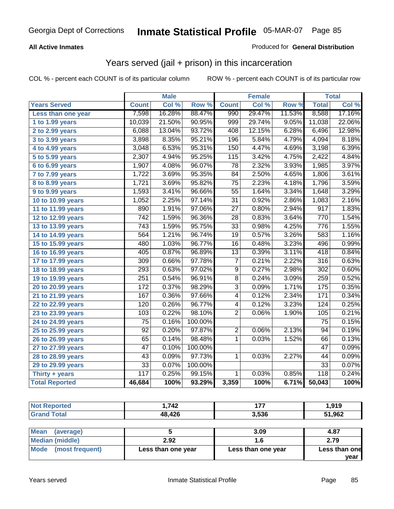### **All Active Inmates**

### Produced for **General Distribution**

## Years served (jail + prison) in this incarceration

|                              |                  | <b>Male</b> |         |                 | <b>Female</b> |        |                  | <b>Total</b> |
|------------------------------|------------------|-------------|---------|-----------------|---------------|--------|------------------|--------------|
| <b>Years Served</b>          | <b>Count</b>     | Col %       | Row %   | <b>Count</b>    | Col %         | Row %  | <b>Total</b>     | Col %        |
| Less than one year           | 7,598            | 16.28%      | 88.47%  | 990             | 29.47%        | 11.53% | 8,588            | 17.16%       |
| 1 to 1.99 years              | 10,039           | 21.50%      | 90.95%  | 999             | 29.74%        | 9.05%  | 11,038           | 22.06%       |
| 2 to 2.99 years              | 6,088            | 13.04%      | 93.72%  | 408             | 12.15%        | 6.28%  | 6,496            | 12.98%       |
| $3$ to 3.99 years            | 3,898            | 8.35%       | 95.21%  | 196             | 5.84%         | 4.79%  | 4,094            | 8.18%        |
| 4 to 4.99 years              | 3,048            | 6.53%       | 95.31%  | 150             | 4.47%         | 4.69%  | 3,198            | 6.39%        |
| $\overline{5}$ to 5.99 years | 2,307            | 4.94%       | 95.25%  | 115             | 3.42%         | 4.75%  | 2,422            | 4.84%        |
| 6 to 6.99 years              | 1,907            | 4.08%       | 96.07%  | $\overline{78}$ | 2.32%         | 3.93%  | 1,985            | 3.97%        |
| 7 to 7.99 years              | 1,722            | 3.69%       | 95.35%  | 84              | 2.50%         | 4.65%  | 1,806            | 3.61%        |
| 8 to 8.99 years              | 1,721            | 3.69%       | 95.82%  | $\overline{75}$ | 2.23%         | 4.18%  | 1,796            | 3.59%        |
| 9 to 9.99 years              | 1,593            | 3.41%       | 96.66%  | $\overline{55}$ | 1.64%         | 3.34%  | 1,648            | 3.29%        |
| 10 to 10.99 years            | 1,052            | 2.25%       | 97.14%  | $\overline{31}$ | 0.92%         | 2.86%  | 1,083            | 2.16%        |
| 11 to 11.99 years            | 890              | 1.91%       | 97.06%  | $\overline{27}$ | 0.80%         | 2.94%  | $\overline{917}$ | 1.83%        |
| 12 to 12.99 years            | 742              | 1.59%       | 96.36%  | $\overline{28}$ | 0.83%         | 3.64%  | 770              | 1.54%        |
| 13 to 13.99 years            | 743              | 1.59%       | 95.75%  | $\overline{33}$ | 0.98%         | 4.25%  | 776              | 1.55%        |
| 14 to 14.99 years            | 564              | 1.21%       | 96.74%  | $\overline{19}$ | 0.57%         | 3.26%  | 583              | 1.16%        |
| 15 to 15.99 years            | 480              | 1.03%       | 96.77%  | $\overline{16}$ | 0.48%         | 3.23%  | 496              | 0.99%        |
| 16 to 16.99 years            | 405              | 0.87%       | 96.89%  | $\overline{13}$ | 0.39%         | 3.11%  | 418              | 0.84%        |
| 17 to 17.99 years            | $\overline{309}$ | 0.66%       | 97.78%  | $\overline{7}$  | 0.21%         | 2.22%  | 316              | 0.63%        |
| 18 to 18.99 years            | 293              | 0.63%       | 97.02%  | $\overline{9}$  | 0.27%         | 2.98%  | 302              | 0.60%        |
| 19 to 19.99 years            | 251              | 0.54%       | 96.91%  | $\overline{8}$  | 0.24%         | 3.09%  | 259              | 0.52%        |
| 20 to 20.99 years            | 172              | 0.37%       | 98.29%  | $\overline{3}$  | 0.09%         | 1.71%  | 175              | 0.35%        |
| 21 to 21.99 years            | 167              | 0.36%       | 97.66%  | 4               | 0.12%         | 2.34%  | $\overline{171}$ | 0.34%        |
| 22 to 22.99 years            | 120              | 0.26%       | 96.77%  | 4               | 0.12%         | 3.23%  | 124              | 0.25%        |
| 23 to 23.99 years            | 103              | 0.22%       | 98.10%  | $\overline{2}$  | 0.06%         | 1.90%  | 105              | 0.21%        |
| 24 to 24.99 years            | $\overline{75}$  | 0.16%       | 100.00% |                 |               |        | $\overline{75}$  | 0.15%        |
| 25 to 25.99 years            | $\overline{92}$  | 0.20%       | 97.87%  | $\overline{2}$  | 0.06%         | 2.13%  | $\overline{94}$  | 0.19%        |
| 26 to 26.99 years            | 65               | 0.14%       | 98.48%  | 1               | 0.03%         | 1.52%  | 66               | 0.13%        |
| 27 to 27.99 years            | $\overline{47}$  | 0.10%       | 100.00% |                 |               |        | $\overline{47}$  | 0.09%        |
| 28 to 28.99 years            | $\overline{43}$  | 0.09%       | 97.73%  | $\mathbf{1}$    | 0.03%         | 2.27%  | 44               | 0.09%        |
| 29 to 29.99 years            | $\overline{33}$  | 0.07%       | 100.00% |                 |               |        | $\overline{33}$  | 0.07%        |
| Thirty + years               | 117              | 0.25%       | 99.15%  | $\overline{1}$  | 0.03%         | 0.85%  | 118              | 0.24%        |
| <b>Total Reported</b>        | 46,684           | 100%        | 93.29%  | 3,359           | 100%          | 6.71%  | 50,043           | 100%         |

| <b>Not</b><br><b>`Reported</b> | ,742   | --    | 919, ا |
|--------------------------------|--------|-------|--------|
| <b>Total</b>                   | 48,426 | 3,536 | 51,962 |

| <b>Mean</b><br>(average) |                    | 3.09               | 4.87          |
|--------------------------|--------------------|--------------------|---------------|
| Median (middle)          | 2.92               |                    | 2.79          |
| Mode (most frequent)     | Less than one year | Less than one year | Less than one |
|                          |                    |                    | vear          |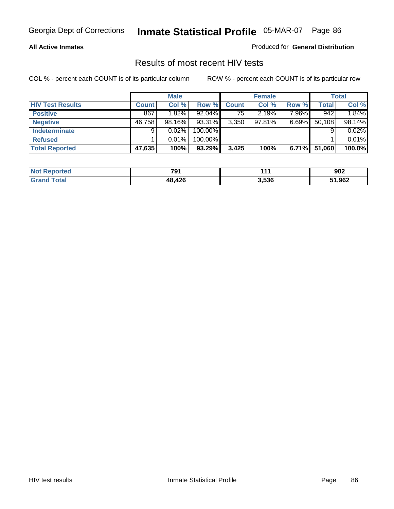#### **All Active Inmates**

Produced for **General Distribution**

### Results of most recent HIV tests

|                         |              | <b>Male</b> |           |              | <b>Female</b> |          |        | Total  |
|-------------------------|--------------|-------------|-----------|--------------|---------------|----------|--------|--------|
| <b>HIV Test Results</b> | <b>Count</b> | Col %       | Row %     | <b>Count</b> | Col %         | Row %    | Total  | Col %  |
| <b>Positive</b>         | 867          | $1.82\%$    | $92.04\%$ | 75           | 2.19%         | $7.96\%$ | 942    | 1.84%  |
| <b>Negative</b>         | 46,758       | 98.16%      | 93.31%    | 3,350        | 97.81%        | $6.69\%$ | 50,108 | 98.14% |
| <b>Indeterminate</b>    | 9            | 0.02%       | 100.00%   |              |               |          |        | 0.02%  |
| <b>Refused</b>          |              | 0.01%       | 100.00%   |              |               |          |        | 0.01%  |
| <b>Total Reported</b>   | 47,635       | 100%        | 93.29%    | 3,425        | 100%          | 6.71%    | 51,060 | 100.0% |

| <b>Not Reported</b> | 791    | 44.   | 902    |
|---------------------|--------|-------|--------|
| <b>Grand Total</b>  | 48,426 | 3,536 | 51,962 |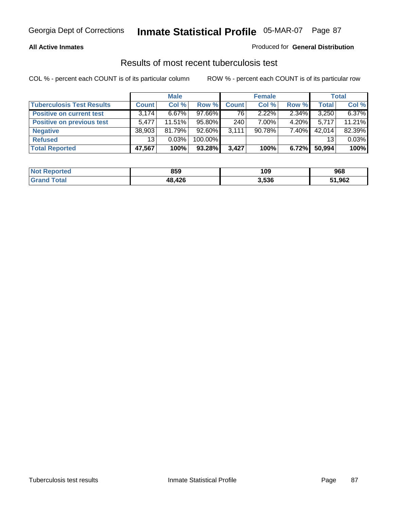#### **All Active Inmates**

#### Produced for **General Distribution**

### Results of most recent tuberculosis test

|                                  |              | <b>Male</b> |           |              | <b>Female</b> |          |              | <b>Total</b> |
|----------------------------------|--------------|-------------|-----------|--------------|---------------|----------|--------------|--------------|
| <b>Tuberculosis Test Results</b> | <b>Count</b> | Col %       | Row %     | <b>Count</b> | Col %         | Row %    | <b>Total</b> | Col %        |
| <b>Positive on current test</b>  | 3.174        | $6.67\%$    | $97.66\%$ | 76           | $2.22\%$      | 2.34%    | 3,250        | 6.37%        |
| <b>Positive on previous test</b> | 5.477        | $11.51\%$   | 95.80%    | 240          | $7.00\%$      | $4.20\%$ | 5.717        | 11.21%       |
| <b>Negative</b>                  | 38,903       | 81.79%      | 92.60%    | 3,111        | 90.78%        | 7.40%    | 42,014       | 82.39%       |
| <b>Refused</b>                   | 13           | 0.03%       | 100.00%   |              |               |          | 13           | 0.03%        |
| <b>Total Reported</b>            | 47,567       | 100%        | 93.28%    | 3,427        | 100%          | 6.72%    | 50,994       | 100%         |

| <b>Not Reported</b> | 859    | 109   | 968    |
|---------------------|--------|-------|--------|
| <b>Grand Total</b>  | 48,426 | 3,536 | 51,962 |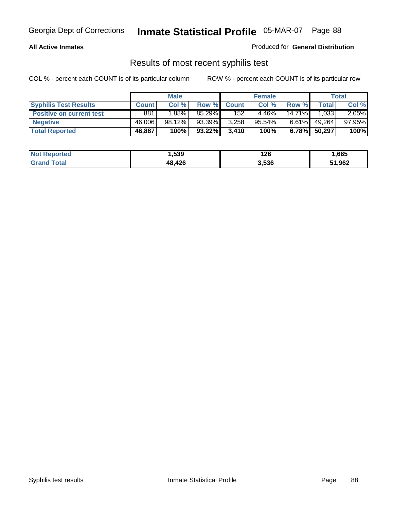#### **All Active Inmates**

Produced for **General Distribution**

### Results of most recent syphilis test

|                                 | <b>Male</b>  |          |           |              | <b>Female</b> |           | Total  |        |
|---------------------------------|--------------|----------|-----------|--------------|---------------|-----------|--------|--------|
| <b>Syphilis Test Results</b>    | <b>Count</b> | Col %    | Row %     | <b>Count</b> | Col %         | Row %     | Total  | Col %  |
| <b>Positive on current test</b> | 881          | $1.88\%$ | 85.29%    | 152          | 4.46%         | $14.71\%$ | 1,033  | 2.05%  |
| <b>Negative</b>                 | 46,006       | 98.12%   | 93.39%    | 3,258        | 95.54%        | $6.61\%$  | 49,264 | 97.95% |
| <b>Total Reported</b>           | 46,887       | 100%     | $93.22\%$ | 3,410        | 100%          | 6.78%     | 50,297 | 100%   |

| <b>Not Reported</b> | 1,539  | 126   | 665. ا |
|---------------------|--------|-------|--------|
| <b>Grand Total</b>  | 48,426 | 3,536 | 51,962 |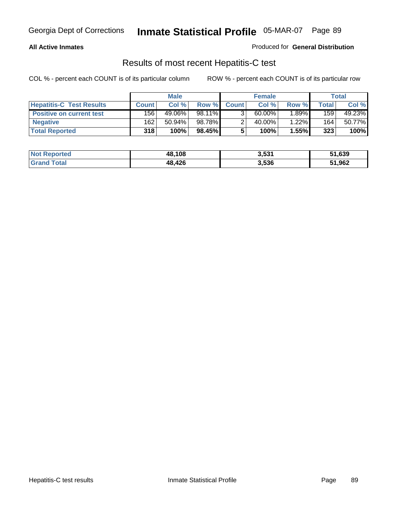#### **All Active Inmates**

Produced for **General Distribution**

### Results of most recent Hepatitis-C test

|                                 | <b>Male</b>  |        |        | <b>Female</b> |           |          | Total  |        |
|---------------------------------|--------------|--------|--------|---------------|-----------|----------|--------|--------|
| <b>Hepatitis-C Test Results</b> | <b>Count</b> | Col %  | Row %  | <b>Count</b>  | Col %     | Row %    | Total. | Col %  |
| <b>Positive on current test</b> | 156          | 49.06% | 98.11% |               | $60.00\%$ | $1.89\%$ | 159    | 49.23% |
| <b>Negative</b>                 | 162          | 50.94% | 98.78% |               | 40.00%    | 1.22%    | 164    | 50.77% |
| <b>Total Reported</b>           | 318          | 100%   | 98.45% |               | 100%      | 1.55%    | 323    | 100%   |

| <b>Not Reported</b> | 48,108 | 3,531 | 51,639 |
|---------------------|--------|-------|--------|
| <b>Grand Total</b>  | 48,426 | 3,536 | 51,962 |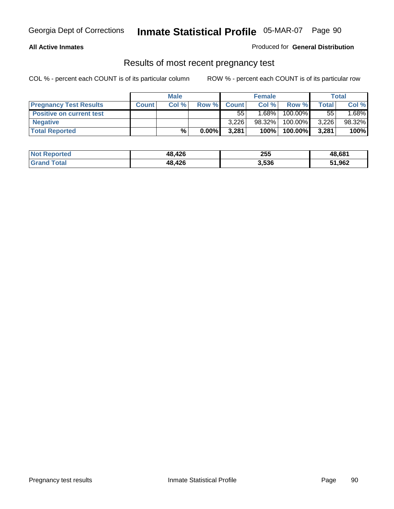#### **All Active Inmates**

Produced for **General Distribution**

### Results of most recent pregnancy test

|                                 | <b>Male</b>  |      | <b>Female</b> |              |          | <b>Total</b> |              |        |
|---------------------------------|--------------|------|---------------|--------------|----------|--------------|--------------|--------|
| <b>Pregnancy Test Results</b>   | <b>Count</b> | Col% | Row %         | <b>Count</b> | Col %    | Row %        | <b>Total</b> | Col %  |
| <b>Positive on current test</b> |              |      |               | 55'          | $1.68\%$ | 100.00%      | 55           | 1.68%  |
| <b>Negative</b>                 |              |      |               | 3,226        | 98.32%   | 100.00%      | 3,226        | 98.32% |
| <b>Total Reported</b>           |              | $\%$ | $0.00\%$      | 3,281        | 100%     | 100.00%      | 3,281        | 100%   |

| <b>Not Reported</b> | 48,426 | 255   | 48,681 |
|---------------------|--------|-------|--------|
| <b>Grand Total</b>  | 48,426 | 3,536 | 51,962 |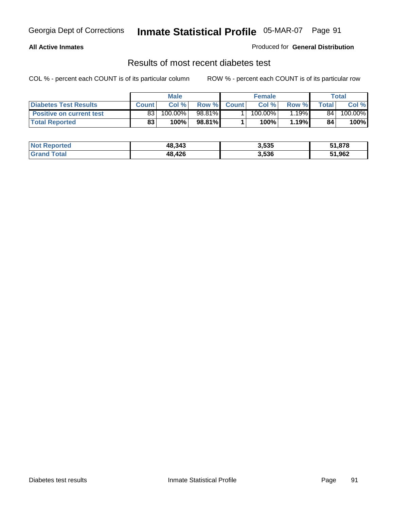#### **All Active Inmates**

#### Produced for **General Distribution**

### Results of most recent diabetes test

|                                 |                 | <b>Male</b> |        |              | <b>Female</b>         |        | Total |         |
|---------------------------------|-----------------|-------------|--------|--------------|-----------------------|--------|-------|---------|
| <b>Diabetes Test Results</b>    | <b>Count</b>    | Col %       | Row %  | <b>Count</b> | Col %                 | Row %I | Total | Col %   |
| <b>Positive on current test</b> | 83 <sub>1</sub> | 100.00%     | 98.81% |              | $100.\overline{00\%}$ | '.19%I | 84    | 100.00% |
| <b>Total Reported</b>           | 83              | 100%        | 98.81% |              | 100%                  | 1.19%  | 84    | 100%    |

| <b>Not Reported</b> | 48,343 | 3,535 | 51,878 |
|---------------------|--------|-------|--------|
| <b>Grand Total</b>  | 48,426 | 3,536 | 51,962 |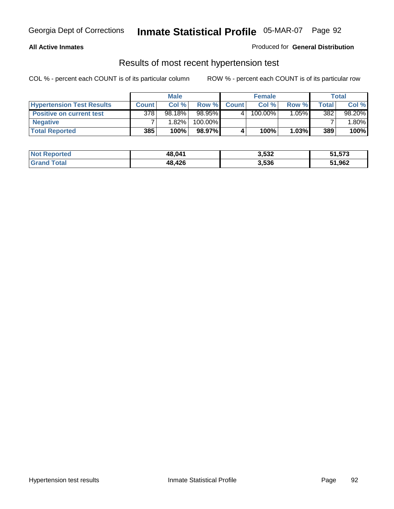#### **All Active Inmates**

#### Produced for **General Distribution**

### Results of most recent hypertension test

|                                  | <b>Male</b>  |           |         |              | <b>Female</b> |          | <b>Total</b> |         |
|----------------------------------|--------------|-----------|---------|--------------|---------------|----------|--------------|---------|
| <b>Hypertension Test Results</b> | <b>Count</b> | Col %     | Row %   | <b>Count</b> | Col%          | Row %    | Total        | Col %   |
| <b>Positive on current test</b>  | 378          | $98.18\%$ | 98.95%  |              | 100.00%       | $1.05\%$ | 382          | 98.20%  |
| <b>Negative</b>                  |              | 1.82%     | 100.00% |              |               |          |              | $.80\%$ |
| <b>Total Reported</b>            | 385          | 100%      | 98.97%  |              | 100%          | $1.03\%$ | 389          | 100%    |

| <b>Not Reported</b> | 48,041 | 3,532 | 51,573 |
|---------------------|--------|-------|--------|
| <b>Grand Total</b>  | 48,426 | 3,536 | 51,962 |